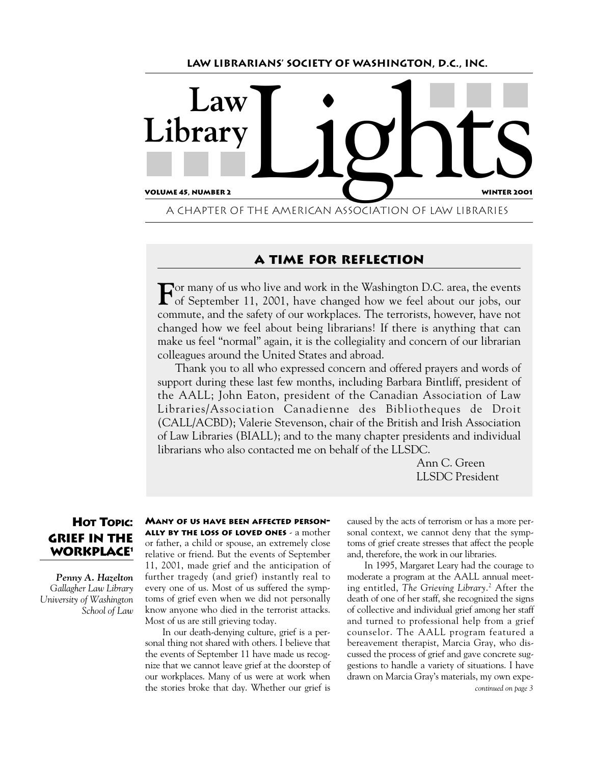

# **A Time for Reflection**

**F**or many of us who live and work in the Washington D.C. area, the events of September 11, 2001, have changed how we feel about our jobs, our commute, and the safety of our workplaces. The terrorists, however, have not changed how we feel about being librarians! If there is anything that can make us feel "normal" again, it is the collegiality and concern of our librarian colleagues around the United States and abroad.

Thank you to all who expressed concern and offered prayers and words of support during these last few months, including Barbara Bintliff, president of the AALL; John Eaton, president of the Canadian Association of Law Libraries/Association Canadienne des Bibliotheques de Droit (CALL/ACBD); Valerie Stevenson, chair of the British and Irish Association of Law Libraries (BIALL); and to the many chapter presidents and individual librarians who also contacted me on behalf of the LLSDC.

> Ann C. Green LLSDC President

# **HOT TOPIC: Grief in the Workplace1**

*Penny A. Hazelton Gallagher Law Library University of Washington School of Law* **MANY OF US HAVE BEEN AFFECTED PERSON-ALLY BY THE LOSS OF LOVED ONES** - a mother or father, a child or spouse, an extremely close relative or friend. But the events of September 11, 2001, made grief and the anticipation of further tragedy (and grief) instantly real to every one of us. Most of us suffered the symptoms of grief even when we did not personally know anyone who died in the terrorist attacks. Most of us are still grieving today.

In our death-denying culture, grief is a personal thing not shared with others. I believe that the events of September 11 have made us recognize that we cannot leave grief at the doorstep of our workplaces. Many of us were at work when the stories broke that day. Whether our grief is

caused by the acts of terrorism or has a more personal context, we cannot deny that the symptoms of grief create stresses that affect the people and, therefore, the work in our libraries.

In 1995, Margaret Leary had the courage to moderate a program at the AALL annual meeting entitled, *The Grieving Library*. <sup>2</sup> After the death of one of her staff, she recognized the signs of collective and individual grief among her staff and turned to professional help from a grief counselor. The AALL program featured a bereavement therapist, Marcia Gray, who discussed the process of grief and gave concrete suggestions to handle a variety of situations. I have drawn on Marcia Gray's materials, my own expe-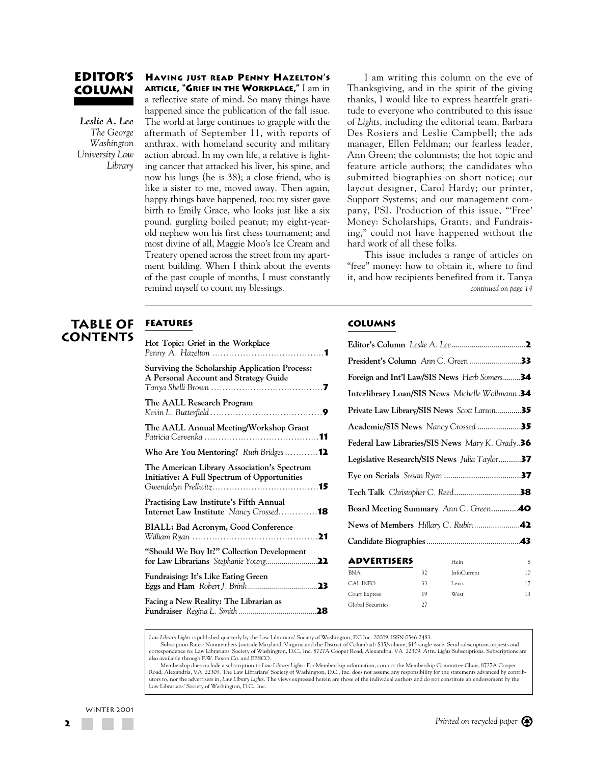# **Editor's Column**

*Leslie A. Lee The George Washington University Law Library*

#### **HAVING JUST READ PENNY HAZELTON'S ARTICLE, "GRIEF IN THE WORKPLACE,"** I am in

a reflective state of mind. So many things have happened since the publication of the fall issue. The world at large continues to grapple with the aftermath of September 11, with reports of anthrax, with homeland security and military action abroad. In my own life, a relative is fighting cancer that attacked his liver, his spine, and now his lungs (he is 38); a close friend, who is like a sister to me, moved away. Then again, happy things have happened, too: my sister gave birth to Emily Grace, who looks just like a six pound, gurgling boiled peanut; my eight-yearold nephew won his first chess tournament; and most divine of all, Maggie Moo's Ice Cream and Treatery opened across the street from my apartment building. When I think about the events of the past couple of months, I must constantly remind myself to count my blessings.

I am writing this column on the eve of Thanksgiving, and in the spirit of the giving thanks, I would like to express heartfelt gratitude to everyone who contributed to this issue of *Lights*, including the editorial team, Barbara Des Rosiers and Leslie Campbell; the ads manager, Ellen Feldman; our fearless leader, Ann Green; the columnists; the hot topic and feature article authors; the candidates who submitted biographies on short notice; our layout designer, Carol Hardy; our printer, Support Systems; and our management company, PSI. Production of this issue, "'Free' Money: Scholarships, Grants, and Fundraising," could not have happened without the hard work of all these folks.

This issue includes a range of articles on "free" money: how to obtain it, where to find it, and how recipients benefited from it. Tanya *continued on page 14*

# **table of contents**

**FEATUREs**

| Hot Topic: Grief in the Workplace                                                              |
|------------------------------------------------------------------------------------------------|
| <b>Surviving the Scholarship Application Process:</b><br>A Personal Account and Strategy Guide |
| The AALL Research Program                                                                      |
| The AALL Annual Meeting/Workshop Grant                                                         |
| Who Are You Mentoring? Ruth Bridges 12                                                         |
| The American Library Association's Spectrum<br>Initiative: A Full Spectrum of Opportunities    |
| <b>Practising Law Institute's Fifth Annual</b><br>Internet Law Institute Nancy Crossed18       |
| BIALL: Bad Acronym, Good Conference                                                            |
| "Should We Buy It?" Collection Development                                                     |
| Fundraising: It's Like Eating Green                                                            |
| Facing a New Reality: The Librarian as                                                         |

#### **COLUMNS**

| Foreign and Int'l Law/SIS News Herb Somers34                |   |
|-------------------------------------------------------------|---|
| <b>Interlibrary Loan/SIS News</b> Michelle Wollmann.34      |   |
| <b>Private Law Library/SIS News</b> Scott Larson35          |   |
| Academic/SIS News Nancy Crossed35                           |   |
| <b>Federal Law Libraries/SIS News</b> Mary K. Grady36       |   |
| <b>Legislative Research/SIS News</b> Julia Taylor <b>37</b> |   |
|                                                             |   |
|                                                             |   |
| Board Meeting Summary Ann C. Green 40                       |   |
|                                                             |   |
|                                                             |   |
| <b>ADVERTISERS</b><br>Hein                                  | 8 |
|                                                             |   |

| .                 |    | 11111       | $\sim$ |
|-------------------|----|-------------|--------|
| <b>BNA</b>        | 32 | InfoCurrent | 10     |
| CAL INFO          | 33 | Lexis       | 17     |
| Court Express     | 19 | West        | 13     |
| Global Securities | 27 |             |        |
|                   |    |             |        |

*Law Library Lights* is published quarterly by the Law Librarians' Society of Washington, DC Inc. 20009, ISSN 0546-2483.

Subsciption Rates: Nonmembers (outside Maryland, Virginia and the District of Columbia): \$35/volume, \$15 single issue. Send subscription requests and correspondence to: Law Librarians' Society of Washington, D.C., Inc. 8727A Cooper Road, Alexandria, VA 22309. Attn. *Lights* Subscriptions. Subscriptions are also available through F.W. Faxon Co. and EBSCO.

Membership dues include a subscription to *Law Library Lights.* For Membership information, contact the Membership Committee Chair, 8727A Cooper Road, Alexandria, VA 22309. The Law Librarians' Society of Washington, D.C., Inc. does not assume any responsibility for the statements advanced by contributors to, nor the advertisers in, *Law Library Lights*. The views expressed herein are those of the individual authors and do not constitute an endorsement by the Law Librarians' Society of Washington, D.C., Inc.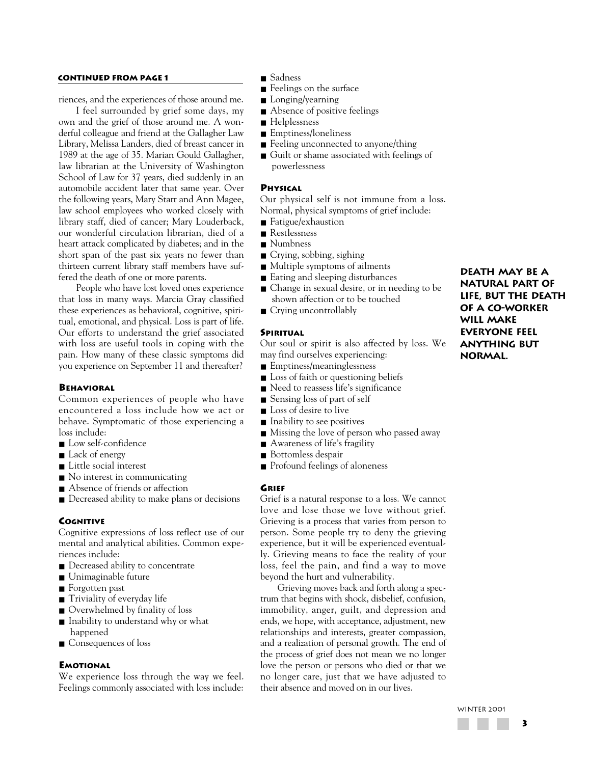# **CONTINUED FROM PAGE 1** ■ Sadness

riences, and the experiences of those around me.

I feel surrounded by grief some days, my own and the grief of those around me. A wonderful colleague and friend at the Gallagher Law Library, Melissa Landers, died of breast cancer in 1989 at the age of 35. Marian Gould Gallagher, law librarian at the University of Washington School of Law for 37 years, died suddenly in an automobile accident later that same year. Over the following years, Mary Starr and Ann Magee, law school employees who worked closely with library staff, died of cancer; Mary Louderback, our wonderful circulation librarian, died of a heart attack complicated by diabetes; and in the short span of the past six years no fewer than thirteen current library staff members have suffered the death of one or more parents.

People who have lost loved ones experience that loss in many ways. Marcia Gray classified these experiences as behavioral, cognitive, spiritual, emotional, and physical. Loss is part of life. Our efforts to understand the grief associated with loss are useful tools in coping with the pain. How many of these classic symptoms did you experience on September 11 and thereafter?

#### **BEHAVIORAL**

Common experiences of people who have encountered a loss include how we act or behave. Symptomatic of those experiencing a loss include:

- Low self-confidence
- Lack of energy
- Little social interest
- No interest in communicating
- Absence of friends or affection
- Decreased ability to make plans or decisions

#### **COGNITIVE**

Cognitive expressions of loss reflect use of our mental and analytical abilities. Common experiences include:

- Decreased ability to concentrate
- Unimaginable future
- Forgotten past
- Triviality of everyday life
- Overwhelmed by finality of loss
- Inability to understand why or what happened
- Consequences of loss

#### **EMOTIONAL**

We experience loss through the way we feel. Feelings commonly associated with loss include:

- 
- Feelings on the surface
- Longing/yearning
- Absence of positive feelings
- Helplessness
- Emptiness/loneliness
- Feeling unconnected to anyone/thing
- Guilt or shame associated with feelings of powerlessness

### **PHYSICAL**

Our physical self is not immune from a loss. Normal, physical symptoms of grief include:

- Fatigue/exhaustion
- Restlessness
- Numbness
- Crying, sobbing, sighing
- Multiple symptoms of ailments
- Eating and sleeping disturbances
- Change in sexual desire, or in needing to be shown affection or to be touched
- Crying uncontrollably

#### **SPIRITUAL**

Our soul or spirit is also affected by loss. We may find ourselves experiencing:

- Emptiness/meaninglessness
- Loss of faith or questioning beliefs
- Need to reassess life's significance
- Sensing loss of part of self
- Loss of desire to live
- Inability to see positives
- Missing the love of person who passed away
- Awareness of life's fragility
- Bottomless despair
- Profound feelings of aloneness

#### **GRIEF**

Grief is a natural response to a loss. We cannot love and lose those we love without grief. Grieving is a process that varies from person to person. Some people try to deny the grieving experience, but it will be experienced eventually. Grieving means to face the reality of your loss, feel the pain, and find a way to move beyond the hurt and vulnerability.

Grieving moves back and forth along a spectrum that begins with shock, disbelief, confusion, immobility, anger, guilt, and depression and ends, we hope, with acceptance, adjustment, new relationships and interests, greater compassion, and a realization of personal growth. The end of the process of grief does not mean we no longer love the person or persons who died or that we no longer care, just that we have adjusted to their absence and moved on in our lives.

**Death may be a natural part of life, but the death of a co-worker will make everyone feel anything but normal.**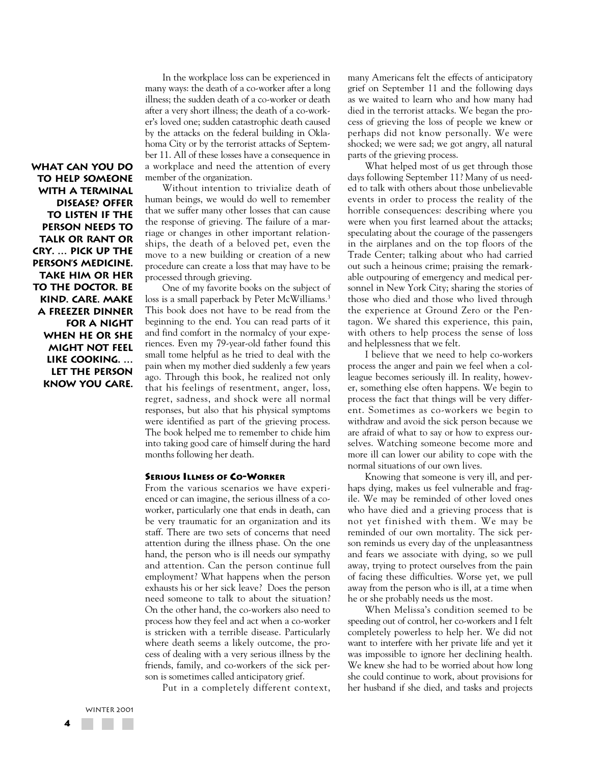**What can you do to help someone with a terminal disease? Offer to listen if the person needs to talk or rant or cry. … Pick up the person's medicine. Take him or her to the doctor. Be kind. Care. Make a freezer dinner for a night when he or she might not feel like cooking. … Let the person know you care.**

In the workplace loss can be experienced in many ways: the death of a co-worker after a long illness; the sudden death of a co-worker or death after a very short illness; the death of a co-worker's loved one; sudden catastrophic death caused by the attacks on the federal building in Oklahoma City or by the terrorist attacks of September 11. All of these losses have a consequence in a workplace and need the attention of every member of the organization.

Without intention to trivialize death of human beings, we would do well to remember that we suffer many other losses that can cause the response of grieving. The failure of a marriage or changes in other important relationships, the death of a beloved pet, even the move to a new building or creation of a new procedure can create a loss that may have to be processed through grieving.

One of my favorite books on the subject of loss is a small paperback by Peter McWilliams.<sup>3</sup> This book does not have to be read from the beginning to the end. You can read parts of it and find comfort in the normalcy of your experiences. Even my 79-year-old father found this small tome helpful as he tried to deal with the pain when my mother died suddenly a few years ago. Through this book, he realized not only that his feelings of resentment, anger, loss, regret, sadness, and shock were all normal responses, but also that his physical symptoms were identified as part of the grieving process. The book helped me to remember to chide him into taking good care of himself during the hard months following her death.

#### **SERIOUS ILLNESS OF CO-WORKER**

From the various scenarios we have experienced or can imagine, the serious illness of a coworker, particularly one that ends in death, can be very traumatic for an organization and its staff. There are two sets of concerns that need attention during the illness phase. On the one hand, the person who is ill needs our sympathy and attention. Can the person continue full employment? What happens when the person exhausts his or her sick leave? Does the person need someone to talk to about the situation? On the other hand, the co-workers also need to process how they feel and act when a co-worker is stricken with a terrible disease. Particularly where death seems a likely outcome, the process of dealing with a very serious illness by the friends, family, and co-workers of the sick person is sometimes called anticipatory grief.

Put in a completely different context,

many Americans felt the effects of anticipatory grief on September 11 and the following days as we waited to learn who and how many had died in the terrorist attacks. We began the process of grieving the loss of people we knew or perhaps did not know personally. We were shocked; we were sad; we got angry, all natural parts of the grieving process.

What helped most of us get through those days following September 11? Many of us needed to talk with others about those unbelievable events in order to process the reality of the horrible consequences: describing where you were when you first learned about the attacks; speculating about the courage of the passengers in the airplanes and on the top floors of the Trade Center; talking about who had carried out such a heinous crime; praising the remarkable outpouring of emergency and medical personnel in New York City; sharing the stories of those who died and those who lived through the experience at Ground Zero or the Pentagon. We shared this experience, this pain, with others to help process the sense of loss and helplessness that we felt.

I believe that we need to help co-workers process the anger and pain we feel when a colleague becomes seriously ill. In reality, however, something else often happens. We begin to process the fact that things will be very different. Sometimes as co-workers we begin to withdraw and avoid the sick person because we are afraid of what to say or how to express ourselves. Watching someone become more and more ill can lower our ability to cope with the normal situations of our own lives.

Knowing that someone is very ill, and perhaps dying, makes us feel vulnerable and fragile. We may be reminded of other loved ones who have died and a grieving process that is not yet finished with them. We may be reminded of our own mortality. The sick person reminds us every day of the unpleasantness and fears we associate with dying, so we pull away, trying to protect ourselves from the pain of facing these difficulties. Worse yet, we pull away from the person who is ill, at a time when he or she probably needs us the most.

When Melissa's condition seemed to be speeding out of control, her co-workers and I felt completely powerless to help her. We did not want to interfere with her private life and yet it was impossible to ignore her declining health. We knew she had to be worried about how long she could continue to work, about provisions for her husband if she died, and tasks and projects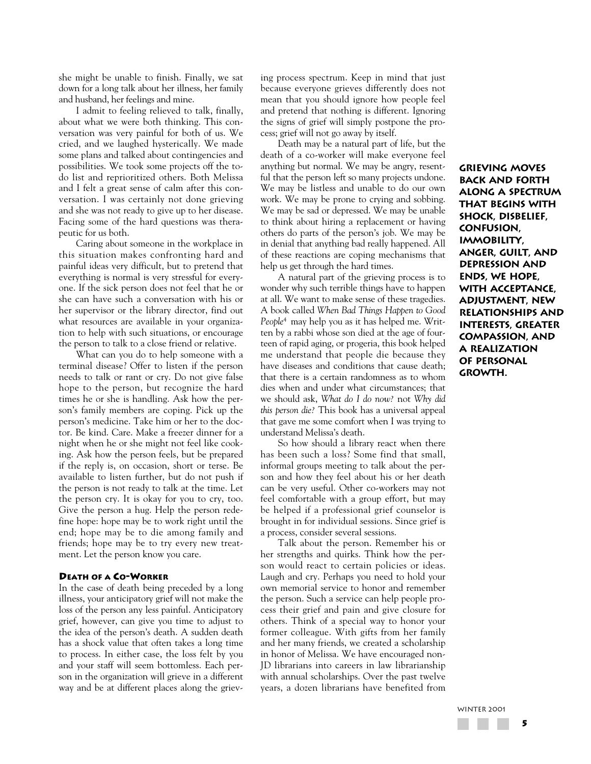she might be unable to finish. Finally, we sat down for a long talk about her illness, her family and husband, her feelings and mine.

I admit to feeling relieved to talk, finally, about what we were both thinking. This conversation was very painful for both of us. We cried, and we laughed hysterically. We made some plans and talked about contingencies and possibilities. We took some projects off the todo list and reprioritized others. Both Melissa and I felt a great sense of calm after this conversation. I was certainly not done grieving and she was not ready to give up to her disease. Facing some of the hard questions was therapeutic for us both.

Caring about someone in the workplace in this situation makes confronting hard and painful ideas very difficult, but to pretend that everything is normal is very stressful for everyone. If the sick person does not feel that he or she can have such a conversation with his or her supervisor or the library director, find out what resources are available in your organization to help with such situations, or encourage the person to talk to a close friend or relative.

What can you do to help someone with a terminal disease? Offer to listen if the person needs to talk or rant or cry. Do not give false hope to the person, but recognize the hard times he or she is handling. Ask how the person's family members are coping. Pick up the person's medicine. Take him or her to the doctor. Be kind. Care. Make a freezer dinner for a night when he or she might not feel like cooking. Ask how the person feels, but be prepared if the reply is, on occasion, short or terse. Be available to listen further, but do not push if the person is not ready to talk at the time. Let the person cry. It is okay for you to cry, too. Give the person a hug. Help the person redefine hope: hope may be to work right until the end; hope may be to die among family and friends; hope may be to try every new treatment. Let the person know you care.

#### **DEATH OF A CO-WORKER**

In the case of death being preceded by a long illness, your anticipatory grief will not make the loss of the person any less painful. Anticipatory grief, however, can give you time to adjust to the idea of the person's death. A sudden death has a shock value that often takes a long time to process. In either case, the loss felt by you and your staff will seem bottomless. Each person in the organization will grieve in a different way and be at different places along the grieving process spectrum. Keep in mind that just because everyone grieves differently does not mean that you should ignore how people feel and pretend that nothing is different. Ignoring the signs of grief will simply postpone the process; grief will not go away by itself.

Death may be a natural part of life, but the death of a co-worker will make everyone feel anything but normal. We may be angry, resentful that the person left so many projects undone. We may be listless and unable to do our own work. We may be prone to crying and sobbing. We may be sad or depressed. We may be unable to think about hiring a replacement or having others do parts of the person's job. We may be in denial that anything bad really happened. All of these reactions are coping mechanisms that help us get through the hard times.

A natural part of the grieving process is to wonder why such terrible things have to happen at all. We want to make sense of these tragedies. A book called *When Bad Things Happen to Good People*4 may help you as it has helped me. Written by a rabbi whose son died at the age of fourteen of rapid aging, or progeria, this book helped me understand that people die because they have diseases and conditions that cause death; that there is a certain randomness as to whom dies when and under what circumstances; that we should ask, *What do I do now?* not *Why did this person die?* This book has a universal appeal that gave me some comfort when I was trying to understand Melissa's death.

So how should a library react when there has been such a loss? Some find that small, informal groups meeting to talk about the person and how they feel about his or her death can be very useful. Other co-workers may not feel comfortable with a group effort, but may be helped if a professional grief counselor is brought in for individual sessions. Since grief is a process, consider several sessions.

Talk about the person. Remember his or her strengths and quirks. Think how the person would react to certain policies or ideas. Laugh and cry. Perhaps you need to hold your own memorial service to honor and remember the person. Such a service can help people process their grief and pain and give closure for others. Think of a special way to honor your former colleague. With gifts from her family and her many friends, we created a scholarship in honor of Melissa. We have encouraged non-JD librarians into careers in law librarianship with annual scholarships. Over the past twelve years, a dozen librarians have benefited from **Grieving moves back and forth along a spectrum that begins with shock, disbelief, confusion, immobility, anger, guilt, and depression and ends, we hope, with acceptance, adjustment, new relationships and interests, greater compassion, and a realization of personal growth.**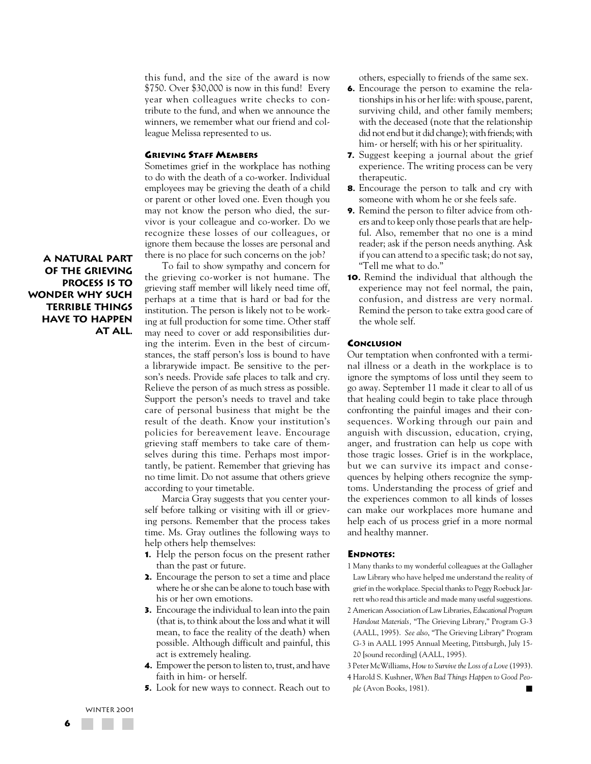this fund, and the size of the award is now \$750. Over \$30,000 is now in this fund! Every year when colleagues write checks to contribute to the fund, and when we announce the winners, we remember what our friend and colleague Melissa represented to us.

#### **GRIEVING STAFF MEMBERS**

Sometimes grief in the workplace has nothing to do with the death of a co-worker. Individual employees may be grieving the death of a child or parent or other loved one. Even though you may not know the person who died, the survivor is your colleague and co-worker. Do we recognize these losses of our colleagues, or ignore them because the losses are personal and there is no place for such concerns on the job?

**A natural part of the grieving process is to wonder why such terrible things have to happen at all.**

To fail to show sympathy and concern for the grieving co-worker is not humane. The grieving staff member will likely need time off, perhaps at a time that is hard or bad for the institution. The person is likely not to be working at full production for some time. Other staff may need to cover or add responsibilities during the interim. Even in the best of circumstances, the staff person's loss is bound to have a librarywide impact. Be sensitive to the person's needs. Provide safe places to talk and cry. Relieve the person of as much stress as possible. Support the person's needs to travel and take care of personal business that might be the result of the death. Know your institution's policies for bereavement leave. Encourage grieving staff members to take care of themselves during this time. Perhaps most importantly, be patient. Remember that grieving has no time limit. Do not assume that others grieve according to your timetable.

Marcia Gray suggests that you center yourself before talking or visiting with ill or grieving persons. Remember that the process takes time. Ms. Gray outlines the following ways to help others help themselves:

- **1.** Help the person focus on the present rather than the past or future.
- **2.** Encourage the person to set a time and place where he or she can be alone to touch base with his or her own emotions.
- **3.** Encourage the individual to lean into the pain (that is, to think about the loss and what it will mean, to face the reality of the death) when possible. Although difficult and painful, this act is extremely healing.
- **4.** Empower the person to listen to, trust, and have faith in him- or herself.
- **5.** Look for new ways to connect. Reach out to

others, especially to friends of the same sex.

- **6.** Encourage the person to examine the relationships in his or her life: with spouse, parent, surviving child, and other family members; with the deceased (note that the relationship did not end but it did change); with friends; with him- or herself; with his or her spirituality.
- **7.** Suggest keeping a journal about the grief experience. The writing process can be very therapeutic.
- **8.** Encourage the person to talk and cry with someone with whom he or she feels safe.
- **9.** Remind the person to filter advice from others and to keep only those pearls that are helpful. Also, remember that no one is a mind reader; ask if the person needs anything. Ask if you can attend to a specific task; do not say, "Tell me what to do."
- **10.** Remind the individual that although the experience may not feel normal, the pain, confusion, and distress are very normal. Remind the person to take extra good care of the whole self.

#### **CONCLUSION**

Our temptation when confronted with a terminal illness or a death in the workplace is to ignore the symptoms of loss until they seem to go away. September 11 made it clear to all of us that healing could begin to take place through confronting the painful images and their consequences. Working through our pain and anguish with discussion, education, crying, anger, and frustration can help us cope with those tragic losses. Grief is in the workplace, but we can survive its impact and consequences by helping others recognize the symptoms. Understanding the process of grief and the experiences common to all kinds of losses can make our workplaces more humane and help each of us process grief in a more normal and healthy manner.

#### **ENDNOTES:**

- 1 Many thanks to my wonderful colleagues at the Gallagher Law Library who have helped me understand the reality of grief in the workplace. Special thanks to Peggy Roebuck Jarrett who read this article and made many useful suggestions.
- 2 American Association of Law Libraries, *Educational Program Handout Materials,* "The Grieving Library," Program G-3 (AALL, 1995). *See also*, "The Grieving Library" Program G-3 in AALL 1995 Annual Meeting, Pittsburgh, July 15- 20 [sound recording] (AALL, 1995).
- 3 Peter McWilliams, *How to Survive the Loss of a Love*(1993).
- 4 Harold S. Kushner, *When Bad Things Happen to Good People* (Avon Books, 1981).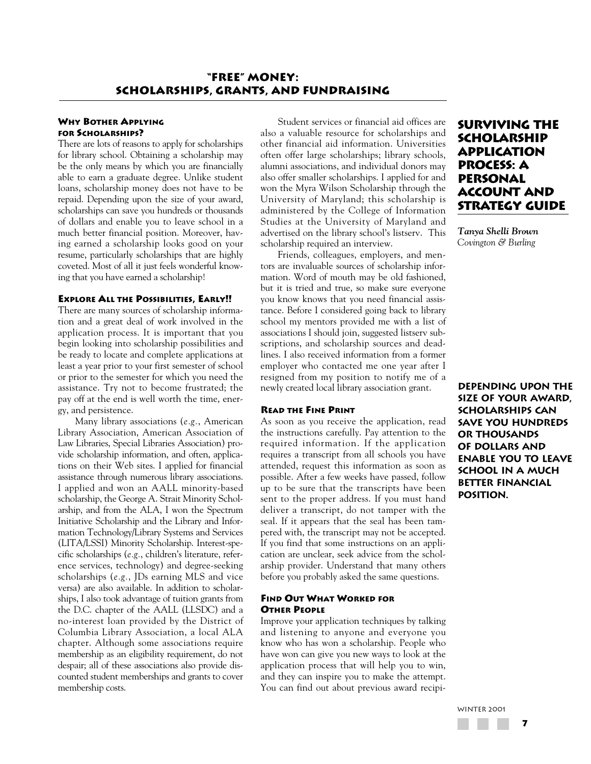# **WHY BOTHER APPLYING FOR SCHOLARSHIPS?**

There are lots of reasons to apply for scholarships for library school. Obtaining a scholarship may be the only means by which you are financially able to earn a graduate degree. Unlike student loans, scholarship money does not have to be repaid. Depending upon the size of your award, scholarships can save you hundreds or thousands of dollars and enable you to leave school in a much better financial position. Moreover, having earned a scholarship looks good on your resume, particularly scholarships that are highly coveted. Most of all it just feels wonderful knowing that you have earned a scholarship!

#### **EXPLORE ALL THE POSSIBILITIES, EARLY!!**

There are many sources of scholarship information and a great deal of work involved in the application process. It is important that you begin looking into scholarship possibilities and be ready to locate and complete applications at least a year prior to your first semester of school or prior to the semester for which you need the assistance. Try not to become frustrated; the pay off at the end is well worth the time, energy, and persistence.

Many library associations (*e.g.*, American Library Association, American Association of Law Libraries, Special Libraries Association) provide scholarship information, and often, applications on their Web sites. I applied for financial assistance through numerous library associations. I applied and won an AALL minority-based scholarship, the George A. Strait Minority Scholarship, and from the ALA, I won the Spectrum Initiative Scholarship and the Library and Information Technology/Library Systems and Services (LITA/LSSI) Minority Scholarship. Interest-specific scholarships (*e.g.*, children's literature, reference services, technology) and degree-seeking scholarships (*e.g.*, JDs earning MLS and vice versa) are also available. In addition to scholarships, I also took advantage of tuition grants from the D.C. chapter of the AALL (LLSDC) and a no-interest loan provided by the District of Columbia Library Association, a local ALA chapter. Although some associations require membership as an eligibility requirement, do not despair; all of these associations also provide discounted student memberships and grants to cover membership costs.

Student services or financial aid offices are also a valuable resource for scholarships and other financial aid information. Universities often offer large scholarships; library schools, alumni associations, and individual donors may also offer smaller scholarships. I applied for and won the Myra Wilson Scholarship through the University of Maryland; this scholarship is administered by the College of Information Studies at the University of Maryland and advertised on the library school's listserv. This scholarship required an interview.

Friends, colleagues, employers, and mentors are invaluable sources of scholarship information. Word of mouth may be old fashioned, but it is tried and true, so make sure everyone you know knows that you need financial assistance. Before I considered going back to library school my mentors provided me with a list of associations I should join, suggested listserv subscriptions, and scholarship sources and deadlines. I also received information from a former employer who contacted me one year after I resigned from my position to notify me of a newly created local library association grant.

#### **READ THE FINE PRINT**

As soon as you receive the application, read the instructions carefully. Pay attention to the required information. If the application requires a transcript from all schools you have attended, request this information as soon as possible. After a few weeks have passed, follow up to be sure that the transcripts have been sent to the proper address. If you must hand deliver a transcript, do not tamper with the seal. If it appears that the seal has been tampered with, the transcript may not be accepted. If you find that some instructions on an application are unclear, seek advice from the scholarship provider. Understand that many others before you probably asked the same questions.

# **FIND OUT WHAT WORKED FOR OTHER PEOPLE**

Improve your application techniques by talking and listening to anyone and everyone you know who has won a scholarship. People who have won can give you new ways to look at the application process that will help you to win, and they can inspire you to make the attempt. You can find out about previous award recipi-

# **Surviving the Scholarship Application Process: A Personal Account and Strategy Guide**

*Tanya Shelli Brown Covington & Burling*

**Depending upon the size of your award, scholarships can save you hundreds or thousands of dollars and enable you to leave school in a much better financial position.**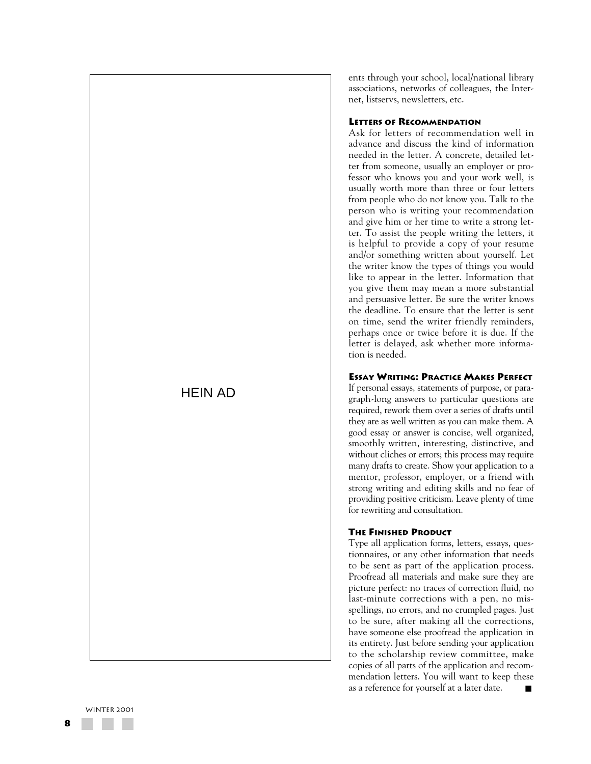# HEIN AD

ents through your school, local/national library associations, networks of colleagues, the Internet, listservs, newsletters, etc.

# **LETTERS OF RECOMMENDATION**

Ask for letters of recommendation well in advance and discuss the kind of information needed in the letter. A concrete, detailed letter from someone, usually an employer or professor who knows you and your work well, is usually worth more than three or four letters from people who do not know you. Talk to the person who is writing your recommendation and give him or her time to write a strong letter. To assist the people writing the letters, it is helpful to provide a copy of your resume and/or something written about yourself. Let the writer know the types of things you would like to appear in the letter. Information that you give them may mean a more substantial and persuasive letter. Be sure the writer knows the deadline. To ensure that the letter is sent on time, send the writer friendly reminders, perhaps once or twice before it is due. If the letter is delayed, ask whether more information is needed.

# **ESSAY WRITING: PRACTICE MAKES PERFECT**

If personal essays, statements of purpose, or paragraph-long answers to particular questions are required, rework them over a series of drafts until they are as well written as you can make them. A good essay or answer is concise, well organized, smoothly written, interesting, distinctive, and without cliches or errors; this process may require many drafts to create. Show your application to a mentor, professor, employer, or a friend with strong writing and editing skills and no fear of providing positive criticism. Leave plenty of time for rewriting and consultation.

# **THE FINISHED PRODUCT**

Type all application forms, letters, essays, questionnaires, or any other information that needs to be sent as part of the application process. Proofread all materials and make sure they are picture perfect: no traces of correction fluid, no last-minute corrections with a pen, no misspellings, no errors, and no crumpled pages. Just to be sure, after making all the corrections, have someone else proofread the application in its entirety. Just before sending your application to the scholarship review committee, make copies of all parts of the application and recommendation letters. You will want to keep these as a reference for yourself at a later date. ■

WINTER 2001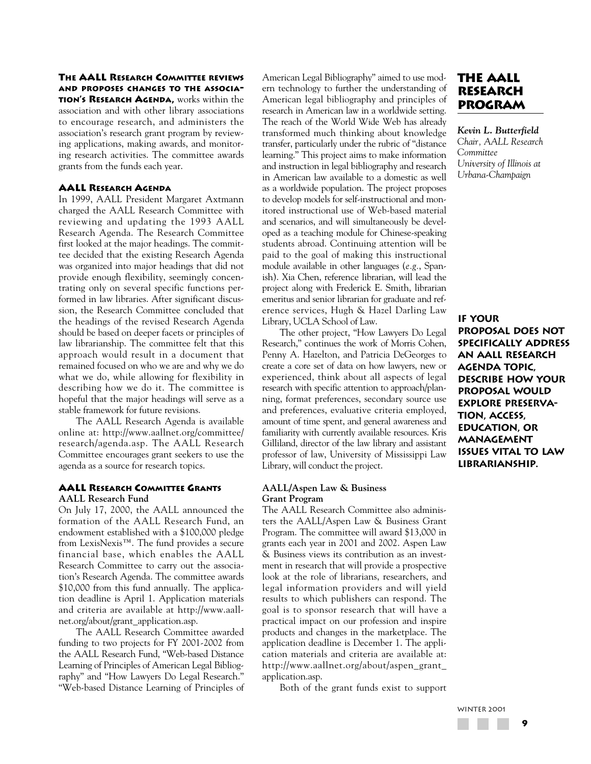**THE AALL RESEARCH COMMITTEE REVIEWS AND PROPOSES CHANGES TO THE ASSOCIA-TION'S RESEARCH AGENDA,** works within the association and with other library associations to encourage research, and administers the association's research grant program by reviewing applications, making awards, and monitoring research activities. The committee awards grants from the funds each year.

### **AALL RESEARCH AGENDA**

In 1999, AALL President Margaret Axtmann charged the AALL Research Committee with reviewing and updating the 1993 AALL Research Agenda. The Research Committee first looked at the major headings. The committee decided that the existing Research Agenda was organized into major headings that did not provide enough flexibility, seemingly concentrating only on several specific functions performed in law libraries. After significant discussion, the Research Committee concluded that the headings of the revised Research Agenda should be based on deeper facets or principles of law librarianship. The committee felt that this approach would result in a document that remained focused on who we are and why we do what we do, while allowing for flexibility in describing how we do it. The committee is hopeful that the major headings will serve as a stable framework for future revisions.

The AALL Research Agenda is available online at: http://www.aallnet.org/committee/ research/agenda.asp. The AALL Research Committee encourages grant seekers to use the agenda as a source for research topics.

### **AALL RESEARCH COMMITTEE GRANTS AALL Research Fund**

On July 17, 2000, the AALL announced the formation of the AALL Research Fund, an endowment established with a \$100,000 pledge from LexisNexis™. The fund provides a secure financial base, which enables the AALL Research Committee to carry out the association's Research Agenda. The committee awards \$10,000 from this fund annually. The application deadline is April 1. Application materials and criteria are available at http://www.aallnet.org/about/grant\_application.asp.

The AALL Research Committee awarded funding to two projects for FY 2001-2002 from the AALL Research Fund, "Web-based Distance Learning of Principles of American Legal Bibliography" and "How Lawyers Do Legal Research." "Web-based Distance Learning of Principles of American Legal Bibliography" aimed to use modern technology to further the understanding of American legal bibliography and principles of research in American law in a worldwide setting. The reach of the World Wide Web has already transformed much thinking about knowledge transfer, particularly under the rubric of "distance learning." This project aims to make information and instruction in legal bibliography and research in American law available to a domestic as well as a worldwide population. The project proposes to develop models for self-instructional and monitored instructional use of Web-based material and scenarios, and will simultaneously be developed as a teaching module for Chinese-speaking students abroad. Continuing attention will be paid to the goal of making this instructional module available in other languages (*e.g.*, Spanish). Xia Chen, reference librarian, will lead the project along with Frederick E. Smith, librarian emeritus and senior librarian for graduate and reference services, Hugh & Hazel Darling Law Library, UCLA School of Law.

The other project, "How Lawyers Do Legal Research," continues the work of Morris Cohen, Penny A. Hazelton, and Patricia DeGeorges to create a core set of data on how lawyers, new or experienced, think about all aspects of legal research with specific attention to approach/planning, format preferences, secondary source use and preferences, evaluative criteria employed, amount of time spent, and general awareness and familiarity with currently available resources. Kris Gilliland, director of the law library and assistant professor of law, University of Mississippi Law Library, will conduct the project.

#### **AALL/Aspen Law & Business Grant Program**

The AALL Research Committee also administers the AALL/Aspen Law & Business Grant Program. The committee will award \$13,000 in grants each year in 2001 and 2002. Aspen Law & Business views its contribution as an investment in research that will provide a prospective look at the role of librarians, researchers, and legal information providers and will yield results to which publishers can respond. The goal is to sponsor research that will have a practical impact on our profession and inspire products and changes in the marketplace. The application deadline is December 1. The application materials and criteria are available at: http://www.aallnet.org/about/aspen\_grant\_ application.asp.

Both of the grant funds exist to support

# **The AALL Research Program**

*Kevin L. Butterfield Chair, AALL Research Committee University of Illinois at Urbana-Champaign*

# **If your**

**proposal does not specifically address an AALL Research Agenda topic, describe how your proposal would explore preservation, access, education, or management issues vital to law librarianship.**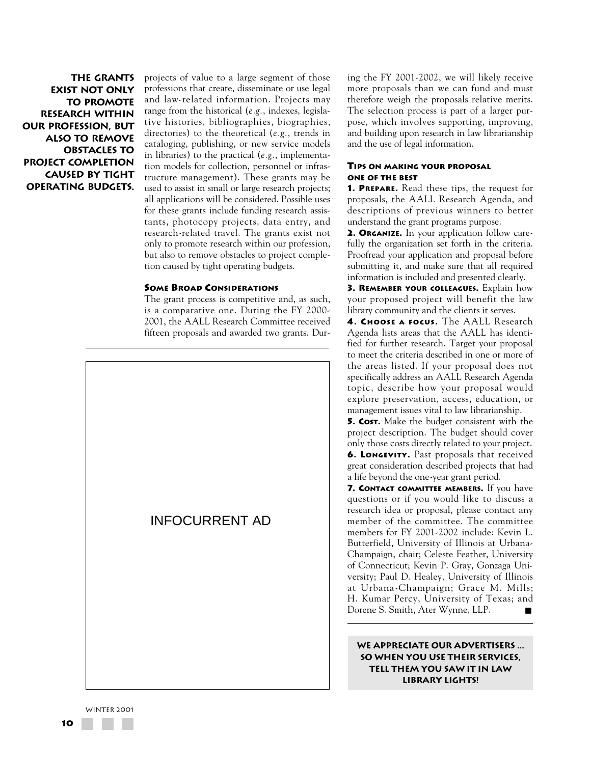**The grants exist not only to promote research within our profession, but also to remove obstacles to project completion caused by tight operating budgets.** projects of value to a large segment of those professions that create, disseminate or use legal and law-related information. Projects may range from the historical (*e.g.*, indexes, legislative histories, bibliographies, biographies, directories) to the theoretical (*e.g.*, trends in cataloging, publishing, or new service models in libraries) to the practical (*e.g.*, implementation models for collection, personnel or infrastructure management). These grants may be used to assist in small or large research projects; all applications will be considered. Possible uses for these grants include funding research assistants, photocopy projects, data entry, and research-related travel. The grants exist not only to promote research within our profession, but also to remove obstacles to project completion caused by tight operating budgets.

#### **SOME BROAD CONSIDERATIONS**

The grant process is competitive and, as such, is a comparative one. During the FY 2000- 2001, the AALL Research Committee received fifteen proposals and awarded two grants. Dur-



ing the FY 2001-2002, we will likely receive more proposals than we can fund and must therefore weigh the proposals relative merits. The selection process is part of a larger purpose, which involves supporting, improving, and building upon research in law librarianship and the use of legal information.

### **TIPS ON MAKING YOUR PROPOSAL ONE OF THE BEST**

**1. PREPARE.** Read these tips, the request for proposals, the AALL Research Agenda, and descriptions of previous winners to better understand the grant programs purpose.

**2. ORGANIZE.** In your application follow carefully the organization set forth in the criteria. Proofread your application and proposal before submitting it, and make sure that all required information is included and presented clearly.

**3. REMEMBER YOUR COLLEAGUES.** Explain how your proposed project will benefit the law library community and the clients it serves.

**4. CHOOSE A FOCUS.** The AALL Research Agenda lists areas that the AALL has identified for further research. Target your proposal to meet the criteria described in one or more of the areas listed. If your proposal does not specifically address an AALL Research Agenda topic, describe how your proposal would explore preservation, access, education, or management issues vital to law librarianship.

**5. COST.** Make the budget consistent with the project description. The budget should cover only those costs directly related to your project. **6. LONGEVITY.** Past proposals that received great consideration described projects that had a life beyond the one-year grant period.

**7. CONTACT COMMITTEE MEMBERS.** If you have questions or if you would like to discuss a research idea or proposal, please contact any member of the committee. The committee members for FY 2001-2002 include: Kevin L. Butterfield, University of Illinois at Urbana-Champaign, chair; Celeste Feather, University of Connecticut; Kevin P. Gray, Gonzaga University; Paul D. Healey, University of Illinois at Urbana-Champaign; Grace M. Mills; H. Kumar Percy, University of Texas; and Dorene S. Smith, Ater Wynne, LLP. ■

**We appreciate our advertisers ... so when you use their services, tell them you saw it in Law Library Lights!**

WINTER 2001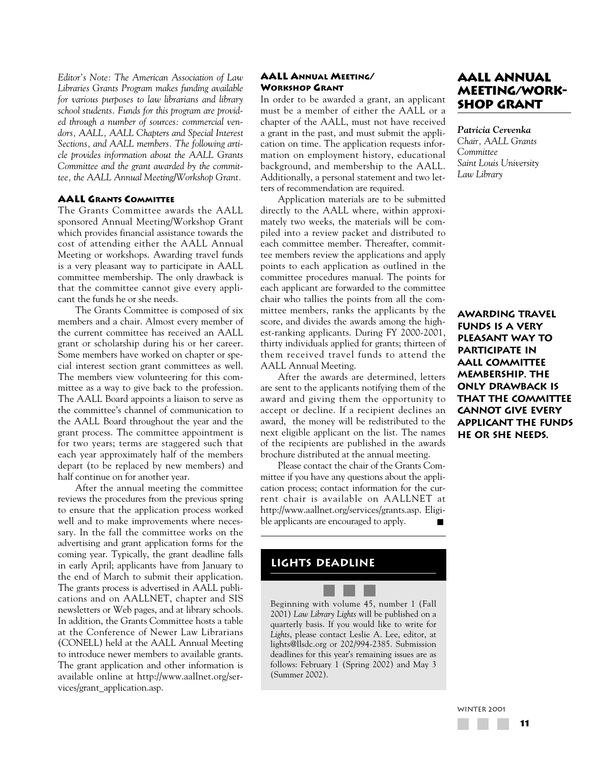*Editor's Note: The American Association of Law Libraries Grants Program makes funding available for various purposes to law librarians and library school students. Funds for this program are provided through a number of sources: commercial vendors, AALL, AALL Chapters and Special Interest Sections, and AALL members. The following article provides information about the AALL Grants Committee and the grant awarded by the committee, the AALL Annual Meeting/Workshop Grant.*

### **AALL GRANTS COMMITTEE**

The Grants Committee awards the AALL sponsored Annual Meeting/Workshop Grant which provides financial assistance towards the cost of attending either the AALL Annual Meeting or workshops. Awarding travel funds is a very pleasant way to participate in AALL committee membership. The only drawback is that the committee cannot give every applicant the funds he or she needs.

The Grants Committee is composed of six members and a chair. Almost every member of the current committee has received an AALL grant or scholarship during his or her career. Some members have worked on chapter or special interest section grant committees as well. The members view volunteering for this committee as a way to give back to the profession. The AALL Board appoints a liaison to serve as the committee's channel of communication to the AALL Board throughout the year and the grant process. The committee appointment is for two years; terms are staggered such that each year approximately half of the members depart (to be replaced by new members) and half continue on for another year.

After the annual meeting the committee reviews the procedures from the previous spring to ensure that the application process worked well and to make improvements where necessary. In the fall the committee works on the advertising and grant application forms for the coming year. Typically, the grant deadline falls in early April; applicants have from January to the end of March to submit their application. The grants process is advertised in AALL publications and on AALLNET, chapter and SIS newsletters or Web pages, and at library schools. In addition, the Grants Committee hosts a table at the Conference of Newer Law Librarians (CONELL) held at the AALL Annual Meeting to introduce newer members to available grants. The grant application and other information is available online at http://www.aallnet.org/services/grant\_application.asp.

### **AALL ANNUAL MEETING/ WORKSHOP GRANT**

In order to be awarded a grant, an applicant must be a member of either the AALL or a chapter of the AALL, must not have received a grant in the past, and must submit the application on time. The application requests information on employment history, educational background, and membership to the AALL. Additionally, a personal statement and two letters of recommendation are required.

Application materials are to be submitted directly to the AALL where, within approximately two weeks, the materials will be compiled into a review packet and distributed to each committee member. Thereafter, committee members review the applications and apply points to each application as outlined in the committee procedures manual. The points for each applicant are forwarded to the committee chair who tallies the points from all the committee members, ranks the applicants by the score, and divides the awards among the highest-ranking applicants. During FY 2000-2001, thirty individuals applied for grants; thirteen of them received travel funds to attend the AALL Annual Meeting.

After the awards are determined, letters are sent to the applicants notifying them of the award and giving them the opportunity to accept or decline. If a recipient declines an award, the money will be redistributed to the next eligible applicant on the list. The names of the recipients are published in the awards brochure distributed at the annual meeting.

Please contact the chair of the Grants Committee if you have any questions about the application process; contact information for the current chair is available on AALLNET at http://www.aallnet.org/services/grants.asp. Eligible applicants are encouraged to apply.

# **lights deadline**

Beginning with volume 45, number 1 (Fall 2001) *Law Library Lights* will be published on a quarterly basis. If you would like to write for *Lights*, please contact Leslie A. Lee, editor, at lights@llsdc.org or 202/994-2385. Submission deadlines for this year's remaining issues are as follows: February 1 (Spring 2002) and May 3 (Summer 2002).

# **AALL Annual Meeting/Workshop Grant**

*Patricia Cervenka Chair, AALL Grants Committee Saint Louis University Law Library*

**Awarding travel funds is a very pleasant way to participate in AALL committee membership. The only drawback is that the committee cannot give every applicant the funds he or she needs.**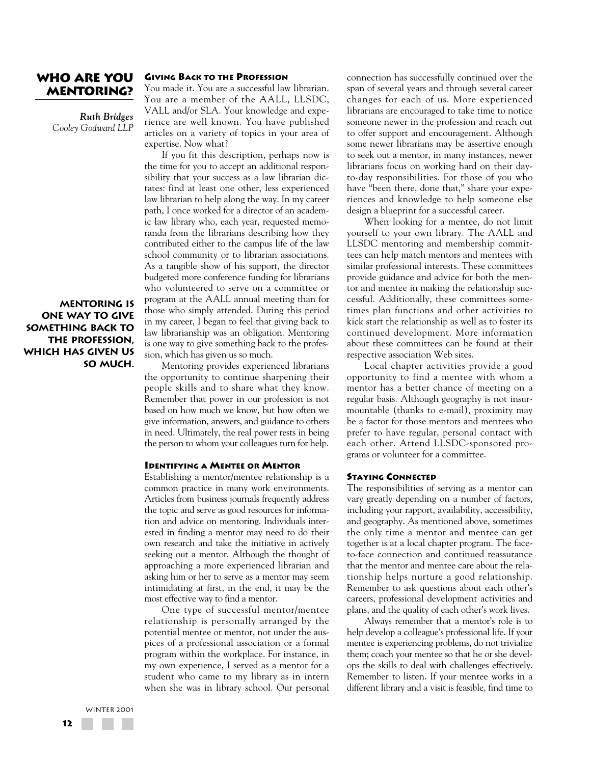# **Who Are You Mentoring?**

*Ruth Bridges Cooley Godward LLP*

**Mentoring is one way to give something back to the profession, which has given us**

**so much.**

### **GIVING BACK TO THE PROFESSION**

You made it. You are a successful law librarian. You are a member of the AALL, LLSDC, VALL and/or SLA. Your knowledge and experience are well known. You have published articles on a variety of topics in your area of expertise. Now what?

If you fit this description, perhaps now is the time for you to accept an additional responsibility that your success as a law librarian dictates: find at least one other, less experienced law librarian to help along the way. In my career path, I once worked for a director of an academic law library who, each year, requested memoranda from the librarians describing how they contributed either to the campus life of the law school community or to librarian associations. As a tangible show of his support, the director budgeted more conference funding for librarians who volunteered to serve on a committee or program at the AALL annual meeting than for those who simply attended. During this period in my career, I began to feel that giving back to law librarianship was an obligation. Mentoring is one way to give something back to the profession, which has given us so much.

Mentoring provides experienced librarians the opportunity to continue sharpening their people skills and to share what they know. Remember that power in our profession is not based on how much we know, but how often we give information, answers, and guidance to others in need. Ultimately, the real power rests in being the person to whom your colleagues turn for help.

### **IDENTIFYING A MENTEE OR MENTOR**

Establishing a mentor/mentee relationship is a common practice in many work environments. Articles from business journals frequently address the topic and serve as good resources for information and advice on mentoring. Individuals interested in finding a mentor may need to do their own research and take the initiative in actively seeking out a mentor. Although the thought of approaching a more experienced librarian and asking him or her to serve as a mentor may seem intimidating at first, in the end, it may be the most effective way to find a mentor.

One type of successful mentor/mentee relationship is personally arranged by the potential mentee or mentor, not under the auspices of a professional association or a formal program within the workplace. For instance, in my own experience, I served as a mentor for a student who came to my library as in intern when she was in library school. Our personal connection has successfully continued over the span of several years and through several career changes for each of us. More experienced librarians are encouraged to take time to notice someone newer in the profession and reach out to offer support and encouragement. Although some newer librarians may be assertive enough to seek out a mentor, in many instances, newer librarians focus on working hard on their dayto-day responsibilities. For those of you who have "been there, done that," share your experiences and knowledge to help someone else design a blueprint for a successful career.

When looking for a mentee, do not limit yourself to your own library. The AALL and LLSDC mentoring and membership committees can help match mentors and mentees with similar professional interests. These committees provide guidance and advice for both the mentor and mentee in making the relationship successful. Additionally, these committees sometimes plan functions and other activities to kick start the relationship as well as to foster its continued development. More information about these committees can be found at their respective association Web sites.

Local chapter activities provide a good opportunity to find a mentee with whom a mentor has a better chance of meeting on a regular basis. Although geography is not insurmountable (thanks to e-mail), proximity may be a factor for those mentors and mentees who prefer to have regular, personal contact with each other. Attend LLSDC-sponsored programs or volunteer for a committee.

# **STAYING CONNECTED**

The responsibilities of serving as a mentor can vary greatly depending on a number of factors, including your rapport, availability, accessibility, and geography. As mentioned above, sometimes the only time a mentor and mentee can get together is at a local chapter program. The faceto-face connection and continued reassurance that the mentor and mentee care about the relationship helps nurture a good relationship. Remember to ask questions about each other's careers, professional development activities and plans, and the quality of each other's work lives.

Always remember that a mentor's role is to help develop a colleague's professional life. If your mentee is experiencing problems, do not trivialize them; coach your mentee so that he or she develops the skills to deal with challenges effectively. Remember to listen. If your mentee works in a different library and a visit is feasible, find time to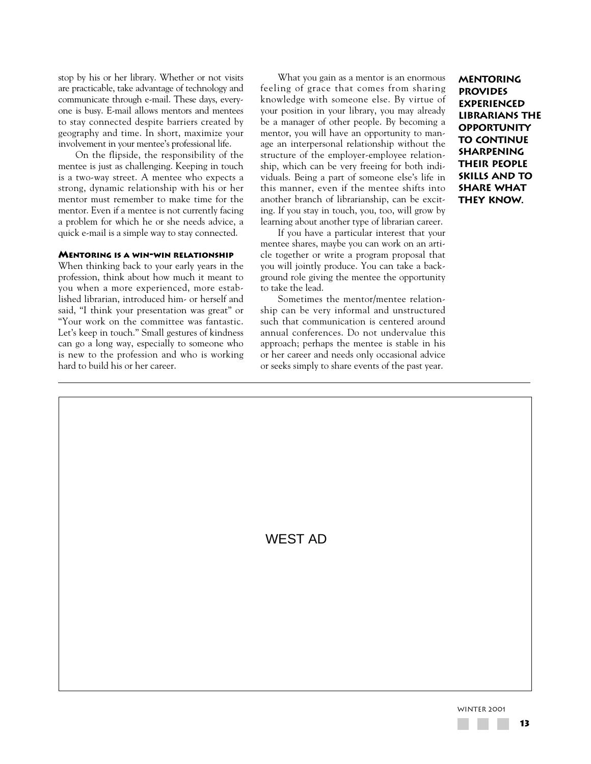stop by his or her library. Whether or not visits are practicable, take advantage of technology and communicate through e-mail. These days, everyone is busy. E-mail allows mentors and mentees to stay connected despite barriers created by geography and time. In short, maximize your involvement in your mentee's professional life.

On the flipside, the responsibility of the mentee is just as challenging. Keeping in touch is a two-way street. A mentee who expects a strong, dynamic relationship with his or her mentor must remember to make time for the mentor. Even if a mentee is not currently facing a problem for which he or she needs advice, a quick e-mail is a simple way to stay connected.

### **MENTORING IS A WIN-WIN RELATIONSHIP**

When thinking back to your early years in the profession, think about how much it meant to you when a more experienced, more established librarian, introduced him- or herself and said, "I think your presentation was great" or "Your work on the committee was fantastic. Let's keep in touch." Small gestures of kindness can go a long way, especially to someone who is new to the profession and who is working hard to build his or her career.

What you gain as a mentor is an enormous feeling of grace that comes from sharing knowledge with someone else. By virtue of your position in your library, you may already be a manager of other people. By becoming a mentor, you will have an opportunity to manage an interpersonal relationship without the structure of the employer-employee relationship, which can be very freeing for both individuals. Being a part of someone else's life in this manner, even if the mentee shifts into another branch of librarianship, can be exciting. If you stay in touch, you, too, will grow by learning about another type of librarian career.

If you have a particular interest that your mentee shares, maybe you can work on an article together or write a program proposal that you will jointly produce. You can take a background role giving the mentee the opportunity to take the lead.

Sometimes the mentor/mentee relationship can be very informal and unstructured such that communication is centered around annual conferences. Do not undervalue this approach; perhaps the mentee is stable in his or her career and needs only occasional advice or seeks simply to share events of the past year.

**Mentoring provides experienced librarians the opportunity to continue sharpening their people skills and to share what they know.**

WEST AD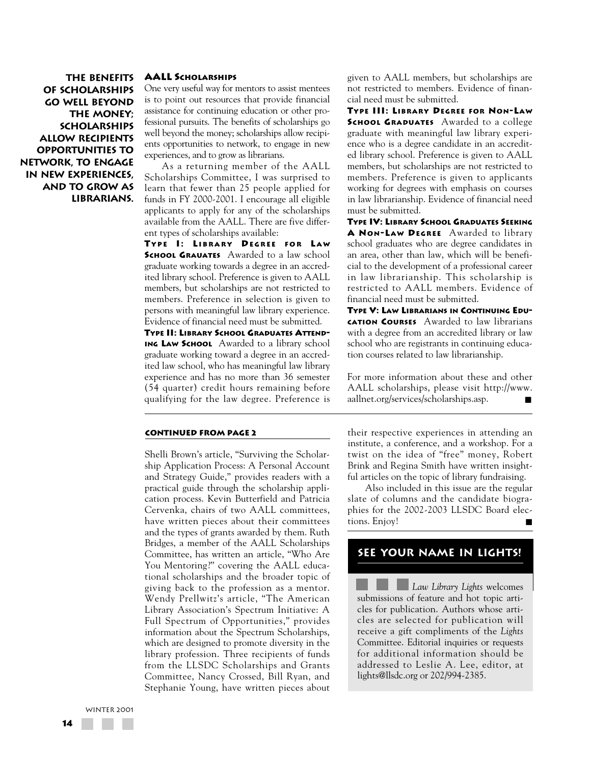**The benefits of scholarships go well beyond the money; scholarships allow recipients opportunities to network, to engage in new experiences, and to grow as librarians.**

### **AALL SCHOLARSHIPS**

One very useful way for mentors to assist mentees is to point out resources that provide financial assistance for continuing education or other professional pursuits. The benefits of scholarships go well beyond the money; scholarships allow recipients opportunities to network, to engage in new experiences, and to grow as librarians.

As a returning member of the AALL Scholarships Committee, I was surprised to learn that fewer than 25 people applied for funds in FY 2000-2001. I encourage all eligible applicants to apply for any of the scholarships available from the AALL. There are five different types of scholarships available:

**TYPE I: LIBRARY DEGREE FOR L A W SCHOOL GRAUATES** Awarded to a law school graduate working towards a degree in an accredited library school. Preference is given to AALL members, but scholarships are not restricted to members. Preference in selection is given to persons with meaningful law library experience. Evidence of financial need must be submitted.

**TYPE II: LIBRARY SCHOOL GRADUATES ATTEND-ING LAW SCHOOL** Awarded to a library school graduate working toward a degree in an accredited law school, who has meaningful law library experience and has no more than 36 semester (54 quarter) credit hours remaining before qualifying for the law degree. Preference is

#### **CONTINUED FROM PAGE 2**

Shelli Brown's article, "Surviving the Scholarship Application Process: A Personal Account and Strategy Guide," provides readers with a practical guide through the scholarship application process. Kevin Butterfield and Patricia Cervenka, chairs of two AALL committees, have written pieces about their committees and the types of grants awarded by them. Ruth Bridges, a member of the AALL Scholarships Committee, has written an article, "Who Are You Mentoring?" covering the AALL educational scholarships and the broader topic of giving back to the profession as a mentor. Wendy Prellwitz's article, "The American Library Association's Spectrum Initiative: A Full Spectrum of Opportunities," provides information about the Spectrum Scholarships, which are designed to promote diversity in the library profession. Three recipients of funds from the LLSDC Scholarships and Grants Committee, Nancy Crossed, Bill Ryan, and Stephanie Young, have written pieces about given to AALL members, but scholarships are not restricted to members. Evidence of financial need must be submitted.

**TYPE III: LIBRARY DEGREE FOR NON-LAW SCHOOL GRADUATES** Awarded to a college graduate with meaningful law library experience who is a degree candidate in an accredited library school. Preference is given to AALL members, but scholarships are not restricted to members. Preference is given to applicants working for degrees with emphasis on courses in law librarianship. Evidence of financial need must be submitted.

**TYPE IV: LIBRARY SCHOOL GRADUATES SEEKING A NON-LAW DEGREE** Awarded to library school graduates who are degree candidates in an area, other than law, which will be beneficial to the development of a professional career in law librarianship. This scholarship is restricted to AALL members. Evidence of financial need must be submitted.

**TYPE V: LAW LIBRARIANS IN CONTINUING EDU-CATION COURSES** Awarded to law librarians with a degree from an accredited library or law school who are registrants in continuing education courses related to law librarianship.

For more information about these and other AALL scholarships, please visit http://www. aallnet.org/services/scholarships.asp.

their respective experiences in attending an institute, a conference, and a workshop. For a twist on the idea of "free" money, Robert Brink and Regina Smith have written insightful articles on the topic of library fundraising.

Also included in this issue are the regular slate of columns and the candidate biographies for the 2002-2003 LLSDC Board elections. Enjoy!

# **see your name in lights!**

**Law Library Lights welcomes** submissions of feature and hot topic articles for publication. Authors whose articles are selected for publication will receive a gift compliments of the *Lights* Committee. Editorial inquiries or requests for additional information should be addressed to Leslie A. Lee, editor, at lights@llsdc.org or 202/994-2385.

WINTER 2001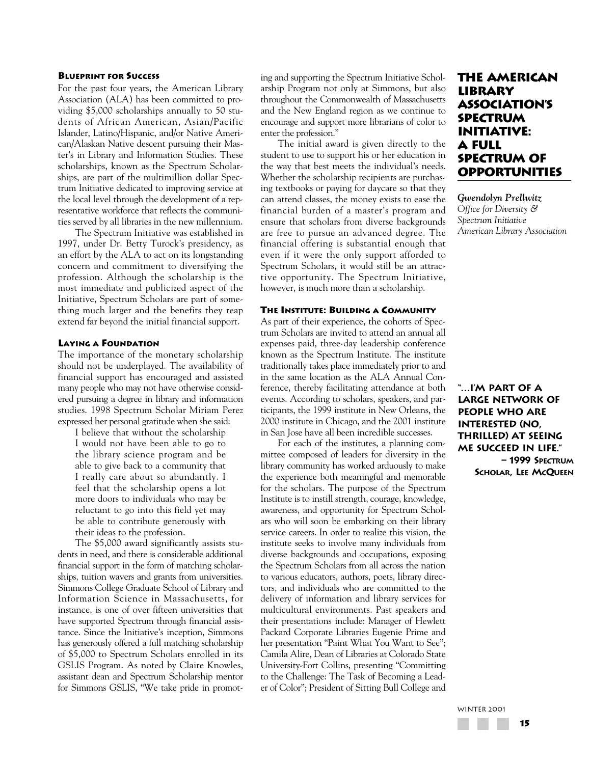#### **BLUEPRINT FOR SUCCESS**

For the past four years, the American Library Association (ALA) has been committed to providing \$5,000 scholarships annually to 50 students of African American, Asian/Pacific Islander, Latino/Hispanic, and/or Native American/Alaskan Native descent pursuing their Master's in Library and Information Studies. These scholarships, known as the Spectrum Scholarships, are part of the multimillion dollar Spectrum Initiative dedicated to improving service at the local level through the development of a representative workforce that reflects the communities served by all libraries in the new millennium.

The Spectrum Initiative was established in 1997, under Dr. Betty Turock's presidency, as an effort by the ALA to act on its longstanding concern and commitment to diversifying the profession. Although the scholarship is the most immediate and publicized aspect of the Initiative, Spectrum Scholars are part of something much larger and the benefits they reap extend far beyond the initial financial support.

#### **LAYING A FOUNDATION**

The importance of the monetary scholarship should not be underplayed. The availability of financial support has encouraged and assisted many people who may not have otherwise considered pursuing a degree in library and information studies. 1998 Spectrum Scholar Miriam Perez expressed her personal gratitude when she said:

I believe that without the scholarship I would not have been able to go to the library science program and be able to give back to a community that I really care about so abundantly. I feel that the scholarship opens a lot more doors to individuals who may be reluctant to go into this field yet may be able to contribute generously with their ideas to the profession.

The \$5,000 award significantly assists students in need, and there is considerable additional financial support in the form of matching scholarships, tuition wavers and grants from universities. Simmons College Graduate School of Library and Information Science in Massachusetts, for instance, is one of over fifteen universities that have supported Spectrum through financial assistance. Since the Initiative's inception, Simmons has generously offered a full matching scholarship of \$5,000 to Spectrum Scholars enrolled in its GSLIS Program. As noted by Claire Knowles, assistant dean and Spectrum Scholarship mentor for Simmons GSLIS, "We take pride in promoting and supporting the Spectrum Initiative Scholarship Program not only at Simmons, but also throughout the Commonwealth of Massachusetts and the New England region as we continue to encourage and support more librarians of color to enter the profession."

The initial award is given directly to the student to use to support his or her education in the way that best meets the individual's needs. Whether the scholarship recipients are purchasing textbooks or paying for daycare so that they can attend classes, the money exists to ease the financial burden of a master's program and ensure that scholars from diverse backgrounds are free to pursue an advanced degree. The financial offering is substantial enough that even if it were the only support afforded to Spectrum Scholars, it would still be an attractive opportunity. The Spectrum Initiative, however, is much more than a scholarship.

### **THE INSTITUTE: BUILDING A COMMUNITY**

As part of their experience, the cohorts of Spectrum Scholars are invited to attend an annual all expenses paid, three-day leadership conference known as the Spectrum Institute. The institute traditionally takes place immediately prior to and in the same location as the ALA Annual Conference, thereby facilitating attendance at both events. According to scholars, speakers, and participants, the 1999 institute in New Orleans, the 2000 institute in Chicago, and the 2001 institute in San Jose have all been incredible successes.

For each of the institutes, a planning committee composed of leaders for diversity in the library community has worked arduously to make the experience both meaningful and memorable for the scholars. The purpose of the Spectrum Institute is to instill strength, courage, knowledge, awareness, and opportunity for Spectrum Scholars who will soon be embarking on their library service careers. In order to realize this vision, the institute seeks to involve many individuals from diverse backgrounds and occupations, exposing the Spectrum Scholars from all across the nation to various educators, authors, poets, library directors, and individuals who are committed to the delivery of information and library services for multicultural environments. Past speakers and their presentations include: Manager of Hewlett Packard Corporate Libraries Eugenie Prime and her presentation "Paint What You Want to See"; Camila Alire, Dean of Libraries at Colorado State University-Fort Collins, presenting "Committing to the Challenge: The Task of Becoming a Leader of Color"; President of Sitting Bull College and

# **The American Library Association's Spectrum Initiative: A Full Spectrum of Opportunities**

*Gwendolyn Prellwitz Office for Diversity & Spectrum Initiative American Library Association*

**"…I'm part of a large network of people who are interested (no, thrilled) at seeing me succeed in life." – 1999 SPECTRUM SCHOLAR, LEE MCQUEEN**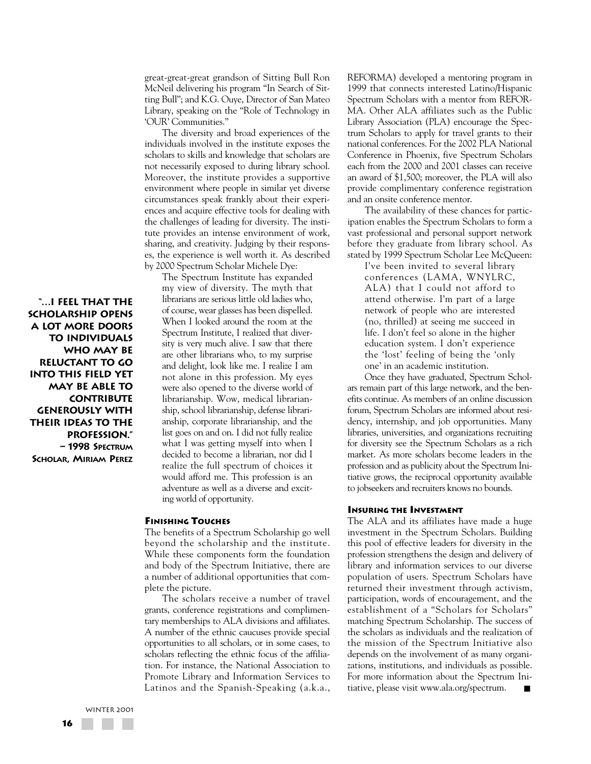great-great-great grandson of Sitting Bull Ron McNeil delivering his program "In Search of Sitting Bull"; and K.G. Ouye, Director of San Mateo Library, speaking on the "Role of Technology in 'OUR' Communities."

The diversity and broad experiences of the individuals involved in the institute exposes the scholars to skills and knowledge that scholars are not necessarily exposed to during library school. Moreover, the institute provides a supportive environment where people in similar yet diverse circumstances speak frankly about their experiences and acquire effective tools for dealing with the challenges of leading for diversity. The institute provides an intense environment of work, sharing, and creativity. Judging by their responses, the experience is well worth it. As described by 2000 Spectrum Scholar Michele Dye:

The Spectrum Institute has expanded my view of diversity. The myth that librarians are serious little old ladies who, of course, wear glasses has been dispelled. When I looked around the room at the Spectrum Institute, I realized that diversity is very much alive. I saw that there are other librarians who, to my surprise and delight, look like me. I realize I am not alone in this profession. My eyes were also opened to the diverse world of librarianship. Wow, medical librarianship, school librarianship, defense librarianship, corporate librarianship, and the list goes on and on. I did not fully realize what I was getting myself into when I decided to become a librarian, nor did I realize the full spectrum of choices it would afford me. This profession is an adventure as well as a diverse and exciting world of opportunity.

#### **FINISHING TOUCHES**

The benefits of a Spectrum Scholarship go well beyond the scholarship and the institute. While these components form the foundation and body of the Spectrum Initiative, there are a number of additional opportunities that complete the picture.

The scholars receive a number of travel grants, conference registrations and complimentary memberships to ALA divisions and affiliates. A number of the ethnic caucuses provide special opportunities to all scholars, or in some cases, to scholars reflecting the ethnic focus of the affiliation. For instance, the National Association to Promote Library and Information Services to Latinos and the Spanish-Speaking (a.k.a., REFORMA) developed a mentoring program in 1999 that connects interested Latino/Hispanic Spectrum Scholars with a mentor from REFOR-MA. Other ALA affiliates such as the Public Library Association (PLA) encourage the Spectrum Scholars to apply for travel grants to their national conferences. For the 2002 PLA National Conference in Phoenix, five Spectrum Scholars each from the 2000 and 2001 classes can receive an award of \$1,500; moreover, the PLA will also provide complimentary conference registration and an onsite conference mentor.

The availability of these chances for participation enables the Spectrum Scholars to form a vast professional and personal support network before they graduate from library school. As stated by 1999 Spectrum Scholar Lee McQueen:

I've been invited to several library conferences (LAMA, WNYLRC, ALA) that I could not afford to attend otherwise. I'm part of a large network of people who are interested (no, thrilled) at seeing me succeed in life. I don't feel so alone in the higher education system. I don't experience the 'lost' feeling of being the 'only one' in an academic institution.

Once they have graduated, Spectrum Scholars remain part of this large network, and the benefits continue. As members of an online discussion forum, Spectrum Scholars are informed about residency, internship, and job opportunities. Many libraries, universities, and organizations recruiting for diversity see the Spectrum Scholars as a rich market. As more scholars become leaders in the profession and as publicity about the Spectrum Initiative grows, the reciprocal opportunity available to jobseekers and recruiters knows no bounds.

# **INSURING THE INVESTMENT**

The ALA and its affiliates have made a huge investment in the Spectrum Scholars. Building this pool of effective leaders for diversity in the profession strengthens the design and delivery of library and information services to our diverse population of users. Spectrum Scholars have returned their investment through activism, participation, words of encouragement, and the establishment of a "Scholars for Scholars" matching Spectrum Scholarship. The success of the scholars as individuals and the realization of the mission of the Spectrum Initiative also depends on the involvement of as many organizations, institutions, and individuals as possible. For more information about the Spectrum Initiative, please visit www.ala.org/spectrum.

**"…I feel that the scholarship opens a lot more doors to individuals who may be reluctant to go into this field yet may be able to contribute generously with their ideas to the profession." – 1998 SPECTRUM SCHOLAR, MIRIAM PEREZ**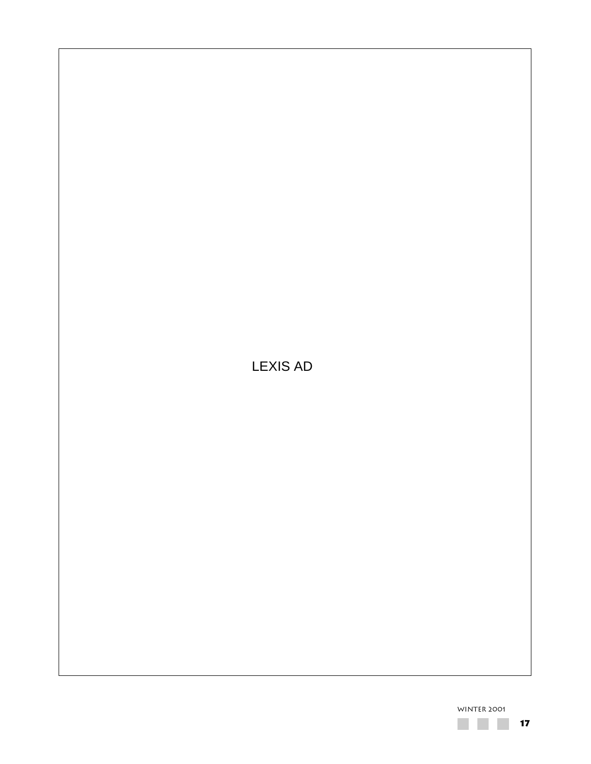LEXIS AD

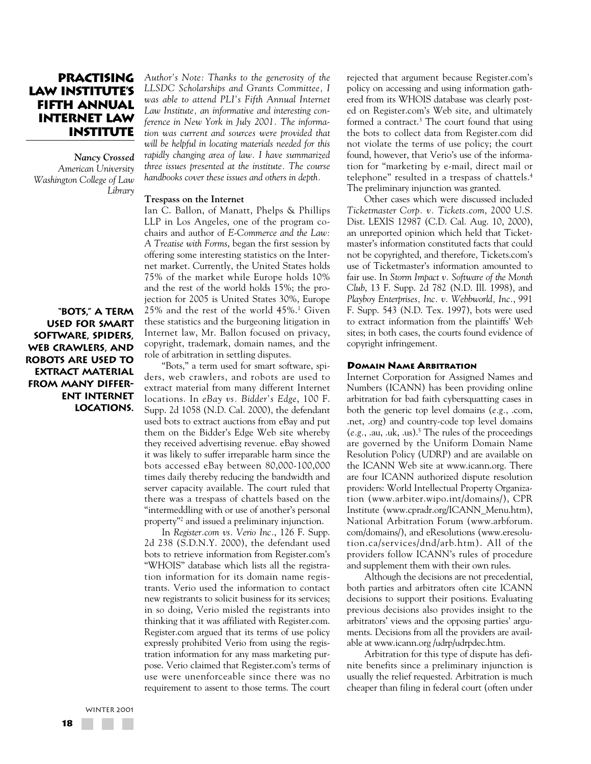# **Practising Law Institute's Fifth Annual Internet Law Institute**

*Nancy Crossed American University Washington College of Law Library*

**"Bots," a term used for smart software, spiders, web crawlers, and robots are used to extract material from many different Internet locations.** *Author's Note: Thanks to the generosity of the LLSDC Scholarships and Grants Committee, I was able to attend PLI's Fifth Annual Internet Law Institute, an informative and interesting conference in New York in July 2001. The information was current and sources were provided that will be helpful in locating materials needed for this rapidly changing area of law. I have summarized three issues presented at the institute. The course handbooks cover these issues and others in depth.*

#### **Trespass on the Internet**

Ian C. Ballon, of Manatt, Phelps & Phillips LLP in Los Angeles, one of the program cochairs and author of *E-Commerce and the Law: A Treatise with Forms*, began the first session by offering some interesting statistics on the Internet market. Currently, the United States holds 75% of the market while Europe holds 10% and the rest of the world holds 15%; the projection for 2005 is United States 30%, Europe 25% and the rest of the world 45%.1 Given these statistics and the burgeoning litigation in Internet law, Mr. Ballon focused on privacy, copyright, trademark, domain names, and the role of arbitration in settling disputes.

"Bots," a term used for smart software, spiders, web crawlers, and robots are used to extract material from many different Internet locations. In *eBay vs. Bidder's Edge*, 100 F. Supp. 2d 1058 (N.D. Cal. 2000), the defendant used bots to extract auctions from eBay and put them on the Bidder's Edge Web site whereby they received advertising revenue. eBay showed it was likely to suffer irreparable harm since the bots accessed eBay between 80,000-100,000 times daily thereby reducing the bandwidth and server capacity available. The court ruled that there was a trespass of chattels based on the "intermeddling with or use of another's personal property"2 and issued a preliminary injunction.

In *Register.com vs. Verio Inc.*, 126 F. Supp. 2d 238 (S.D.N.Y. 2000), the defendant used bots to retrieve information from Register.com's "WHOIS" database which lists all the registration information for its domain name registrants. Verio used the information to contact new registrants to solicit business for its services; in so doing, Verio misled the registrants into thinking that it was affiliated with Register.com. Register.com argued that its terms of use policy expressly prohibited Verio from using the registration information for any mass marketing purpose. Verio claimed that Register.com's terms of use were unenforceable since there was no requirement to assent to those terms. The court rejected that argument because Register.com's policy on accessing and using information gathered from its WHOIS database was clearly posted on Register.com's Web site, and ultimately formed a contract.3 The court found that using the bots to collect data from Register.com did not violate the terms of use policy; the court found, however, that Verio's use of the information for "marketing by e-mail, direct mail or telephone" resulted in a trespass of chattels.4 The preliminary injunction was granted.

Other cases which were discussed included *Ticketmaster Corp. v. Tickets.com*, 2000 U.S. Dist. LEXIS 12987 (C.D. Cal. Aug. 10, 2000), an unreported opinion which held that Ticketmaster's information constituted facts that could not be copyrighted, and therefore, Tickets.com's use of Ticketmaster's information amounted to fair use. In *Storm Impact v. Software of the Month Club*, 13 F. Supp. 2d 782 (N.D. Ill. 1998), and *Playboy Enterprises, Inc. v. Webbworld, Inc.*, 991 F. Supp. 543 (N.D. Tex. 1997), bots were used to extract information from the plaintiffs' Web sites; in both cases, the courts found evidence of copyright infringement.

#### **DOMAIN NAME ARBITRATION**

Internet Corporation for Assigned Names and Numbers (ICANN) has been providing online arbitration for bad faith cybersquatting cases in both the generic top level domains (*e.g.*, .com, .net, .org) and country-code top level domains  $(e.g., .au, .uk, .us).<sup>5</sup>$  The rules of the proceedings are governed by the Uniform Domain Name Resolution Policy (UDRP) and are available on the ICANN Web site at www.icann.org. There are four ICANN authorized dispute resolution providers: World Intellectual Property Organization (www.arbiter.wipo.int/domains/), CPR Institute (www.cpradr.org/ICANN\_Menu.htm), National Arbitration Forum (www.arbforum. com/domains/), and eResolutions (www.eresolution.ca/services/dnd/arb.htm). All of the providers follow ICANN's rules of procedure and supplement them with their own rules.

Although the decisions are not precedential, both parties and arbitrators often cite ICANN decisions to support their positions. Evaluating previous decisions also provides insight to the arbitrators' views and the opposing parties' arguments. Decisions from all the providers are available at www.icann.org /udrp/udrpdec.htm.

Arbitration for this type of dispute has definite benefits since a preliminary injunction is usually the relief requested. Arbitration is much cheaper than filing in federal court (often under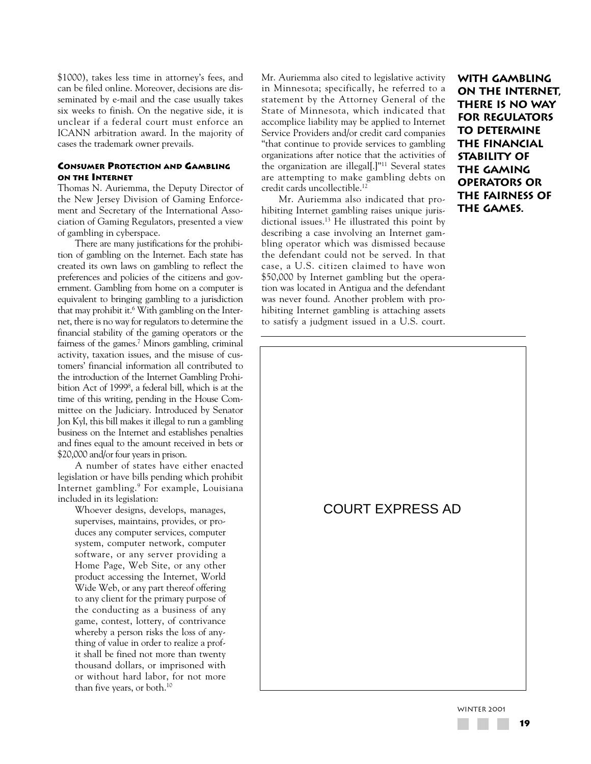\$1000), takes less time in attorney's fees, and can be filed online. Moreover, decisions are disseminated by e-mail and the case usually takes six weeks to finish. On the negative side, it is unclear if a federal court must enforce an ICANN arbitration award. In the majority of cases the trademark owner prevails.

### **CONSUMER PROTECTION AND GAMBLING ON THE INTERNET**

Thomas N. Auriemma, the Deputy Director of the New Jersey Division of Gaming Enforcement and Secretary of the International Association of Gaming Regulators, presented a view of gambling in cyberspace.

There are many justifications for the prohibition of gambling on the Internet. Each state has created its own laws on gambling to reflect the preferences and policies of the citizens and government. Gambling from home on a computer is equivalent to bringing gambling to a jurisdiction that may prohibit it.6 With gambling on the Internet, there is no way for regulators to determine the financial stability of the gaming operators or the fairness of the games.7 Minors gambling, criminal activity, taxation issues, and the misuse of customers' financial information all contributed to the introduction of the Internet Gambling Prohibition Act of 1999<sup>8</sup>, a federal bill, which is at the time of this writing, pending in the House Committee on the Judiciary. Introduced by Senator Jon Kyl, this bill makes it illegal to run a gambling business on the Internet and establishes penalties and fines equal to the amount received in bets or \$20,000 and/or four years in prison.

A number of states have either enacted legislation or have bills pending which prohibit Internet gambling.9 For example, Louisiana included in its legislation:

Whoever designs, develops, manages, supervises, maintains, provides, or produces any computer services, computer system, computer network, computer software, or any server providing a Home Page, Web Site, or any other product accessing the Internet, World Wide Web, or any part thereof offering to any client for the primary purpose of the conducting as a business of any game, contest, lottery, of contrivance whereby a person risks the loss of anything of value in order to realize a profit shall be fined not more than twenty thousand dollars, or imprisoned with or without hard labor, for not more than five years, or both.10

Mr. Auriemma also cited to legislative activity in Minnesota; specifically, he referred to a statement by the Attorney General of the State of Minnesota, which indicated that accomplice liability may be applied to Internet Service Providers and/or credit card companies "that continue to provide services to gambling organizations after notice that the activities of the organization are illegal[.]"11 Several states are attempting to make gambling debts on credit cards uncollectible.12

Mr. Auriemma also indicated that prohibiting Internet gambling raises unique jurisdictional issues.13 He illustrated this point by describing a case involving an Internet gambling operator which was dismissed because the defendant could not be served. In that case, a U.S. citizen claimed to have won \$50,000 by Internet gambling but the operation was located in Antigua and the defendant was never found. Another problem with prohibiting Internet gambling is attaching assets to satisfy a judgment issued in a U.S. court.

**With gambling on the Internet, there is no way for regulators to determine the financial stability of the gaming operators or the fairness of the games.**

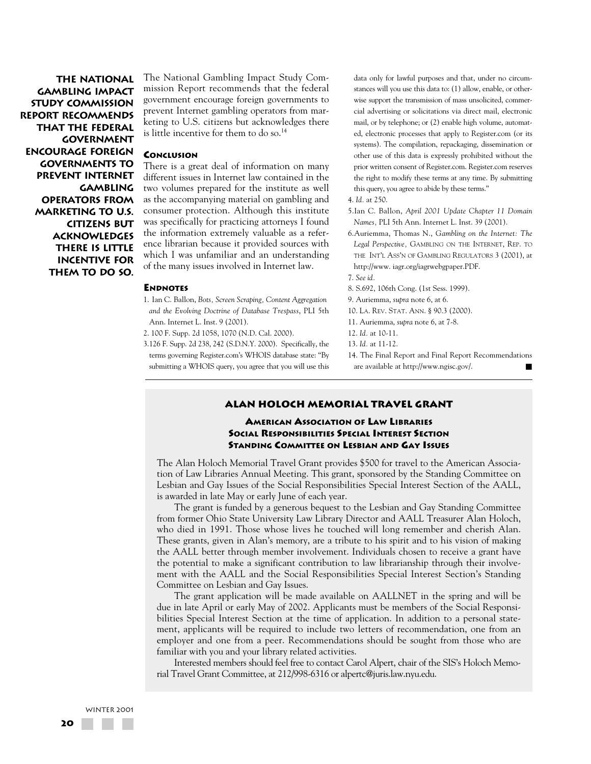**The National Gambling Impact Study Commission Report recommends that the federal government encourage foreign governments to prevent Internet gambling operators from marketing to U.S. citizens but acknowledges there is little incentive for them to do so.** The National Gambling Impact Study Commission Report recommends that the federal government encourage foreign governments to prevent Internet gambling operators from marketing to U.S. citizens but acknowledges there is little incentive for them to do so.<sup>14</sup>

### **CONCLUSION**

There is a great deal of information on many different issues in Internet law contained in the two volumes prepared for the institute as well as the accompanying material on gambling and consumer protection. Although this institute was specifically for practicing attorneys I found the information extremely valuable as a reference librarian because it provided sources with which I was unfamiliar and an understanding of the many issues involved in Internet law.

#### **ENDNOTES**

1. Ian C. Ballon, *Bots, Screen Scraping, Content Aggregation and the Evolving Doctrine of Database Trespass*, PLI 5th Ann. Internet L. Inst. 9 (2001).

2. 100 F. Supp. 2d 1058, 1070 (N.D. Cal. 2000).

3.126 F. Supp. 2d 238, 242 (S.D.N.Y. 2000). Specifically, the terms governing Register.com's WHOIS database state: "By submitting a WHOIS query, you agree that you will use this

data only for lawful purposes and that, under no circumstances will you use this data to: (1) allow, enable, or otherwise support the transmission of mass unsolicited, commercial advertising or solicitations via direct mail, electronic mail, or by telephone; or (2) enable high volume, automated, electronic processes that apply to Register.com (or its systems). The compilation, repackaging, dissemination or other use of this data is expressly prohibited without the prior written consent of Register.com. Register.com reserves the right to modify these terms at any time. By submitting this query, you agree to abide by these terms."

#### 4. *Id.* at 250.

- 5.Ian C. Ballon, *April 2001 Update Chapter 11 Domain Names,* PLI 5th Ann. Internet L. Inst. 39 (2001).
- 6.Auriemma, Thomas N., *Gambling on the Internet: The Legal Perspective,* GAMBLING ON THE INTERNET, REP. TO THE INT'L ASS'N OF GAMBLING REGULATORS 3 (2001), at http://www. iagr.org/iagrwebgpaper.PDF.

7. *See id.*

8. S.692, 106th Cong. (1st Sess. 1999).

9. Auriemma, *supra* note 6, at 6.

10. LA. REV. STAT. ANN. § 90.3 (2000).

11. Auriemma, *supra* note 6, at 7-8.

12. *Id.* at 10-11.

14. The Final Report and Final Report Recommendations are available at http://www.ngisc.gov/.

### **ALAN HOLOCH MEMORIAL TRAVEL GRANT**

### **AMERICAN ASSOCIATION OF LAW LIBRARIES SOCIAL RESPONSIBILITIES SPECIAL INTEREST SECTION STANDING COMMITTEE ON LESBIAN AND GAY ISSUES**

The Alan Holoch Memorial Travel Grant provides \$500 for travel to the American Association of Law Libraries Annual Meeting. This grant, sponsored by the Standing Committee on Lesbian and Gay Issues of the Social Responsibilities Special Interest Section of the AALL, is awarded in late May or early June of each year.

The grant is funded by a generous bequest to the Lesbian and Gay Standing Committee from former Ohio State University Law Library Director and AALL Treasurer Alan Holoch, who died in 1991. Those whose lives he touched will long remember and cherish Alan. These grants, given in Alan's memory, are a tribute to his spirit and to his vision of making the AALL better through member involvement. Individuals chosen to receive a grant have the potential to make a significant contribution to law librarianship through their involvement with the AALL and the Social Responsibilities Special Interest Section's Standing Committee on Lesbian and Gay Issues.

The grant application will be made available on AALLNET in the spring and will be due in late April or early May of 2002. Applicants must be members of the Social Responsibilities Special Interest Section at the time of application. In addition to a personal statement, applicants will be required to include two letters of recommendation, one from an employer and one from a peer. Recommendations should be sought from those who are familiar with you and your library related activities.

Interested members should feel free to contact Carol Alpert, chair of the SIS's Holoch Memorial Travel Grant Committee, at 212/998-6316 or alpertc@juris.law.nyu.edu.

<sup>13.</sup> *Id.* at 11-12.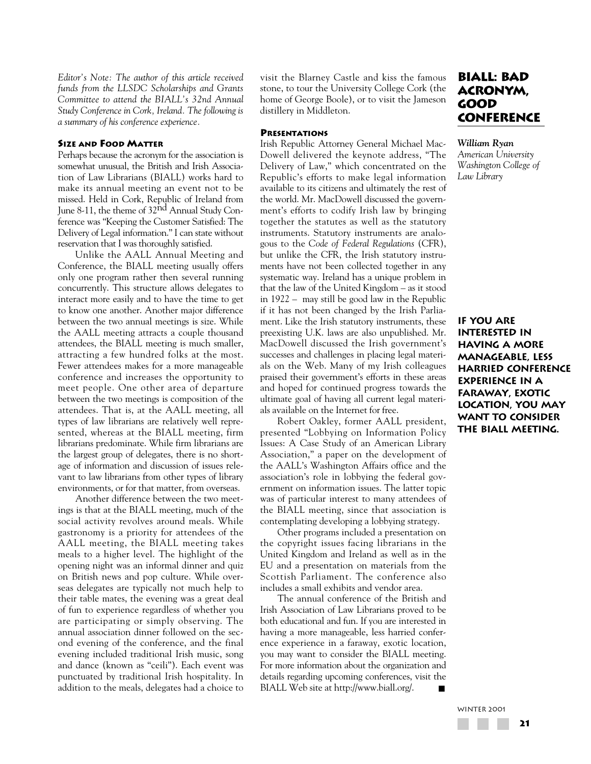*Editor's Note: The author of this article received funds from the LLSDC Scholarships and Grants Committee to attend the BIALL's 32nd Annual Study Conference in Cork, Ireland. The following is a summary of his conference experience.* 

# **SIZE AND FOOD MATTER**

Perhaps because the acronym for the association is somewhat unusual, the British and Irish Association of Law Librarians (BIALL) works hard to make its annual meeting an event not to be missed. Held in Cork, Republic of Ireland from June 8-11, the theme of  $32^{\text{nd}}$  Annual Study Conference was "Keeping the Customer Satisfied: The Delivery of Legal information." I can state without reservation that I was thoroughly satisfied.

Unlike the AALL Annual Meeting and Conference, the BIALL meeting usually offers only one program rather then several running concurrently. This structure allows delegates to interact more easily and to have the time to get to know one another. Another major difference between the two annual meetings is size. While the AALL meeting attracts a couple thousand attendees, the BIALL meeting is much smaller, attracting a few hundred folks at the most. Fewer attendees makes for a more manageable conference and increases the opportunity to meet people. One other area of departure between the two meetings is composition of the attendees. That is, at the AALL meeting, all types of law librarians are relatively well represented, whereas at the BIALL meeting, firm librarians predominate. While firm librarians are the largest group of delegates, there is no shortage of information and discussion of issues relevant to law librarians from other types of library environments, or for that matter, from overseas.

Another difference between the two meetings is that at the BIALL meeting, much of the social activity revolves around meals. While gastronomy is a priority for attendees of the AALL meeting, the BIALL meeting takes meals to a higher level. The highlight of the opening night was an informal dinner and quiz on British news and pop culture. While overseas delegates are typically not much help to their table mates, the evening was a great deal of fun to experience regardless of whether you are participating or simply observing. The annual association dinner followed on the second evening of the conference, and the final evening included traditional Irish music, song and dance (known as "ceili"). Each event was punctuated by traditional Irish hospitality. In addition to the meals, delegates had a choice to visit the Blarney Castle and kiss the famous stone, to tour the University College Cork (the home of George Boole), or to visit the Jameson distillery in Middleton.

### **PRESENTATIONS**

Irish Republic Attorney General Michael Mac-Dowell delivered the keynote address, "The Delivery of Law," which concentrated on the Republic's efforts to make legal information available to its citizens and ultimately the rest of the world. Mr. MacDowell discussed the government's efforts to codify Irish law by bringing together the statutes as well as the statutory instruments. Statutory instruments are analogous to the *Code of Federal Regulations* (CFR), but unlike the CFR, the Irish statutory instruments have not been collected together in any systematic way. Ireland has a unique problem in that the law of the United Kingdom – as it stood in 1922 – may still be good law in the Republic if it has not been changed by the Irish Parliament. Like the Irish statutory instruments, these preexisting U.K. laws are also unpublished. Mr. MacDowell discussed the Irish government's successes and challenges in placing legal materials on the Web. Many of my Irish colleagues praised their government's efforts in these areas and hoped for continued progress towards the ultimate goal of having all current legal materials available on the Internet for free.

Robert Oakley, former AALL president, presented "Lobbying on Information Policy Issues: A Case Study of an American Library Association," a paper on the development of the AALL's Washington Affairs office and the association's role in lobbying the federal government on information issues. The latter topic was of particular interest to many attendees of the BIALL meeting, since that association is contemplating developing a lobbying strategy.

Other programs included a presentation on the copyright issues facing librarians in the United Kingdom and Ireland as well as in the EU and a presentation on materials from the Scottish Parliament. The conference also includes a small exhibits and vendor area.

The annual conference of the British and Irish Association of Law Librarians proved to be both educational and fun. If you are interested in having a more manageable, less harried conference experience in a faraway, exotic location, you may want to consider the BIALL meeting. For more information about the organization and details regarding upcoming conferences, visit the BIALL Web site at http://www.biall.org/. ■

# **BIALL: Bad Acronym, Good Conference**

*William Ryan American University Washington College of Law Library*

**If you are interested in having a more manageable, less harried conference experience in a faraway, exotic location, you may want to consider the BIALL meeting.**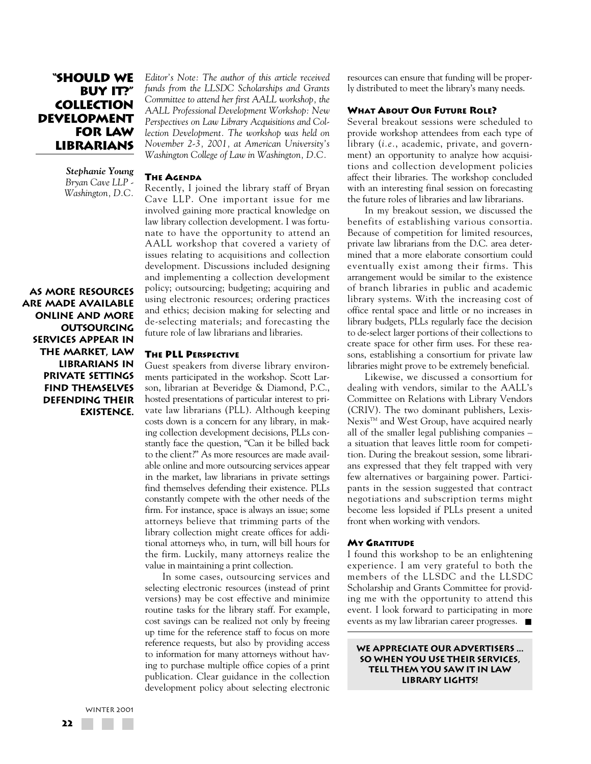# **"Should We Buy it?" Collection Development for Law Librarians**

*Stephanie Young Bryan Cave LLP - Washington, D.C.*

**As more resources are made available online and more outsourcing services appear in the market, law librarians in private settings find themselves defending their existence.**

*Editor's Note: The author of this article received funds from the LLSDC Scholarships and Grants Committee to attend her first AALL workshop, the AALL Professional Development Workshop: New Perspectives on Law Library Acquisitions and Collection Development. The workshop was held on November 2-3, 2001, at American University's Washington College of Law in Washington, D.C.*

#### **THE AGENDA**

Recently, I joined the library staff of Bryan Cave LLP. One important issue for me involved gaining more practical knowledge on law library collection development. I was fortunate to have the opportunity to attend an AALL workshop that covered a variety of issues relating to acquisitions and collection development. Discussions included designing and implementing a collection development policy; outsourcing; budgeting; acquiring and using electronic resources; ordering practices and ethics; decision making for selecting and de-selecting materials; and forecasting the future role of law librarians and libraries.

#### **THE PLL PERSPECTIVE**

Guest speakers from diverse library environments participated in the workshop. Scott Larson, librarian at Beveridge & Diamond, P.C., hosted presentations of particular interest to private law librarians (PLL). Although keeping costs down is a concern for any library, in making collection development decisions, PLLs constantly face the question, "Can it be billed back to the client?" As more resources are made available online and more outsourcing services appear in the market, law librarians in private settings find themselves defending their existence. PLLs constantly compete with the other needs of the firm. For instance, space is always an issue; some attorneys believe that trimming parts of the library collection might create offices for additional attorneys who, in turn, will bill hours for the firm. Luckily, many attorneys realize the value in maintaining a print collection.

In some cases, outsourcing services and selecting electronic resources (instead of print versions) may be cost effective and minimize routine tasks for the library staff. For example, cost savings can be realized not only by freeing up time for the reference staff to focus on more reference requests, but also by providing access to information for many attorneys without having to purchase multiple office copies of a print publication. Clear guidance in the collection development policy about selecting electronic resources can ensure that funding will be properly distributed to meet the library's many needs.

### **WHAT ABOUT OUR FUTURE ROLE?**

Several breakout sessions were scheduled to provide workshop attendees from each type of library (*i.e.*, academic, private, and government) an opportunity to analyze how acquisitions and collection development policies affect their libraries. The workshop concluded with an interesting final session on forecasting the future roles of libraries and law librarians.

In my breakout session, we discussed the benefits of establishing various consortia. Because of competition for limited resources, private law librarians from the D.C. area determined that a more elaborate consortium could eventually exist among their firms. This arrangement would be similar to the existence of branch libraries in public and academic library systems. With the increasing cost of office rental space and little or no increases in library budgets, PLLs regularly face the decision to de-select larger portions of their collections to create space for other firm uses. For these reasons, establishing a consortium for private law libraries might prove to be extremely beneficial.

Likewise, we discussed a consortium for dealing with vendors, similar to the AALL's Committee on Relations with Library Vendors (CRIV). The two dominant publishers, Lexis-Nexis™ and West Group, have acquired nearly all of the smaller legal publishing companies – a situation that leaves little room for competition. During the breakout session, some librarians expressed that they felt trapped with very few alternatives or bargaining power. Participants in the session suggested that contract negotiations and subscription terms might become less lopsided if PLLs present a united front when working with vendors.

#### **MY GRATITUDE**

I found this workshop to be an enlightening experience. I am very grateful to both the members of the LLSDC and the LLSDC Scholarship and Grants Committee for providing me with the opportunity to attend this event. I look forward to participating in more events as my law librarian career progresses. ■

**We appreciate our advertisers ... so when you use their services, tell them you saw it in Law Library Lights!**

WINTER 2001 **22** a se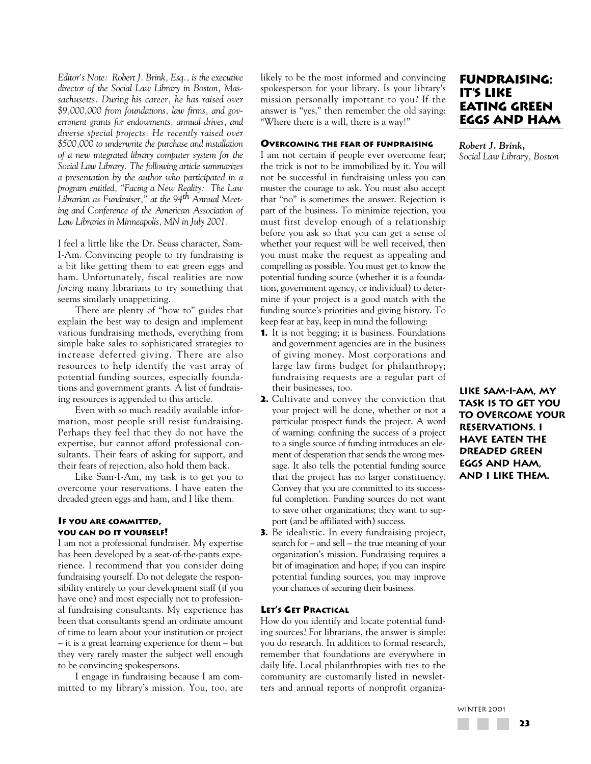*Editor's Note: Robert J. Brink, Esq., is the executive director of the Social Law Library in Boston, Massachusetts. During his career, he has raised over \$9,000,000 from foundations, law firms, and government grants for endowments, annual drives, and diverse special projects. He recently raised over \$500,000 to underwrite the purchase and installation of a new integrated library computer system for the Social Law Library. The following article summarizes a presentation by the author who participated in a program entitled, "Facing a New Reality: The Law Librarian as Fundraiser," at the 94th Annual Meeting and Conference of the American Association of Law Libraries in Minneapolis, MN in July 2001.*

I feel a little like the Dr. Seuss character, Sam-I-Am. Convincing people to try fundraising is a bit like getting them to eat green eggs and ham. Unfortunately, fiscal realities are now *forcing* many librarians to try something that seems similarly unappetizing.

There are plenty of "how to" guides that explain the best way to design and implement various fundraising methods, everything from simple bake sales to sophisticated strategies to increase deferred giving. There are also resources to help identify the vast array of potential funding sources, especially foundations and government grants. A list of fundraising resources is appended to this article.

Even with so much readily available information, most people still resist fundraising. Perhaps they feel that they do not have the expertise, but cannot afford professional consultants. Their fears of asking for support, and their fears of rejection, also hold them back.

Like Sam-I-Am, my task is to get you to overcome your reservations. I have eaten the dreaded green eggs and ham, and I like them.

### **IF YOU ARE COMMITTED, YOU CAN DO IT YOURSELF!**

I am not a professional fundraiser. My expertise has been developed by a seat-of-the-pants experience. I recommend that you consider doing fundraising yourself. Do not delegate the responsibility entirely to your development staff (if you have one) and most especially not to professional fundraising consultants. My experience has been that consultants spend an ordinate amount of time to learn about your institution or project – it is a great learning experience for them – but they very rarely master the subject well enough to be convincing spokespersons.

I engage in fundraising because I am committed to my library's mission. You, too, are likely to be the most informed and convincing spokesperson for your library. Is your library's mission personally important to you? If the answer is "yes," then remember the old saying: "Where there is a will, there is a way!"

# **OVERCOMING THE FEAR OF FUNDRAISING**

I am not certain if people ever overcome fear; the trick is not to be immobilized by it. You will not be successful in fundraising unless you can muster the courage to ask. You must also accept that "no" is sometimes the answer. Rejection is part of the business. To minimize rejection, you must first develop enough of a relationship before you ask so that you can get a sense of whether your request will be well received, then you must make the request as appealing and compelling as possible. You must get to know the potential funding source (whether it is a foundation, government agency, or individual) to determine if your project is a good match with the funding source's priorities and giving history. To keep fear at bay, keep in mind the following:

- **1.** It is not begging; it is business. Foundations and government agencies are in the business of giving money. Most corporations and large law firms budget for philanthropy; fundraising requests are a regular part of their businesses, too.
- **2.** Cultivate and convey the conviction that your project will be done, whether or not a particular prospect funds the project. A word of warning: confining the success of a project to a single source of funding introduces an element of desperation that sends the wrong message. It also tells the potential funding source that the project has no larger constituency. Convey that you are committed to its successful completion. Funding sources do not want to save other organizations; they want to support (and be affiliated with) success.
- **3.** Be idealistic. In every fundraising project, search for – and sell – the true meaning of your organization's mission. Fundraising requires a bit of imagination and hope; if you can inspire potential funding sources, you may improve your chances of securing their business.

# **LET'S GET PRACTICAL**

How do you identify and locate potential funding sources? For librarians, the answer is simple: you do research. In addition to formal research, remember that foundations are everywhere in daily life. Local philanthropies with ties to the community are customarily listed in newsletters and annual reports of nonprofit organiza-

# **Fundraising: IT'S LIKE Eating Green Eggs and Ham**

*Robert J. Brink, Social Law Library, Boston*

**Like Sam-I-Am, my task is to get you to overcome your reservations. I have eaten the dreaded green eggs and ham, and I like them.**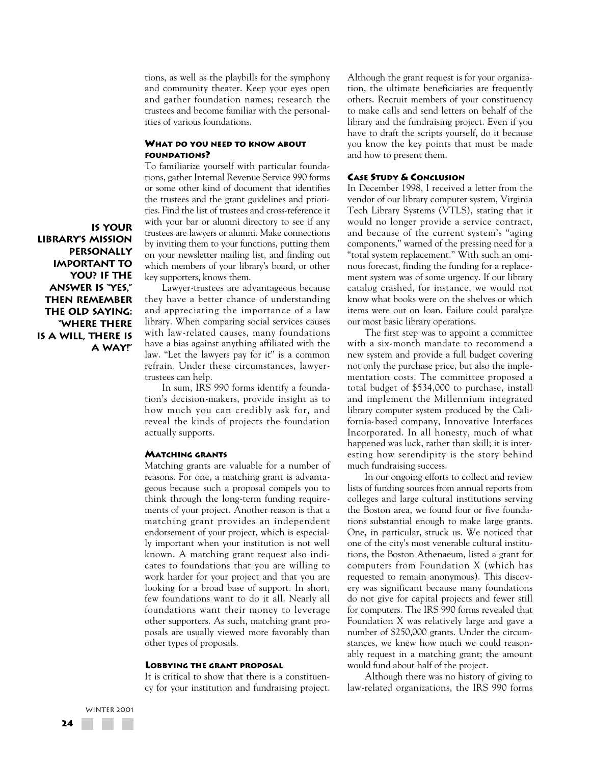tions, as well as the playbills for the symphony and community theater. Keep your eyes open and gather foundation names; research the trustees and become familiar with the personalities of various foundations.

# **WHAT DO YOU NEED TO KNOW ABOUT FOUNDATIONS?**

To familiarize yourself with particular foundations, gather Internal Revenue Service 990 forms or some other kind of document that identifies the trustees and the grant guidelines and priorities. Find the list of trustees and cross-reference it with your bar or alumni directory to see if any trustees are lawyers or alumni. Make connections by inviting them to your functions, putting them on your newsletter mailing list, and finding out which members of your library's board, or other key supporters, knows them.

Lawyer-trustees are advantageous because they have a better chance of understanding and appreciating the importance of a law library. When comparing social services causes with law-related causes, many foundations have a bias against anything affiliated with the law. "Let the lawyers pay for it" is a common refrain. Under these circumstances, lawyertrustees can help.

In sum, IRS 990 forms identify a foundation's decision-makers, provide insight as to how much you can credibly ask for, and reveal the kinds of projects the foundation actually supports.

#### **MATCHING GRANTS**

Matching grants are valuable for a number of reasons. For one, a matching grant is advantageous because such a proposal compels you to think through the long-term funding requirements of your project. Another reason is that a matching grant provides an independent endorsement of your project, which is especially important when your institution is not well known. A matching grant request also indicates to foundations that you are willing to work harder for your project and that you are looking for a broad base of support. In short, few foundations want to do it all. Nearly all foundations want their money to leverage other supporters. As such, matching grant proposals are usually viewed more favorably than other types of proposals.

#### **LOBBYING THE GRANT PROPOSAL**

It is critical to show that there is a constituency for your institution and fundraising project. Although the grant request is for your organization, the ultimate beneficiaries are frequently others. Recruit members of your constituency to make calls and send letters on behalf of the library and the fundraising project. Even if you have to draft the scripts yourself, do it because you know the key points that must be made and how to present them.

### **CASE STUDY & CONCLUSION**

In December 1998, I received a letter from the vendor of our library computer system, Virginia Tech Library Systems (VTLS), stating that it would no longer provide a service contract, and because of the current system's "aging components," warned of the pressing need for a "total system replacement." With such an ominous forecast, finding the funding for a replacement system was of some urgency. If our library catalog crashed, for instance, we would not know what books were on the shelves or which items were out on loan. Failure could paralyze our most basic library operations.

The first step was to appoint a committee with a six-month mandate to recommend a new system and provide a full budget covering not only the purchase price, but also the implementation costs. The committee proposed a total budget of \$534,000 to purchase, install and implement the Millennium integrated library computer system produced by the California-based company, Innovative Interfaces Incorporated. In all honesty, much of what happened was luck, rather than skill; it is interesting how serendipity is the story behind much fundraising success.

In our ongoing efforts to collect and review lists of funding sources from annual reports from colleges and large cultural institutions serving the Boston area, we found four or five foundations substantial enough to make large grants. One, in particular, struck us. We noticed that one of the city's most venerable cultural institutions, the Boston Athenaeum, listed a grant for computers from Foundation X (which has requested to remain anonymous). This discovery was significant because many foundations do not give for capital projects and fewer still for computers. The IRS 990 forms revealed that Foundation X was relatively large and gave a number of \$250,000 grants. Under the circumstances, we knew how much we could reasonably request in a matching grant; the amount would fund about half of the project.

Although there was no history of giving to law-related organizations, the IRS 990 forms

**Is your library's mission personally important to you? If the answer is "yes," then remember the old saying: "Where there is a will, there is a way!"**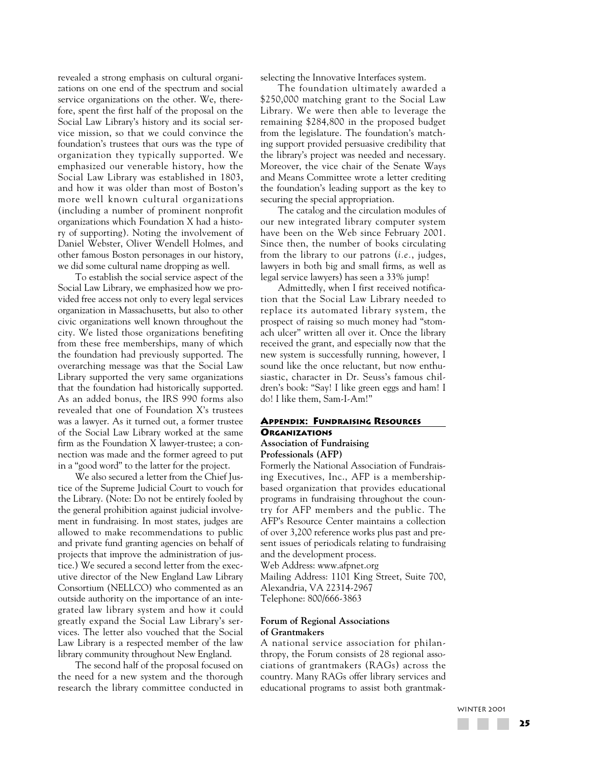revealed a strong emphasis on cultural organizations on one end of the spectrum and social service organizations on the other. We, therefore, spent the first half of the proposal on the Social Law Library's history and its social service mission, so that we could convince the foundation's trustees that ours was the type of organization they typically supported. We emphasized our venerable history, how the Social Law Library was established in 1803, and how it was older than most of Boston's more well known cultural organizations (including a number of prominent nonprofit organizations which Foundation X had a history of supporting). Noting the involvement of Daniel Webster, Oliver Wendell Holmes, and other famous Boston personages in our history, we did some cultural name dropping as well.

To establish the social service aspect of the Social Law Library, we emphasized how we provided free access not only to every legal services organization in Massachusetts, but also to other civic organizations well known throughout the city. We listed those organizations benefiting from these free memberships, many of which the foundation had previously supported. The overarching message was that the Social Law Library supported the very same organizations that the foundation had historically supported. As an added bonus, the IRS 990 forms also revealed that one of Foundation X's trustees was a lawyer. As it turned out, a former trustee of the Social Law Library worked at the same firm as the Foundation X lawyer-trustee; a connection was made and the former agreed to put in a "good word" to the latter for the project.

We also secured a letter from the Chief Justice of the Supreme Judicial Court to vouch for the Library. (Note: Do not be entirely fooled by the general prohibition against judicial involvement in fundraising. In most states, judges are allowed to make recommendations to public and private fund granting agencies on behalf of projects that improve the administration of justice.) We secured a second letter from the executive director of the New England Law Library Consortium (NELLCO) who commented as an outside authority on the importance of an integrated law library system and how it could greatly expand the Social Law Library's services. The letter also vouched that the Social Law Library is a respected member of the law library community throughout New England.

The second half of the proposal focused on the need for a new system and the thorough research the library committee conducted in selecting the Innovative Interfaces system.

The foundation ultimately awarded a \$250,000 matching grant to the Social Law Library. We were then able to leverage the remaining \$284,800 in the proposed budget from the legislature. The foundation's matching support provided persuasive credibility that the library's project was needed and necessary. Moreover, the vice chair of the Senate Ways and Means Committee wrote a letter crediting the foundation's leading support as the key to securing the special appropriation.

The catalog and the circulation modules of our new integrated library computer system have been on the Web since February 2001. Since then, the number of books circulating from the library to our patrons (*i.e.*, judges, lawyers in both big and small firms, as well as legal service lawyers) has seen a 33% jump!

Admittedly, when I first received notification that the Social Law Library needed to replace its automated library system, the prospect of raising so much money had "stomach ulcer" written all over it. Once the library received the grant, and especially now that the new system is successfully running, however, I sound like the once reluctant, but now enthusiastic, character in Dr. Seuss's famous children's book: "Say! I like green eggs and ham! I do! I like them, Sam-I-Am!"

#### **APPENDIX: FUNDRAISING RESOURCES ORGANIZATIONS Association of Fundraising**

# **Professionals (AFP)**

Formerly the National Association of Fundraising Executives, Inc., AFP is a membershipbased organization that provides educational programs in fundraising throughout the country for AFP members and the public. The AFP's Resource Center maintains a collection of over 3,200 reference works plus past and present issues of periodicals relating to fundraising and the development process.

Web Address: www.afpnet.org

Mailing Address: 1101 King Street, Suite 700, Alexandria, VA 22314-2967 Telephone: 800/666-3863

### **Forum of Regional Associations of Grantmakers**

A national service association for philanthropy, the Forum consists of 28 regional associations of grantmakers (RAGs) across the country. Many RAGs offer library services and educational programs to assist both grantmak-

WINTER 2001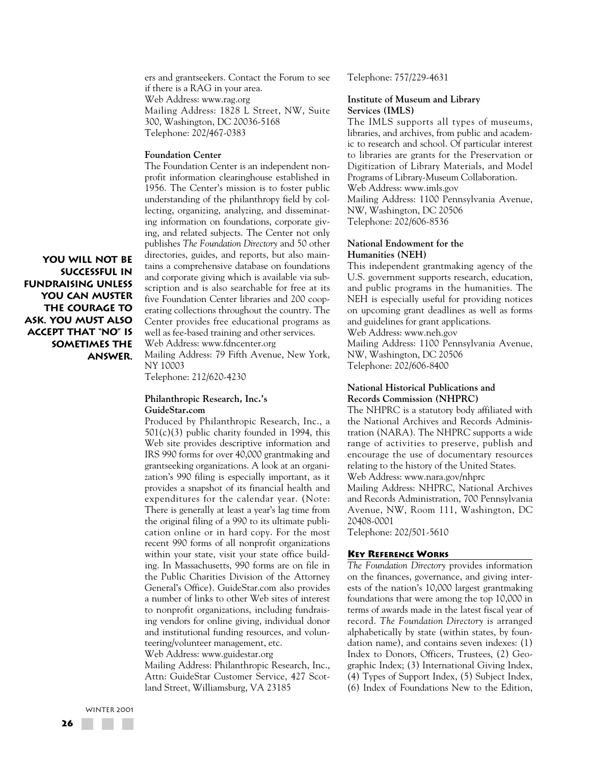ers and grantseekers. Contact the Forum to see if there is a RAG in your area. Web Address: www.rag.org Mailing Address: 1828 L Street, NW, Suite 300, Washington, DC 20036-5168 Telephone: 202/467-0383

#### **Foundation Center**

The Foundation Center is an independent nonprofit information clearinghouse established in 1956. The Center's mission is to foster public understanding of the philanthropy field by collecting, organizing, analyzing, and disseminating information on foundations, corporate giving, and related subjects. The Center not only publishes *The Foundation Directory* and 50 other directories, guides, and reports, but also maintains a comprehensive database on foundations and corporate giving which is available via subscription and is also searchable for free at its five Foundation Center libraries and 200 cooperating collections throughout the country. The Center provides free educational programs as well as fee-based training and other services. Web Address: www.fdncenter.org Mailing Address: 79 Fifth Avenue, New York,

**You will not be successful in fundraising unless you can muster the courage to ask. You must also accept that "no" is sometimes the answer.**

NY 10003

Telephone: 212/620-4230

#### **Philanthropic Research, Inc.'s GuideStar.com**

Produced by Philanthropic Research, Inc., a 501(c)(3) public charity founded in 1994, this Web site provides descriptive information and IRS 990 forms for over 40,000 grantmaking and grantseeking organizations. A look at an organization's 990 filing is especially important, as it provides a snapshot of its financial health and expenditures for the calendar year. (Note: There is generally at least a year's lag time from the original filing of a 990 to its ultimate publication online or in hard copy. For the most recent 990 forms of all nonprofit organizations within your state, visit your state office building. In Massachusetts, 990 forms are on file in the Public Charities Division of the Attorney General's Office). GuideStar.com also provides a number of links to other Web sites of interest to nonprofit organizations, including fundraising vendors for online giving, individual donor and institutional funding resources, and volunteering/volunteer management, etc. Web Address: www.guidestar.org

Mailing Address: Philanthropic Research, Inc., Attn: GuideStar Customer Service, 427 Scotland Street, Williamsburg, VA 23185

Telephone: 757/229-4631

#### **Institute of Museum and Library Services (IMLS)**

The IMLS supports all types of museums, libraries, and archives, from public and academic to research and school. Of particular interest to libraries are grants for the Preservation or Digitization of Library Materials, and Model Programs of Library-Museum Collaboration. Web Address: www.imls.gov Mailing Address: 1100 Pennsylvania Avenue, NW, Washington, DC 20506 Telephone: 202/606-8536

#### **National Endowment for the Humanities (NEH)**

This independent grantmaking agency of the U.S. government supports research, education, and public programs in the humanities. The NEH is especially useful for providing notices on upcoming grant deadlines as well as forms and guidelines for grant applications. Web Address: www.neh.gov Mailing Address: 1100 Pennsylvania Avenue, NW, Washington, DC 20506 Telephone: 202/606-8400

# **National Historical Publications and Records Commission (NHPRC)**

The NHPRC is a statutory body affiliated with the National Archives and Records Administration (NARA). The NHPRC supports a wide range of activities to preserve, publish and encourage the use of documentary resources relating to the history of the United States. Web Address: www.nara.gov/nhprc

Mailing Address: NHPRC, National Archives and Records Administration, 700 Pennsylvania Avenue, NW, Room 111, Washington, DC 20408-0001

Telephone: 202/501-5610

#### **KEY REFERENCE WORKS**

*The Foundation Directory* provides information on the finances, governance, and giving interests of the nation's 10,000 largest grantmaking foundations that were among the top 10,000 in terms of awards made in the latest fiscal year of record. *The Foundation Directory* is arranged alphabetically by state (within states, by foundation name), and contains seven indexes: (1) Index to Donors, Officers, Trustees, (2) Geographic Index; (3) International Giving Index, (4) Types of Support Index, (5) Subject Index, (6) Index of Foundations New to the Edition,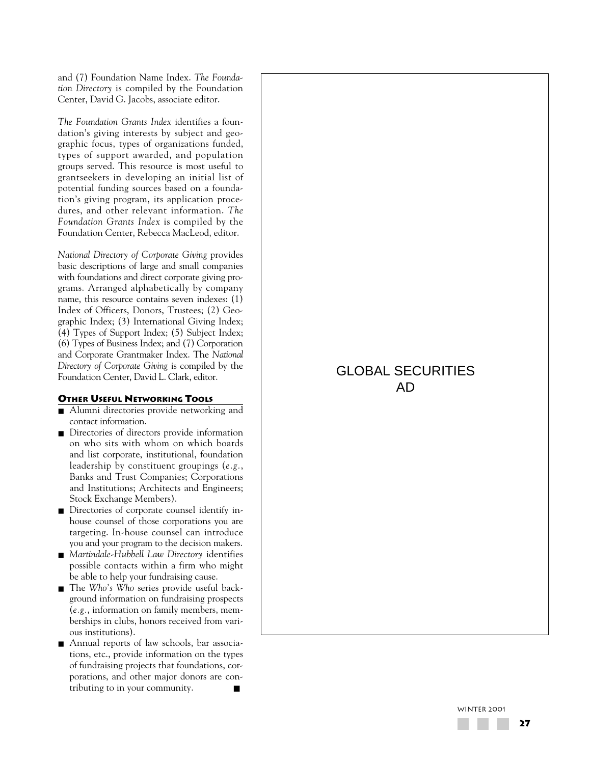and (7) Foundation Name Index. *The Foundation Directory* is compiled by the Foundation Center, David G. Jacobs, associate editor.

*The Foundation Grants Index* identifies a foundation's giving interests by subject and geographic focus, types of organizations funded, types of support awarded, and population groups served. This resource is most useful to grantseekers in developing an initial list of potential funding sources based on a foundation's giving program, its application procedures, and other relevant information. *The Foundation Grants Index* is compiled by the Foundation Center, Rebecca MacLeod, editor.

*National Directory of Corporate Giving* provides basic descriptions of large and small companies with foundations and direct corporate giving programs. Arranged alphabetically by company name, this resource contains seven indexes: (1) Index of Officers, Donors, Trustees; (2) Geographic Index; (3) International Giving Index; (4) Types of Support Index; (5) Subject Index; (6) Types of Business Index; and (7) Corporation and Corporate Grantmaker Index. The *National Directory of Corporate Giving* is compiled by the Foundation Center, David L. Clark, editor.

### **OTHER USEFUL NETWORKING TOOLS**

- Alumni directories provide networking and contact information.
- Directories of directors provide information on who sits with whom on which boards and list corporate, institutional, foundation leadership by constituent groupings (*e.g.*, Banks and Trust Companies; Corporations and Institutions; Architects and Engineers; Stock Exchange Members).
- Directories of corporate counsel identify inhouse counsel of those corporations you are targeting. In-house counsel can introduce you and your program to the decision makers.
- *Martindale-Hubbell Law Directory* identifies possible contacts within a firm who might be able to help your fundraising cause.
- The *Who's Who* series provide useful background information on fundraising prospects (*e.g.*, information on family members, memberships in clubs, honors received from various institutions).
- Annual reports of law schools, bar associations, etc., provide information on the types of fundraising projects that foundations, corporations, and other major donors are contributing to in your community.

# GLOBAL SECURITIES AD

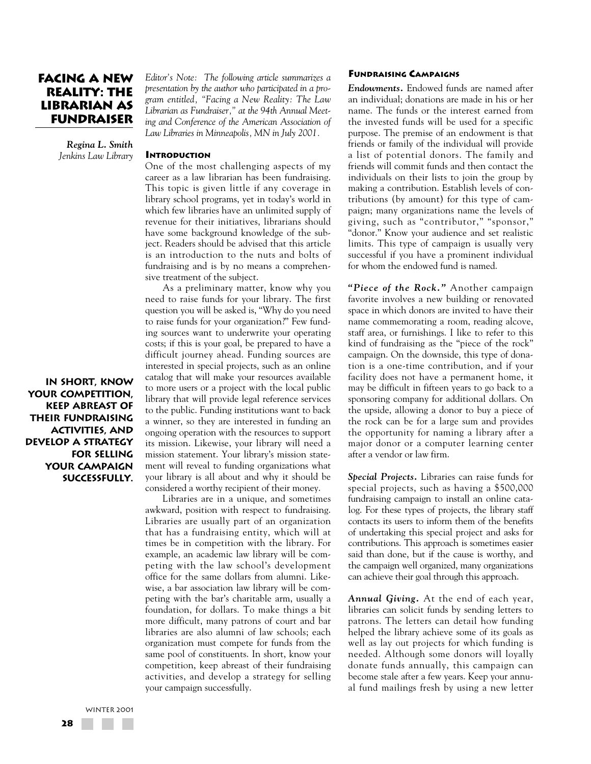# **Facing a New Reality: The Librarian as Fundraiser**

*Regina L. Smith Jenkins Law Library*

### **INTRODUCTION**

One of the most challenging aspects of my career as a law librarian has been fundraising. This topic is given little if any coverage in library school programs, yet in today's world in which few libraries have an unlimited supply of revenue for their initiatives, librarians should have some background knowledge of the subject. Readers should be advised that this article is an introduction to the nuts and bolts of fundraising and is by no means a comprehensive treatment of the subject.

*Editor's Note: The following article summarizes a presentation by the author who participated in a program entitled, "Facing a New Reality: The Law Librarian as Fundraiser," at the 94th Annual Meeting and Conference of the American Association of Law Libraries in Minneapolis, MN in July 2001.* 

As a preliminary matter, know why you need to raise funds for your library. The first question you will be asked is, "Why do you need to raise funds for your organization?" Few funding sources want to underwrite your operating costs; if this is your goal, be prepared to have a difficult journey ahead. Funding sources are interested in special projects, such as an online catalog that will make your resources available to more users or a project with the local public library that will provide legal reference services to the public. Funding institutions want to back a winner, so they are interested in funding an ongoing operation with the resources to support its mission. Likewise, your library will need a mission statement. Your library's mission statement will reveal to funding organizations what your library is all about and why it should be considered a worthy recipient of their money.

Libraries are in a unique, and sometimes awkward, position with respect to fundraising. Libraries are usually part of an organization that has a fundraising entity, which will at times be in competition with the library. For example, an academic law library will be competing with the law school's development office for the same dollars from alumni. Likewise, a bar association law library will be competing with the bar's charitable arm, usually a foundation, for dollars. To make things a bit more difficult, many patrons of court and bar libraries are also alumni of law schools; each organization must compete for funds from the same pool of constituents. In short, know your competition, keep abreast of their fundraising activities, and develop a strategy for selling your campaign successfully.

# **FUNDRAISING CAMPAIGNS**

*Endowments.* Endowed funds are named after an individual; donations are made in his or her name. The funds or the interest earned from the invested funds will be used for a specific purpose. The premise of an endowment is that friends or family of the individual will provide a list of potential donors. The family and friends will commit funds and then contact the individuals on their lists to join the group by making a contribution. Establish levels of contributions (by amount) for this type of campaign; many organizations name the levels of giving, such as "contributor," "sponsor," "donor." Know your audience and set realistic limits. This type of campaign is usually very successful if you have a prominent individual for whom the endowed fund is named.

*"Piece of the Rock."* Another campaign favorite involves a new building or renovated space in which donors are invited to have their name commemorating a room, reading alcove, staff area, or furnishings. I like to refer to this kind of fundraising as the "piece of the rock" campaign. On the downside, this type of donation is a one-time contribution, and if your facility does not have a permanent home, it may be difficult in fifteen years to go back to a sponsoring company for additional dollars. On the upside, allowing a donor to buy a piece of the rock can be for a large sum and provides the opportunity for naming a library after a major donor or a computer learning center after a vendor or law firm.

*Special Projects.* Libraries can raise funds for special projects, such as having a \$500,000 fundraising campaign to install an online catalog. For these types of projects, the library staff contacts its users to inform them of the benefits of undertaking this special project and asks for contributions. This approach is sometimes easier said than done, but if the cause is worthy, and the campaign well organized, many organizations can achieve their goal through this approach.

*Annual Giving.* At the end of each year, libraries can solicit funds by sending letters to patrons. The letters can detail how funding helped the library achieve some of its goals as well as lay out projects for which funding is needed. Although some donors will loyally donate funds annually, this campaign can become stale after a few years. Keep your annual fund mailings fresh by using a new letter

**In short, know your competition, keep abreast of their fundraising activities, and develop a strategy for selling your campaign successfully.**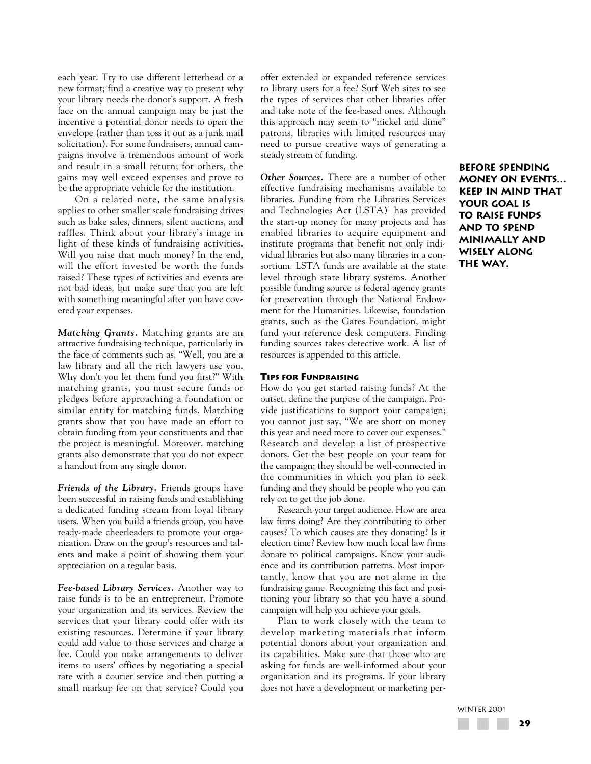each year. Try to use different letterhead or a new format; find a creative way to present why your library needs the donor's support. A fresh face on the annual campaign may be just the incentive a potential donor needs to open the envelope (rather than toss it out as a junk mail solicitation). For some fundraisers, annual campaigns involve a tremendous amount of work and result in a small return; for others, the gains may well exceed expenses and prove to be the appropriate vehicle for the institution.

On a related note, the same analysis applies to other smaller scale fundraising drives such as bake sales, dinners, silent auctions, and raffles. Think about your library's image in light of these kinds of fundraising activities. Will you raise that much money? In the end, will the effort invested be worth the funds raised? These types of activities and events are not bad ideas, but make sure that you are left with something meaningful after you have covered your expenses.

*Matching Grants.* Matching grants are an attractive fundraising technique, particularly in the face of comments such as, "Well, you are a law library and all the rich lawyers use you. Why don't you let them fund you first?" With matching grants, you must secure funds or pledges before approaching a foundation or similar entity for matching funds. Matching grants show that you have made an effort to obtain funding from your constituents and that the project is meaningful. Moreover, matching grants also demonstrate that you do not expect a handout from any single donor.

*Friends of the Library.* Friends groups have been successful in raising funds and establishing a dedicated funding stream from loyal library users. When you build a friends group, you have ready-made cheerleaders to promote your organization. Draw on the group's resources and talents and make a point of showing them your appreciation on a regular basis.

*Fee-based Library Services.* Another way to raise funds is to be an entrepreneur. Promote your organization and its services. Review the services that your library could offer with its existing resources. Determine if your library could add value to those services and charge a fee. Could you make arrangements to deliver items to users' offices by negotiating a special rate with a courier service and then putting a small markup fee on that service? Could you offer extended or expanded reference services to library users for a fee? Surf Web sites to see the types of services that other libraries offer and take note of the fee-based ones. Although this approach may seem to "nickel and dime" patrons, libraries with limited resources may need to pursue creative ways of generating a steady stream of funding.

*Other Sources.* There are a number of other effective fundraising mechanisms available to libraries. Funding from the Libraries Services and Technologies Act (LSTA)<sup>1</sup> has provided the start-up money for many projects and has enabled libraries to acquire equipment and institute programs that benefit not only individual libraries but also many libraries in a consortium. LSTA funds are available at the state level through state library systems. Another possible funding source is federal agency grants for preservation through the National Endowment for the Humanities. Likewise, foundation grants, such as the Gates Foundation, might fund your reference desk computers. Finding funding sources takes detective work. A list of resources is appended to this article.

#### **TIPS FOR FUNDRAISING**

How do you get started raising funds? At the outset, define the purpose of the campaign. Provide justifications to support your campaign; you cannot just say, "We are short on money this year and need more to cover our expenses." Research and develop a list of prospective donors. Get the best people on your team for the campaign; they should be well-connected in the communities in which you plan to seek funding and they should be people who you can rely on to get the job done.

Research your target audience. How are area law firms doing? Are they contributing to other causes? To which causes are they donating? Is it election time? Review how much local law firms donate to political campaigns. Know your audience and its contribution patterns. Most importantly, know that you are not alone in the fundraising game. Recognizing this fact and positioning your library so that you have a sound campaign will help you achieve your goals.

Plan to work closely with the team to develop marketing materials that inform potential donors about your organization and its capabilities. Make sure that those who are asking for funds are well-informed about your organization and its programs. If your library does not have a development or marketing per**Before spending money on events… keep in mind that your goal is to raise funds and to spend minimally and wisely along the way.**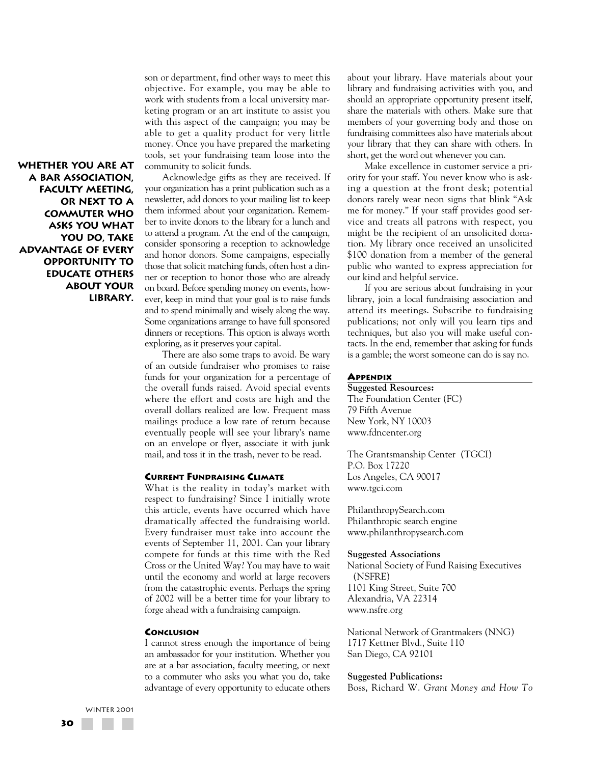son or department, find other ways to meet this objective. For example, you may be able to work with students from a local university marketing program or an art institute to assist you with this aspect of the campaign; you may be able to get a quality product for very little money. Once you have prepared the marketing tools, set your fundraising team loose into the community to solicit funds.

Acknowledge gifts as they are received. If your organization has a print publication such as a newsletter, add donors to your mailing list to keep them informed about your organization. Remember to invite donors to the library for a lunch and to attend a program. At the end of the campaign, consider sponsoring a reception to acknowledge and honor donors. Some campaigns, especially those that solicit matching funds, often host a dinner or reception to honor those who are already on board. Before spending money on events, however, keep in mind that your goal is to raise funds and to spend minimally and wisely along the way. Some organizations arrange to have full sponsored dinners or receptions. This option is always worth exploring, as it preserves your capital.

There are also some traps to avoid. Be wary of an outside fundraiser who promises to raise funds for your organization for a percentage of the overall funds raised. Avoid special events where the effort and costs are high and the overall dollars realized are low. Frequent mass mailings produce a low rate of return because eventually people will see your library's name on an envelope or flyer, associate it with junk mail, and toss it in the trash, never to be read.

#### **CURRENT FUNDRAISING CLIMATE**

What is the reality in today's market with respect to fundraising? Since I initially wrote this article, events have occurred which have dramatically affected the fundraising world. Every fundraiser must take into account the events of September 11, 2001. Can your library compete for funds at this time with the Red Cross or the United Way? You may have to wait until the economy and world at large recovers from the catastrophic events. Perhaps the spring of 2002 will be a better time for your library to forge ahead with a fundraising campaign.

#### **CONCLUSION**

I cannot stress enough the importance of being an ambassador for your institution. Whether you are at a bar association, faculty meeting, or next to a commuter who asks you what you do, take advantage of every opportunity to educate others about your library. Have materials about your library and fundraising activities with you, and should an appropriate opportunity present itself, share the materials with others. Make sure that members of your governing body and those on fundraising committees also have materials about your library that they can share with others. In short, get the word out whenever you can.

Make excellence in customer service a priority for your staff. You never know who is asking a question at the front desk; potential donors rarely wear neon signs that blink "Ask me for money." If your staff provides good service and treats all patrons with respect, you might be the recipient of an unsolicited donation. My library once received an unsolicited \$100 donation from a member of the general public who wanted to express appreciation for our kind and helpful service.

If you are serious about fundraising in your library, join a local fundraising association and attend its meetings. Subscribe to fundraising publications; not only will you learn tips and techniques, but also you will make useful contacts. In the end, remember that asking for funds is a gamble; the worst someone can do is say no.

### **APPENDIX**

**Suggested Resources:** The Foundation Center (FC) 79 Fifth Avenue New York, NY 10003 www.fdncenter.org

The Grantsmanship Center (TGCI) P.O. Box 17220 Los Angeles, CA 90017 www.tgci.com

PhilanthropySearch.com Philanthropic search engine www.philanthropysearch.com

#### **Suggested Associations**

National Society of Fund Raising Executives (NSFRE) 1101 King Street, Suite 700 Alexandria, VA 22314 www.nsfre.org

National Network of Grantmakers (NNG) 1717 Kettner Blvd., Suite 110 San Diego, CA 92101

#### **Suggested Publications:**

Boss, Richard W. *Grant Money and How To*

**Whether you are at a bar association, faculty meeting, or next to a commuter who asks you what you do, take advantage of every opportunity to educate others about your library.**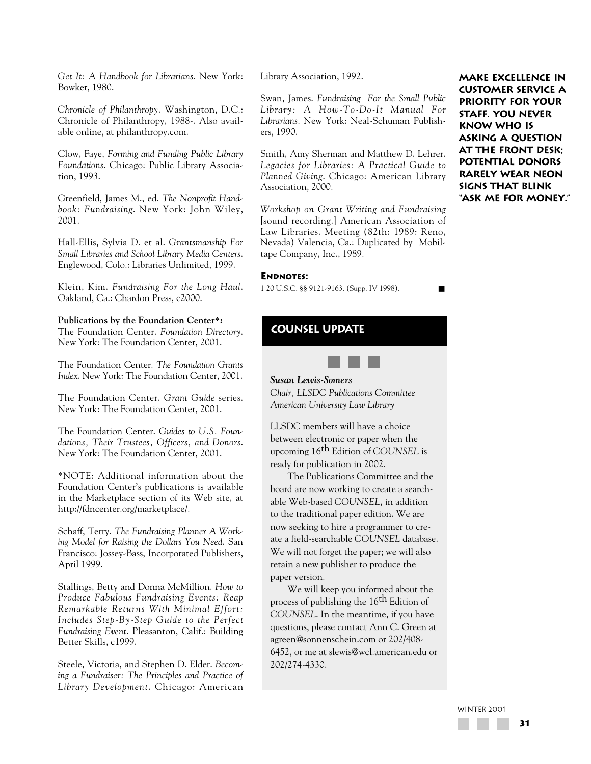*Get It: A Handbook for Librarians*. New York: Bowker, 1980.

*Chronicle of Philanthropy*. Washington, D.C.: Chronicle of Philanthropy, 1988-. Also available online, at philanthropy.com.

Clow, Faye, *Forming and Funding Public Library Foundations*. Chicago: Public Library Association, 1993.

Greenfield, James M., ed. *The Nonprofit Handbook: Fundraising*. New York: John Wiley, 2001.

Hall-Ellis, Sylvia D. et al. *Grantsmanship For Small Libraries and School Library Media Centers*. Englewood, Colo.: Libraries Unlimited, 1999.

Klein, Kim. *Fundraising For the Long Haul*. Oakland, Ca.: Chardon Press, c2000.

### **Publications by the Foundation Center\*:**

The Foundation Center. *Foundation Directory*. New York: The Foundation Center, 2001.

The Foundation Center. *The Foundation Grants Index*. New York: The Foundation Center, 2001.

The Foundation Center. *Grant Guide* series. New York: The Foundation Center, 2001.

The Foundation Center. *Guides to U.S. Foundations, Their Trustees, Officers, and Donors*. New York: The Foundation Center, 2001.

\*NOTE: Additional information about the Foundation Center's publications is available in the Marketplace section of its Web site, at http://fdncenter.org/marketplace/.

Schaff, Terry. *The Fundraising Planner A Working Model for Raising the Dollars You Need*. San Francisco: Jossey-Bass, Incorporated Publishers, April 1999.

Stallings, Betty and Donna McMillion. *How to Produce Fabulous Fundraising Events: Reap Remarkable Returns With Minimal Effort: Includes Step-By-Step Guide to the Perfect Fundraising Event*. Pleasanton, Calif.: Building Better Skills, c1999.

Steele, Victoria, and Stephen D. Elder. *Becoming a Fundraiser: The Principles and Practice of Library Development*. Chicago: American Library Association, 1992.

Swan, James. *Fundraising For the Small Public Library: A How-To-Do-It Manual For Librarians*. New York: Neal-Schuman Publishers, 1990.

Smith, Amy Sherman and Matthew D. Lehrer. *Legacies for Libraries: A Practical Guide to Planned Giving*. Chicago: American Library Association, 2000.

*Workshop on Grant Writing and Fundraising* [sound recording.] American Association of Law Libraries. Meeting (82th: 1989: Reno, Nevada) Valencia, Ca.: Duplicated by Mobiltape Company, Inc., 1989.

### **ENDNOTES:**

1 20 U.S.C. §§ 9121-9163. (Supp. IV 1998). ■

**counsel update**



*Chair, LLSDC Publications Committee American University Law Library*

LLSDC members will have a choice between electronic or paper when the upcoming 16th Edition of *COUNSEL* is ready for publication in 2002.

The Publications Committee and the board are now working to create a searchable Web-based *COUNSEL*, in addition to the traditional paper edition. We are now seeking to hire a programmer to create a field-searchable *COUNSEL* database. We will not forget the paper; we will also retain a new publisher to produce the paper version.

We will keep you informed about the process of publishing the 16<sup>th</sup> Edition of *COUNSEL*. In the meantime, if you have questions, please contact Ann C. Green at agreen@sonnenschein.com or 202/408- 6452, or me at slewis@wcl.american.edu or 202/274-4330.

**Make excellence in customer service a priority for your staff. You never know who is asking a question at the front desk; potential donors rarely wear neon signs that blink "Ask me for money."**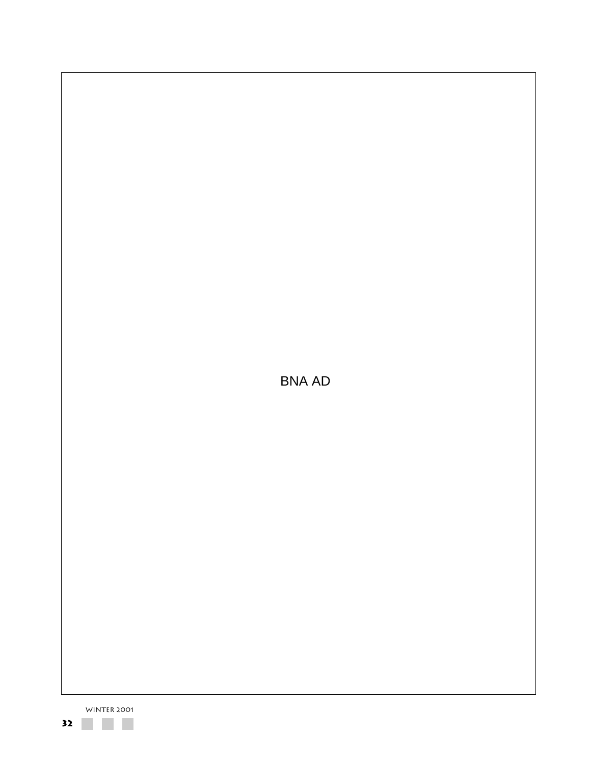

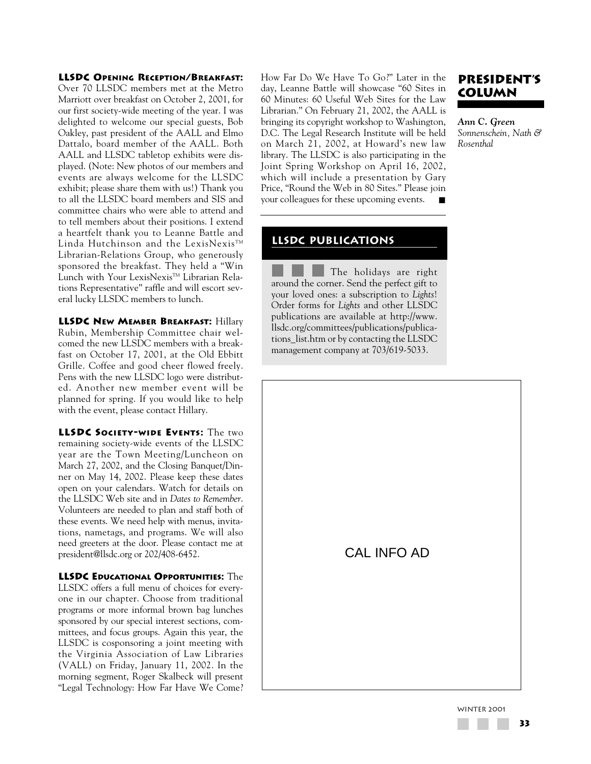**LLSDC OPENING RECEPTION/BREAKFAST:**

Over 70 LLSDC members met at the Metro Marriott over breakfast on October 2, 2001, for our first society-wide meeting of the year. I was delighted to welcome our special guests, Bob Oakley, past president of the AALL and Elmo Dattalo, board member of the AALL. Both AALL and LLSDC tabletop exhibits were displayed. (Note: New photos of our members and events are always welcome for the LLSDC exhibit; please share them with us!) Thank you to all the LLSDC board members and SIS and committee chairs who were able to attend and to tell members about their positions. I extend a heartfelt thank you to Leanne Battle and Linda Hutchinson and the LexisNexis<sup>TM</sup> Librarian-Relations Group, who generously sponsored the breakfast. They held a "Win Lunch with Your LexisNexis™ Librarian Relations Representative" raffle and will escort several lucky LLSDC members to lunch.

**LLSDC NEW MEMBER BREAKFAST:** Hillary Rubin, Membership Committee chair welcomed the new LLSDC members with a breakfast on October 17, 2001, at the Old Ebbitt Grille. Coffee and good cheer flowed freely. Pens with the new LLSDC logo were distributed. Another new member event will be planned for spring. If you would like to help with the event, please contact Hillary.

**LLSDC SOCIETY-WIDE EVENTS:** The two remaining society-wide events of the LLSDC year are the Town Meeting/Luncheon on March 27, 2002, and the Closing Banquet/Dinner on May 14, 2002. Please keep these dates open on your calendars. Watch for details on the LLSDC Web site and in *Dates to Remember*. Volunteers are needed to plan and staff both of these events. We need help with menus, invitations, nametags, and programs. We will also need greeters at the door. Please contact me at president@llsdc.org or 202/408-6452.

**LLSDC EDUCATIONAL OPPORTUNITIES:** The LLSDC offers a full menu of choices for everyone in our chapter. Choose from traditional programs or more informal brown bag lunches sponsored by our special interest sections, committees, and focus groups. Again this year, the LLSDC is cosponsoring a joint meeting with the Virginia Association of Law Libraries (VALL) on Friday, January 11, 2002. In the morning segment, Roger Skalbeck will present "Legal Technology: How Far Have We Come? How Far Do We Have To Go?" Later in the day, Leanne Battle will showcase "60 Sites in 60 Minutes: 60 Useful Web Sites for the Law Librarian." On February 21, 2002, the AALL is bringing its copyright workshop to Washington, D.C. The Legal Research Institute will be held on March 21, 2002, at Howard's new law library. The LLSDC is also participating in the Joint Spring Workshop on April 16, 2002, which will include a presentation by Gary Price, "Round the Web in 80 Sites." Please join your colleagues for these upcoming events.

# **PRESIDENT'S COLUMN**

*Ann C. Green Sonnenschein, Nath & Rosenthal*

# **LLSDC publications**

The holidays are right around the corner. Send the perfect gift to your loved ones: a subscription to *Lights*! Order forms for *Lights* and other LLSDC publications are available at http://www. llsdc.org/committees/publications/publications\_list.htm or by contacting the LLSDC management company at 703/619-5033.

CAL INFO AD

WINTER 2001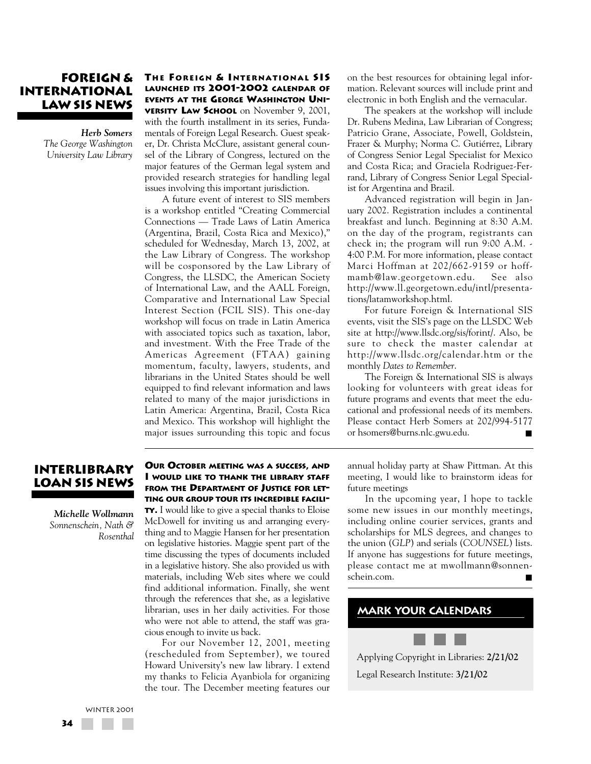# **FOREIGN & INTERNATIONAL LAW SIS NEWS**

*Herb Somers The George Washington University Law Library*

# **TH E FOREIGN & INTERNATIONAL SIS LAUNCHED ITS 2001-2002 CALENDAR OF EVENTS AT THE GEORGE WASHINGTON UNI-VERSITY LAW SCHOOL** on November 9, 2001,

with the fourth installment in its series, Fundamentals of Foreign Legal Research. Guest speaker, Dr. Christa McClure, assistant general counsel of the Library of Congress, lectured on the major features of the German legal system and provided research strategies for handling legal issues involving this important jurisdiction.

A future event of interest to SIS members is a workshop entitled "Creating Commercial Connections — Trade Laws of Latin America (Argentina, Brazil, Costa Rica and Mexico)," scheduled for Wednesday, March 13, 2002, at the Law Library of Congress. The workshop will be cosponsored by the Law Library of Congress, the LLSDC, the American Society of International Law, and the AALL Foreign, Comparative and International Law Special Interest Section (FCIL SIS). This one-day workshop will focus on trade in Latin America with associated topics such as taxation, labor, and investment. With the Free Trade of the Americas Agreement (FTAA) gaining momentum, faculty, lawyers, students, and librarians in the United States should be well equipped to find relevant information and laws related to many of the major jurisdictions in Latin America: Argentina, Brazil, Costa Rica and Mexico. This workshop will highlight the major issues surrounding this topic and focus on the best resources for obtaining legal information. Relevant sources will include print and electronic in both English and the vernacular.

The speakers at the workshop will include Dr. Rubens Medina, Law Librarian of Congress; Patricio Grane, Associate, Powell, Goldstein, Frazer & Murphy; Norma C. Gutiérrez, Library of Congress Senior Legal Specialist for Mexico and Costa Rica; and Graciela Rodriguez-Ferrand, Library of Congress Senior Legal Specialist for Argentina and Brazil.

Advanced registration will begin in January 2002. Registration includes a continental breakfast and lunch. Beginning at 8:30 A.M. on the day of the program, registrants can check in; the program will run 9:00 A.M. - 4:00 P.M. For more information, please contact Marci Hoffman at 202/662-9159 or hoffmamb@law.georgetown.edu. See also http://www.ll.georgetown.edu/intl/presentations/latamworkshop.html.

For future Foreign & International SIS events, visit the SIS's page on the LLSDC Web site at http://www.llsdc.org/sis/forint/. Also, be sure to check the master calendar at http://www.llsdc.org/calendar.htm or the monthly *Dates to Remember*.

The Foreign & International SIS is always looking for volunteers with great ideas for future programs and events that meet the educational and professional needs of its members. Please contact Herb Somers at 202/994-5177 or hsomers@burns.nlc.gwu.edu. ■

# **INTERLIBRARY LOAN SIS NEWS**

*Michelle Wollmann Sonnenschein, Nath & Rosenthal*

# **OUR OCTOBER MEETING WAS A SUCCESS, AND I WOULD LIKE TO THANK THE LIBRARY STAFF FROM THE DEPARTMENT OF JUSTICE FOR LET-TING OUR GROUP TOUR ITS INCREDIBLE FACILI-**

**TY.** I would like to give a special thanks to Eloise McDowell for inviting us and arranging everything and to Maggie Hansen for her presentation on legislative histories. Maggie spent part of the time discussing the types of documents included in a legislative history. She also provided us with materials, including Web sites where we could find additional information. Finally, she went through the references that she, as a legislative librarian, uses in her daily activities. For those who were not able to attend, the staff was gracious enough to invite us back.

For our November 12, 2001, meeting (rescheduled from September), we toured Howard University's new law library. I extend my thanks to Felicia Ayanbiola for organizing the tour. The December meeting features our

annual holiday party at Shaw Pittman. At this meeting, I would like to brainstorm ideas for future meetings

In the upcoming year, I hope to tackle some new issues in our monthly meetings, including online courier services, grants and scholarships for MLS degrees, and changes to the union (*GLP*) and serials (*COUNSEL*) lists. If anyone has suggestions for future meetings, please contact me at mwollmann@sonnenschein.com.

# **Mark your calendars**

Applying Copyright in Libraries: **2/21/02** Legal Research Institute: **3/21/02**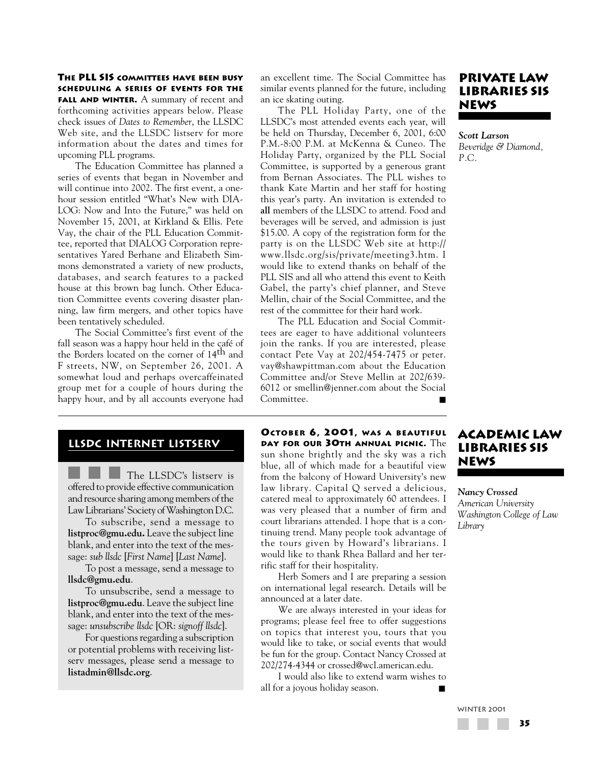**THE PLL SIS COMMITTEES HAVE BEEN BUSY SCHEDULING A SERIES OF EVENTS FOR THE FALL AND WINTER.** A summary of recent and forthcoming activities appears below. Please check issues of *Dates to Remember*, the LLSDC Web site, and the LLSDC listserv for more information about the dates and times for upcoming PLL programs.

The Education Committee has planned a series of events that began in November and will continue into 2002. The first event, a onehour session entitled "What's New with DIA-LOG: Now and Into the Future," was held on November 15, 2001, at Kirkland & Ellis. Pete Vay, the chair of the PLL Education Committee, reported that DIALOG Corporation representatives Yared Berhane and Elizabeth Simmons demonstrated a variety of new products, databases, and search features to a packed house at this brown bag lunch. Other Education Committee events covering disaster planning, law firm mergers, and other topics have been tentatively scheduled.

The Social Committee's first event of the fall season was a happy hour held in the café of the Borders located on the corner of 14th and F streets, NW, on September 26, 2001. A somewhat loud and perhaps overcaffeinated group met for a couple of hours during the happy hour, and by all accounts everyone had

# an excellent time. The Social Committee has similar events planned for the future, including an ice skating outing.

The PLL Holiday Party, one of the LLSDC's most attended events each year, will be held on Thursday, December 6, 2001, 6:00 P.M.-8:00 P.M. at McKenna & Cuneo. The Holiday Party, organized by the PLL Social Committee, is supported by a generous grant from Bernan Associates. The PLL wishes to thank Kate Martin and her staff for hosting this year's party. An invitation is extended to **all** members of the LLSDC to attend. Food and beverages will be served, and admission is just \$15.00. A copy of the registration form for the party is on the LLSDC Web site at http:// www.llsdc.org/sis/private/meeting3.htm. I would like to extend thanks on behalf of the PLL SIS and all who attend this event to Keith Gabel, the party's chief planner, and Steve Mellin, chair of the Social Committee, and the rest of the committee for their hard work.

The PLL Education and Social Committees are eager to have additional volunteers join the ranks. If you are interested, please contact Pete Vay at 202/454-7475 or peter. vay@shawpittman.com about the Education Committee and/or Steve Mellin at 202/639- 6012 or smellin@jenner.com about the Social Committee.

# **PRIVATE LAW LIBRARIES SIS NEWS**

*Scott Larson Beveridge & Diamond, P.C.*

# **LLSDC Internet LISTSERV**

The LLSDC's listserv is offered to provide effective communication and resource sharing among members of the Law Librarians' Society of Washington D.C.

To subscribe, send a message to **listproc@gmu.edu.** Leave the subject line blank, and enter into the text of the message: *sub llsdc* [*First Name*] [*Last Name*].

To post a message, send a message to **llsdc@gmu.edu**.

To unsubscribe, send a message to **listproc@gmu.edu**. Leave the subject line blank, and enter into the text of the message: *unsubscribe llsdc* [OR: *signoff llsdc*].

For questions regarding a subscription or potential problems with receiving listserv messages, please send a message to **listadmin@llsdc.org**.

**OCTOBER 6, 2001, WAS A BEAUTIFUL DAY FOR OUR 30TH ANNUAL PICNIC.** The sun shone brightly and the sky was a rich blue, all of which made for a beautiful view from the balcony of Howard University's new law library. Capital Q served a delicious, catered meal to approximately 60 attendees. I was very pleased that a number of firm and court librarians attended. I hope that is a continuing trend. Many people took advantage of the tours given by Howard's librarians. I would like to thank Rhea Ballard and her terrific staff for their hospitality.

Herb Somers and I are preparing a session on international legal research. Details will be announced at a later date.

We are always interested in your ideas for programs; please feel free to offer suggestions on topics that interest you, tours that you would like to take, or social events that would be fun for the group. Contact Nancy Crossed at 202/274-4344 or crossed@wcl.american.edu.

I would also like to extend warm wishes to all for a joyous holiday season.

# **ACADEMIC LAW LIBRARIES SIS NEWS**

*Nancy Crossed American University Washington College of Law Library*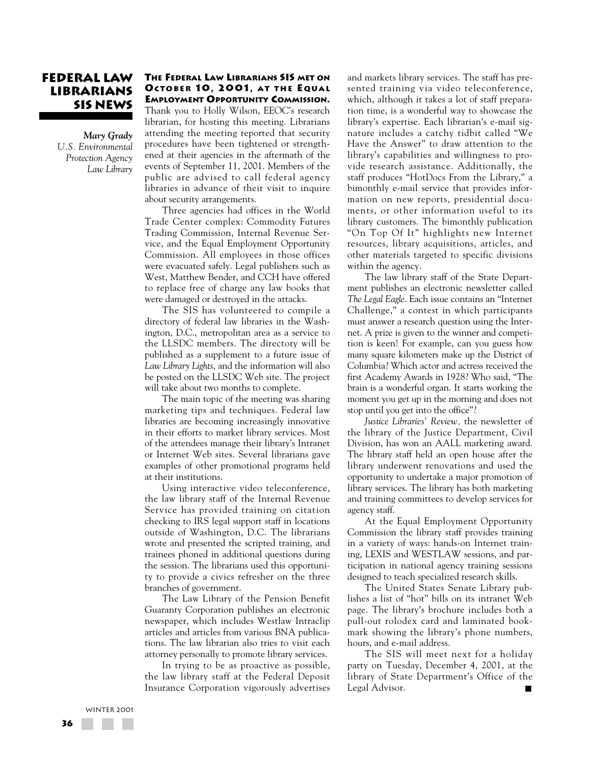# **FEDERAL LAW LIBRARIANS SIS NEWS**

*Mary Grady U.S. Environmental Protection Agency Law Library*

#### **THE FEDERAL LAW LIBRARIANS SIS MET ON OCTOBER 10, 2001, AT THE EQUAL EMPLOYMENT OPPORTUNITY COMMISSION.**

Thank you to Holly Wilson, EEOC's research librarian, for hosting this meeting. Librarians attending the meeting reported that security procedures have been tightened or strengthened at their agencies in the aftermath of the events of September 11, 2001. Members of the public are advised to call federal agency libraries in advance of their visit to inquire about security arrangements.

Three agencies had offices in the World Trade Center complex: Commodity Futures Trading Commission, Internal Revenue Service, and the Equal Employment Opportunity Commission. All employees in those offices were evacuated safely. Legal publishers such as West, Matthew Bender, and CCH have offered to replace free of charge any law books that were damaged or destroyed in the attacks.

The SIS has volunteered to compile a directory of federal law libraries in the Washington, D.C., metropolitan area as a service to the LLSDC members. The directory will be published as a supplement to a future issue of *Law Library Lights*, and the information will also be posted on the LLSDC Web site. The project will take about two months to complete.

The main topic of the meeting was sharing marketing tips and techniques. Federal law libraries are becoming increasingly innovative in their efforts to market library services. Most of the attendees manage their library's Intranet or Internet Web sites. Several librarians gave examples of other promotional programs held at their institutions.

Using interactive video teleconference, the law library staff of the Internal Revenue Service has provided training on citation checking to IRS legal support staff in locations outside of Washington, D.C. The librarians wrote and presented the scripted training, and trainees phoned in additional questions during the session. The librarians used this opportunity to provide a civics refresher on the three branches of government.

The Law Library of the Pension Benefit Guaranty Corporation publishes an electronic newspaper, which includes Westlaw Intraclip articles and articles from various BNA publications. The law librarian also tries to visit each attorney personally to promote library services.

In trying to be as proactive as possible, the law library staff at the Federal Deposit Insurance Corporation vigorously advertises and markets library services. The staff has presented training via video teleconference, which, although it takes a lot of staff preparation time, is a wonderful way to showcase the library's expertise. Each librarian's e-mail signature includes a catchy tidbit called "We Have the Answer" to draw attention to the library's capabilities and willingness to provide research assistance. Additionally, the staff produces "HotDocs From the Library," a bimonthly e-mail service that provides information on new reports, presidential documents, or other information useful to its library customers. The bimonthly publication "On Top Of It" highlights new Internet resources, library acquisitions, articles, and other materials targeted to specific divisions within the agency.

The law library staff of the State Department publishes an electronic newsletter called *The Legal Eagle*. Each issue contains an "Internet Challenge," a contest in which participants must answer a research question using the Internet. A prize is given to the winner and competition is keen! For example, can you guess how many square kilometers make up the District of Columbia? Which actor and actress received the first Academy Awards in 1928? Who said, "The brain is a wonderful organ. It starts working the moment you get up in the morning and does not stop until you get into the office"?

*Justice Libraries' Review,* the newsletter of the library of the Justice Department, Civil Division, has won an AALL marketing award. The library staff held an open house after the library underwent renovations and used the opportunity to undertake a major promotion of library services. The library has both marketing and training committees to develop services for agency staff.

At the Equal Employment Opportunity Commission the library staff provides training in a variety of ways: hands-on Internet training, LEXIS and WESTLAW sessions, and participation in national agency training sessions designed to teach specialized research skills.

The United States Senate Library publishes a list of "hot" bills on its intranet Web page. The library's brochure includes both a pull-out rolodex card and laminated bookmark showing the library's phone numbers, hours, and e-mail address.

The SIS will meet next for a holiday party on Tuesday, December 4, 2001, at the library of State Department's Office of the Legal Advisor.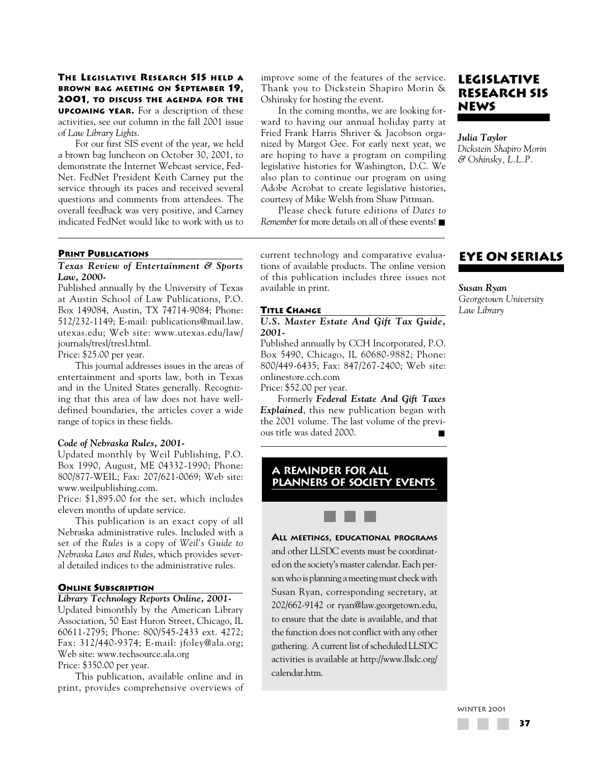### **THE LEGISLATIVE RESEARCH SIS HELD A BROWN BAG MEETING ON SEPTEMBER 19, 2001, TO DISCUSS THE AGENDA FOR THE UPCOMING YEAR.** For a description of these activities, see our column in the fall 2001 issue of *Law Library Lights*.

For our first SIS event of the year, we held a brown bag luncheon on October 30, 2001, to demonstrate the Internet Webcast service, Fed-Net. FedNet President Keith Carney put the service through its paces and received several questions and comments from attendees. The overall feedback was very positive, and Carney indicated FedNet would like to work with us to

#### **PRINT PUBLICATIONS**

### *Texas Review of Entertainment & Sports Law, 2000-*

Published annually by the University of Texas at Austin School of Law Publications, P.O. Box 149084, Austin, TX 74714-9084; Phone: 512/232-1149; E-mail: publications@mail.law. utexas.edu; Web site: www.utexas.edu/law/ journals/tresl/tresl.html.

Price: \$25.00 per year.

This journal addresses issues in the areas of entertainment and sports law, both in Texas and in the United States generally. Recognizing that this area of law does not have welldefined boundaries, the articles cover a wide range of topics in these fields.

### *Code of Nebraska Rules, 2001-*

Updated monthly by Weil Publishing, P.O. Box 1990, August, ME 04332-1990; Phone: 800/877-WEIL; Fax: 207/621-0069; Web site: www.weilpublishing.com.

Price: \$1,895.00 for the set, which includes eleven months of update service.

This publication is an exact copy of all Nebraska administrative rules. Included with a set of the *Rules* is a copy of *Weil's Guide to Nebraska Laws and Rules*, which provides several detailed indices to the administrative rules.

#### **ONLINE SUBSCRIPTION**

### *Library Technology Reports Online, 2001-*

Updated bimonthly by the American Library Association, 50 East Huron Street, Chicago, IL 60611-2795; Phone: 800/545-2433 ext. 4272; Fax: 312/440-9374; E-mail: jfoley@ala.org; Web site: www.techsource.ala.org Price: \$350.00 per year.

This publication, available online and in print, provides comprehensive overviews of

improve some of the features of the service. Thank you to Dickstein Shapiro Morin & Oshinsky for hosting the event.

In the coming months, we are looking forward to having our annual holiday party at Fried Frank Harris Shriver & Jacobson organized by Margot Gee. For early next year, we are hoping to have a program on compiling legislative histories for Washington, D.C. We also plan to continue our program on using Adobe Acrobat to create legislative histories, courtesy of Mike Welsh from Shaw Pittman.

Please check future editions of *Dates to Remember* for more details on all of these events! ■

current technology and comparative evaluations of available products. The online version of this publication includes three issues not available in print.

#### **TITLE CHANGE**

#### *U.S. Master Estate And Gift Tax Guide, 2001-*

Published annually by CCH Incorporated, P.O. Box 5490, Chicago, IL 60680-9882; Phone: 800/449-6435; Fax: 847/267-2400; Web site: onlinestore.cch.com

Price: \$52.00 per year.

Formerly *Federal Estate And Gift Taxes Explained*, this new publication began with the 2001 volume. The last volume of the previous title was dated 2000.

# **A reminder for all planners of society events**

# **ALL MEETINGS, EDUCATIONAL PROGRAMS**

and other LLSDC events must be coordinated on the society's master calendar. Each person who is planning a meeting must check with Susan Ryan, corresponding secretary, at 202/662-9142 or ryan@law.georgetown.edu, to ensure that the date is available, and that the function does not conflict with any other gathering. A current list of scheduled LLSDC activities is available at http://www.llsdc.org/ calendar.htm.

# **LEGISLATIVE RESEARCH SIS NEWS**

*Julia Taylor Dickstein Shapiro Morin & Oshinsky, L.L.P.*

# **EYE ON SERIALS**

*Susan Ryan Georgetown University* 

*Law Library*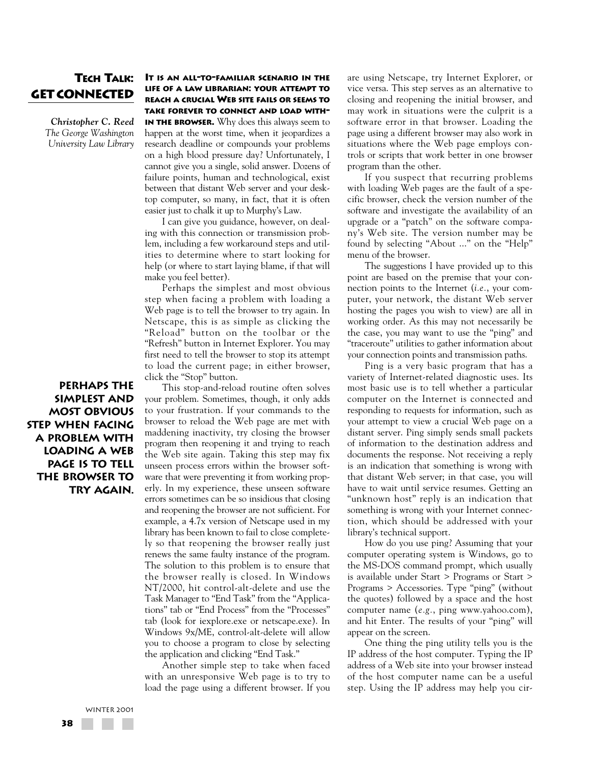# **TECH TALK: GET CONNECTED**

*Christopher C. Reed The George Washington University Law Library*

**Perhaps the simplest and most obvious step when facing a problem with loading a Web page is to tell the browser to try again.**

### **IT IS AN ALL-TO-FAMILIAR SCENARIO IN THE LIFE OF A LAW LIBRARIAN: YOUR ATTEMPT TO REACH A CRUCIAL WEB SITE FAILS OR SEEMS TO TAKE FOREVER TO CONNECT AND LOAD WITH-**

**IN THE BROWSER.** Why does this always seem to happen at the worst time, when it jeopardizes a research deadline or compounds your problems on a high blood pressure day? Unfortunately, I cannot give you a single, solid answer. Dozens of failure points, human and technological, exist between that distant Web server and your desktop computer, so many, in fact, that it is often easier just to chalk it up to Murphy's Law.

I can give you guidance, however, on dealing with this connection or transmission problem, including a few workaround steps and utilities to determine where to start looking for help (or where to start laying blame, if that will make you feel better).

Perhaps the simplest and most obvious step when facing a problem with loading a Web page is to tell the browser to try again. In Netscape, this is as simple as clicking the "Reload" button on the toolbar or the "Refresh" button in Internet Explorer. You may first need to tell the browser to stop its attempt to load the current page; in either browser, click the "Stop" button.

This stop-and-reload routine often solves your problem. Sometimes, though, it only adds to your frustration. If your commands to the browser to reload the Web page are met with maddening inactivity, try closing the browser program then reopening it and trying to reach the Web site again. Taking this step may fix unseen process errors within the browser software that were preventing it from working properly. In my experience, these unseen software errors sometimes can be so insidious that closing and reopening the browser are not sufficient. For example, a 4.7x version of Netscape used in my library has been known to fail to close completely so that reopening the browser really just renews the same faulty instance of the program. The solution to this problem is to ensure that the browser really is closed. In Windows NT/2000, hit control-alt-delete and use the Task Manager to "End Task" from the "Applications" tab or "End Process" from the "Processes" tab (look for iexplore.exe or netscape.exe). In Windows 9x/ME, control-alt-delete will allow you to choose a program to close by selecting the application and clicking "End Task."

Another simple step to take when faced with an unresponsive Web page is to try to load the page using a different browser. If you are using Netscape, try Internet Explorer, or vice versa. This step serves as an alternative to closing and reopening the initial browser, and may work in situations were the culprit is a software error in that browser. Loading the page using a different browser may also work in situations where the Web page employs controls or scripts that work better in one browser program than the other.

If you suspect that recurring problems with loading Web pages are the fault of a specific browser, check the version number of the software and investigate the availability of an upgrade or a "patch" on the software company's Web site. The version number may be found by selecting "About ..." on the "Help" menu of the browser.

The suggestions I have provided up to this point are based on the premise that your connection points to the Internet (*i.e.*, your computer, your network, the distant Web server hosting the pages you wish to view) are all in working order. As this may not necessarily be the case, you may want to use the "ping" and "traceroute" utilities to gather information about your connection points and transmission paths.

Ping is a very basic program that has a variety of Internet-related diagnostic uses. Its most basic use is to tell whether a particular computer on the Internet is connected and responding to requests for information, such as your attempt to view a crucial Web page on a distant server. Ping simply sends small packets of information to the destination address and documents the response. Not receiving a reply is an indication that something is wrong with that distant Web server; in that case, you will have to wait until service resumes. Getting an "unknown host" reply is an indication that something is wrong with your Internet connection, which should be addressed with your library's technical support.

How do you use ping? Assuming that your computer operating system is Windows, go to the MS-DOS command prompt, which usually is available under Start > Programs or Start > Programs > Accessories. Type "ping" (without the quotes) followed by a space and the host computer name (*e.g.*, ping www.yahoo.com), and hit Enter. The results of your "ping" will appear on the screen.

One thing the ping utility tells you is the IP address of the host computer. Typing the IP address of a Web site into your browser instead of the host computer name can be a useful step. Using the IP address may help you cir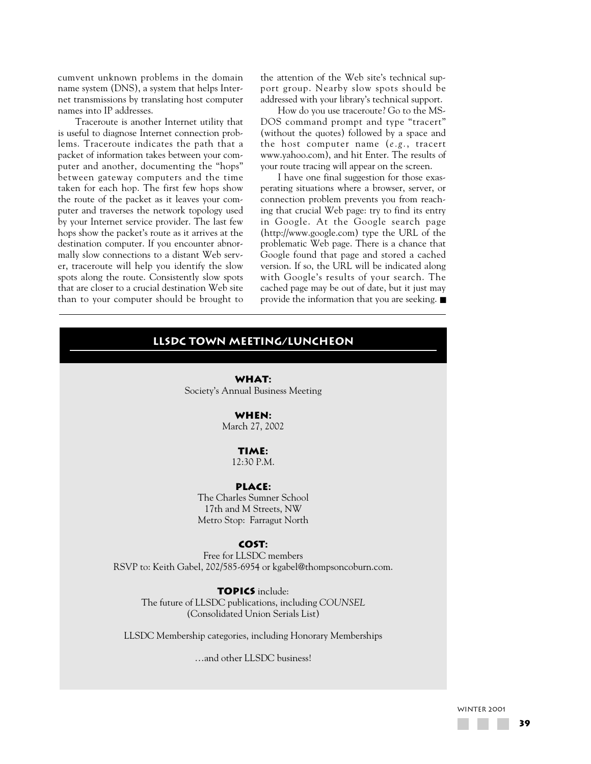cumvent unknown problems in the domain name system (DNS), a system that helps Internet transmissions by translating host computer names into IP addresses.

Traceroute is another Internet utility that is useful to diagnose Internet connection problems. Traceroute indicates the path that a packet of information takes between your computer and another, documenting the "hops" between gateway computers and the time taken for each hop. The first few hops show the route of the packet as it leaves your computer and traverses the network topology used by your Internet service provider. The last few hops show the packet's route as it arrives at the destination computer. If you encounter abnormally slow connections to a distant Web server, traceroute will help you identify the slow spots along the route. Consistently slow spots that are closer to a crucial destination Web site than to your computer should be brought to the attention of the Web site's technical support group. Nearby slow spots should be addressed with your library's technical support.

How do you use traceroute? Go to the MS-DOS command prompt and type "tracert" (without the quotes) followed by a space and the host computer name (*e.g.*, tracert www.yahoo.com), and hit Enter. The results of your route tracing will appear on the screen.

I have one final suggestion for those exasperating situations where a browser, server, or connection problem prevents you from reaching that crucial Web page: try to find its entry in Google. At the Google search page (http://www.google.com) type the URL of the problematic Web page. There is a chance that Google found that page and stored a cached version. If so, the URL will be indicated along with Google's results of your search. The cached page may be out of date, but it just may provide the information that you are seeking. ■

# **LLSDC town meeting/luncheon**

**WHAT:** Society's Annual Business Meeting

### **WHEN:**

March 27, 2002

# **TIME:**

12:30 P.M.

### **PLACE:**

The Charles Sumner School 17th and M Streets, NW Metro Stop: Farragut North

### **COST:**

Free for LLSDC members RSVP to: Keith Gabel, 202/585-6954 or kgabel@thompsoncoburn.com.

# **TOPICS** include:

The future of LLSDC publications, including *COUNSEL* (Consolidated Union Serials List)

LLSDC Membership categories, including Honorary Memberships

…and other LLSDC business!

#### WINTER 2001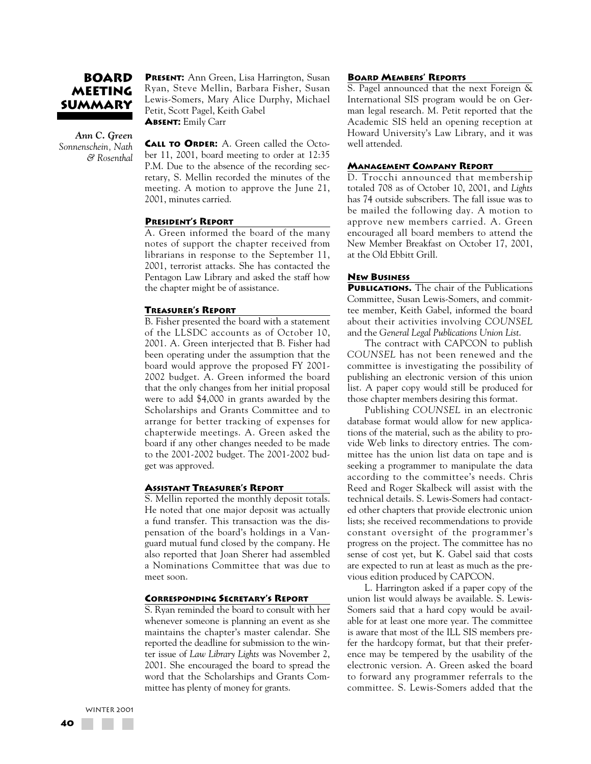# **BOARD MEETING SUMMARY**

*Ann C. Green Sonnenschein, Nath & Rosenthal* **PRESENT:** Ann Green, Lisa Harrington, Susan Ryan, Steve Mellin, Barbara Fisher, Susan Lewis-Somers, Mary Alice Durphy, Michael Petit, Scott Pagel, Keith Gabel **ABSENT:** Emily Carr

**CALL TO ORDER:** A. Green called the October 11, 2001, board meeting to order at 12:35 P.M. Due to the absence of the recording secretary, S. Mellin recorded the minutes of the meeting. A motion to approve the June 21, 2001, minutes carried.

#### **PRESIDENT'S REPORT**

A. Green informed the board of the many notes of support the chapter received from librarians in response to the September 11, 2001, terrorist attacks. She has contacted the Pentagon Law Library and asked the staff how the chapter might be of assistance.

#### **TREASURER'S REPORT**

B. Fisher presented the board with a statement of the LLSDC accounts as of October 10, 2001. A. Green interjected that B. Fisher had been operating under the assumption that the board would approve the proposed FY 2001- 2002 budget. A. Green informed the board that the only changes from her initial proposal were to add \$4,000 in grants awarded by the Scholarships and Grants Committee and to arrange for better tracking of expenses for chapterwide meetings. A. Green asked the board if any other changes needed to be made to the 2001-2002 budget. The 2001-2002 budget was approved.

#### **ASSISTANT TREASURER'S REPORT**

S. Mellin reported the monthly deposit totals. He noted that one major deposit was actually a fund transfer. This transaction was the dispensation of the board's holdings in a Vanguard mutual fund closed by the company. He also reported that Joan Sherer had assembled a Nominations Committee that was due to meet soon.

### **CORRESPONDING SECRETARY'S REPORT**

S. Ryan reminded the board to consult with her whenever someone is planning an event as she maintains the chapter's master calendar. She reported the deadline for submission to the winter issue of *Law Library Lights* was November 2, 2001. She encouraged the board to spread the word that the Scholarships and Grants Committee has plenty of money for grants.

#### **BOARD MEMBERS' REPORTS**

S. Pagel announced that the next Foreign & International SIS program would be on German legal research. M. Petit reported that the Academic SIS held an opening reception at Howard University's Law Library, and it was well attended.

#### **MANAGEMENT COMPANY REPORT**

D. Trocchi announced that membership totaled 708 as of October 10, 2001, and *Lights* has 74 outside subscribers. The fall issue was to be mailed the following day. A motion to approve new members carried. A. Green encouraged all board members to attend the New Member Breakfast on October 17, 2001, at the Old Ebbitt Grill.

#### **NEW BUSINESS**

**PUBLICATIONS.** The chair of the Publications Committee, Susan Lewis-Somers, and committee member, Keith Gabel, informed the board about their activities involving *COUNSEL* and the *General Legal Publications Union List*.

The contract with CAPCON to publish *COUNSEL* has not been renewed and the committee is investigating the possibility of publishing an electronic version of this union list. A paper copy would still be produced for those chapter members desiring this format.

Publishing *COUNSEL* in an electronic database format would allow for new applications of the material, such as the ability to provide Web links to directory entries. The committee has the union list data on tape and is seeking a programmer to manipulate the data according to the committee's needs. Chris Reed and Roger Skalbeck will assist with the technical details. S. Lewis-Somers had contacted other chapters that provide electronic union lists; she received recommendations to provide constant oversight of the programmer's progress on the project. The committee has no sense of cost yet, but K. Gabel said that costs are expected to run at least as much as the previous edition produced by CAPCON.

L. Harrington asked if a paper copy of the union list would always be available. S. Lewis-Somers said that a hard copy would be available for at least one more year. The committee is aware that most of the ILL SIS members prefer the hardcopy format, but that their preference may be tempered by the usability of the electronic version. A. Green asked the board to forward any programmer referrals to the committee. S. Lewis-Somers added that the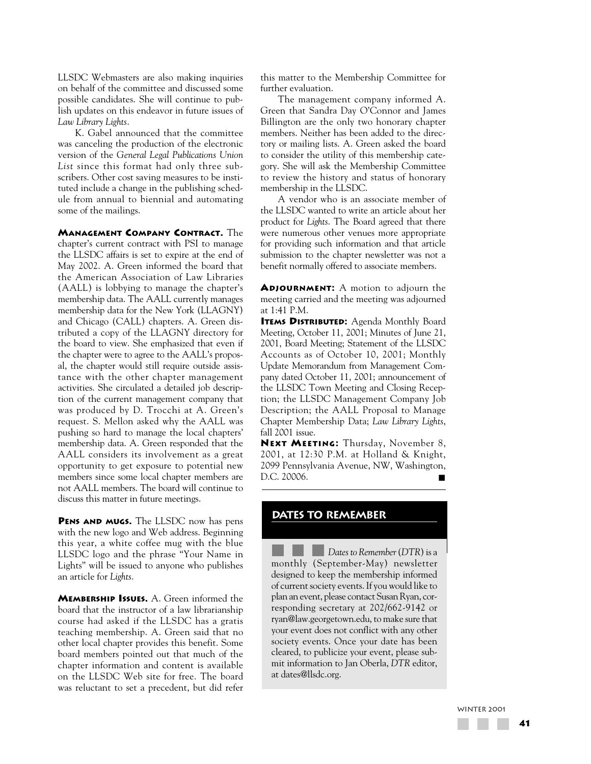LLSDC Webmasters are also making inquiries on behalf of the committee and discussed some possible candidates. She will continue to publish updates on this endeavor in future issues of *Law Library Lights*.

K. Gabel announced that the committee was canceling the production of the electronic version of the *General Legal Publications Union List* since this format had only three subscribers. Other cost saving measures to be instituted include a change in the publishing schedule from annual to biennial and automating some of the mailings.

**MANAGEMENT COMPANY CONTRACT.** The chapter's current contract with PSI to manage the LLSDC affairs is set to expire at the end of May 2002. A. Green informed the board that the American Association of Law Libraries (AALL) is lobbying to manage the chapter's membership data. The AALL currently manages membership data for the New York (LLAGNY) and Chicago (CALL) chapters. A. Green distributed a copy of the LLAGNY directory for the board to view. She emphasized that even if the chapter were to agree to the AALL's proposal, the chapter would still require outside assistance with the other chapter management activities. She circulated a detailed job description of the current management company that was produced by D. Trocchi at A. Green's request. S. Mellon asked why the AALL was pushing so hard to manage the local chapters' membership data. A. Green responded that the AALL considers its involvement as a great opportunity to get exposure to potential new members since some local chapter members are not AALL members. The board will continue to discuss this matter in future meetings.

**PENS AND MUGS.** The LLSDC now has pens with the new logo and Web address. Beginning this year, a white coffee mug with the blue LLSDC logo and the phrase "Your Name in Lights" will be issued to anyone who publishes an article for *Lights*.

**MEMBERSHIP ISSUES.** A. Green informed the board that the instructor of a law librarianship course had asked if the LLSDC has a gratis teaching membership. A. Green said that no other local chapter provides this benefit. Some board members pointed out that much of the chapter information and content is available on the LLSDC Web site for free. The board was reluctant to set a precedent, but did refer this matter to the Membership Committee for further evaluation.

The management company informed A. Green that Sandra Day O'Connor and James Billington are the only two honorary chapter members. Neither has been added to the directory or mailing lists. A. Green asked the board to consider the utility of this membership category. She will ask the Membership Committee to review the history and status of honorary membership in the LLSDC.

A vendor who is an associate member of the LLSDC wanted to write an article about her product for *Lights*. The Board agreed that there were numerous other venues more appropriate for providing such information and that article submission to the chapter newsletter was not a benefit normally offered to associate members.

**ADJOURNMENT:** A motion to adjourn the meeting carried and the meeting was adjourned at 1:41 P.M.

**ITEMS DISTRIBUTED:** Agenda Monthly Board Meeting, October 11, 2001; Minutes of June 21, 2001, Board Meeting; Statement of the LLSDC Accounts as of October 10, 2001; Monthly Update Memorandum from Management Company dated October 11, 2001; announcement of the LLSDC Town Meeting and Closing Reception; the LLSDC Management Company Job Description; the AALL Proposal to Manage Chapter Membership Data; *Law Library Lights*, fall 2001 issue.

**NEXT MEETING:** Thursday, November 8, 2001, at 12:30 P.M. at Holland & Knight, 2099 Pennsylvania Avenue, NW, Washington, D.C. 20006.

# **DATES TO REMEMBER**

*Dates to Remember*(*DTR*) is a monthly (September-May) newsletter designed to keep the membership informed of current society events. If you would like to plan an event, please contact Susan Ryan, corresponding secretary at 202/662-9142 or ryan@law.georgetown.edu, to make sure that your event does not conflict with any other society events. Once your date has been cleared, to publicize your event, please submit information to Jan Oberla, *DTR* editor, at dates@llsdc.org.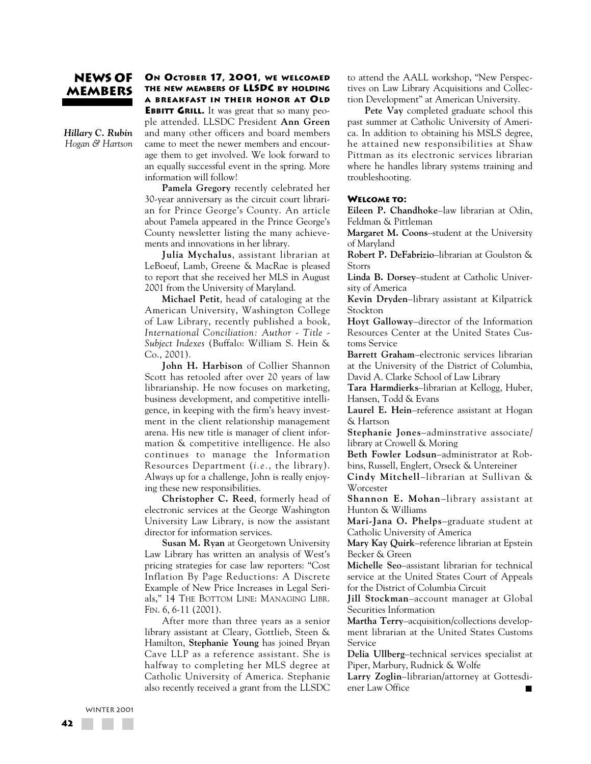# **NEWS OF MEMBERS**

*Hillary C. Rubin Hogan & Hartson*

### **ON OCTOBER 17, 2001, WE WELCOMED THE NEW MEMBERS OF LLSDC BY HOLDING A BREAKFAST IN THEIR HONOR AT OLD**

**EBBITT GRILL.** It was great that so many people attended. LLSDC President **Ann Green** and many other officers and board members came to meet the newer members and encourage them to get involved. We look forward to an equally successful event in the spring. More information will follow!

**Pamela Gregory** recently celebrated her 30-year anniversary as the circuit court librarian for Prince George's County. An article about Pamela appeared in the Prince George's County newsletter listing the many achievements and innovations in her library.

**Julia Mychalus**, assistant librarian at LeBoeuf, Lamb, Greene & MacRae is pleased to report that she received her MLS in August 2001 from the University of Maryland.

**Michael Petit**, head of cataloging at the American University, Washington College of Law Library, recently published a book, *International Conciliation: Author - Title - Subject Indexes* (Buffalo: William S. Hein & Co., 2001).

**John H. Harbison** of Collier Shannon Scott has retooled after over 20 years of law librarianship. He now focuses on marketing, business development, and competitive intelligence, in keeping with the firm's heavy investment in the client relationship management arena. His new title is manager of client information & competitive intelligence. He also continues to manage the Information Resources Department (*i.e.*, the library). Always up for a challenge, John is really enjoying these new responsibilities.

**Christopher C. Reed**, formerly head of electronic services at the George Washington University Law Library, is now the assistant director for information services.

**Susan M. Ryan** at Georgetown University Law Library has written an analysis of West's pricing strategies for case law reporters: "Cost Inflation By Page Reductions: A Discrete Example of New Price Increases in Legal Serials," 14 THE BOTTOM LINE: MANAGING LIBR. FIN. 6, 6-11 (2001).

After more than three years as a senior library assistant at Cleary, Gottlieb, Steen & Hamilton, **Stephanie Young** has joined Bryan Cave LLP as a reference assistant. She is halfway to completing her MLS degree at Catholic University of America. Stephanie also recently received a grant from the LLSDC to attend the AALL workshop, "New Perspectives on Law Library Acquisitions and Collection Development" at American University.

**Pete Vay** completed graduate school this past summer at Catholic University of America. In addition to obtaining his MSLS degree, he attained new responsibilities at Shaw Pittman as its electronic services librarian where he handles library systems training and troubleshooting.

#### **WELCOME TO:**

**Eileen P. Chandhoke**–law librarian at Odin, Feldman & Pittleman

**Margaret M. Coons**–student at the University of Maryland

**Robert P. DeFabrizio**–librarian at Goulston & Storrs

**Linda B. Dorsey**–student at Catholic University of America

**Kevin Dryden**–library assistant at Kilpatrick Stockton

**Hoyt Galloway**–director of the Information Resources Center at the United States Customs Service

**Barrett Graham**–electronic services librarian at the University of the District of Columbia, David A. Clarke School of Law Library

**Tara Harmdierks**–librarian at Kellogg, Huber, Hansen, Todd & Evans

**Laurel E. Hein**–reference assistant at Hogan & Hartson

**Stephanie Jones**–adminstrative associate/ library at Crowell & Moring

**Beth Fowler Lodsun**–administrator at Robbins, Russell, Englert, Orseck & Untereiner

**Cindy Mitchell**–librarian at Sullivan & **Worcester** 

**Shannon E. Mohan**–library assistant at Hunton & Williams

**Mari-Jana O. Phelps**–graduate student at Catholic University of America

**Mary Kay Quirk**–reference librarian at Epstein Becker & Green

**Michelle Seo**–assistant librarian for technical service at the United States Court of Appeals for the District of Columbia Circuit

**Jill Stockman**–account manager at Global Securities Information

**Martha Terry**–acquisition/collections development librarian at the United States Customs Service

**Delia Ullberg**–technical services specialist at Piper, Marbury, Rudnick & Wolfe

**Larry Zoglin**–librarian/attorney at Gottesdiener Law Office

WINTER 2001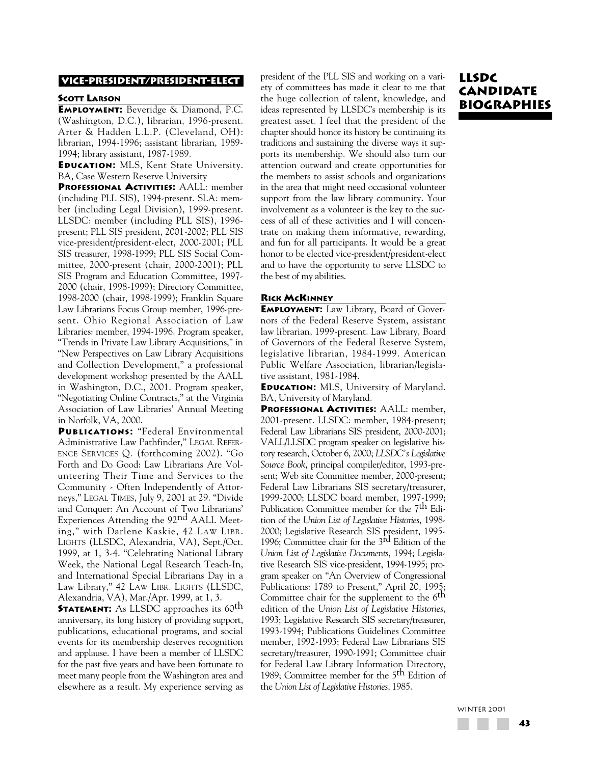#### **VICE-PRESIDENT/PRESIDENT-ELECT**

#### **SCOTT LARSON**

**EMPLOYMENT:** Beveridge & Diamond, P.C. (Washington, D.C.), librarian, 1996-present. Arter & Hadden L.L.P. (Cleveland, OH): librarian, 1994-1996; assistant librarian, 1989- 1994; library assistant, 1987-1989.

**EDUCATION:** MLS, Kent State University. BA, Case Western Reserve University

**PROFESSIONAL ACTIVITIES:** AALL: member (including PLL SIS), 1994-present. SLA: member (including Legal Division), 1999-present. LLSDC: member (including PLL SIS), 1996 present; PLL SIS president, 2001-2002; PLL SIS vice-president/president-elect, 2000-2001; PLL SIS treasurer, 1998-1999; PLL SIS Social Committee, 2000-present (chair, 2000-2001); PLL SIS Program and Education Committee, 1997- 2000 (chair, 1998-1999); Directory Committee, 1998-2000 (chair, 1998-1999); Franklin Square Law Librarians Focus Group member, 1996-present. Ohio Regional Association of Law Libraries: member, 1994-1996. Program speaker, "Trends in Private Law Library Acquisitions," in "New Perspectives on Law Library Acquisitions and Collection Development," a professional development workshop presented by the AALL in Washington, D.C., 2001. Program speaker, "Negotiating Online Contracts," at the Virginia Association of Law Libraries' Annual Meeting in Norfolk, VA, 2000.

**PUBLICATIONS:** "Federal Environmental Administrative Law Pathfinder," LEGAL REFER-ENCE SERVICES Q*.* (forthcoming 2002). "Go Forth and Do Good: Law Librarians Are Volunteering Their Time and Services to the Community - Often Independently of Attorneys," LEGAL TIMES, July 9, 2001 at 29. "Divide and Conquer: An Account of Two Librarians' Experiences Attending the 92<sup>nd</sup> AALL Meeting," with Darlene Kaskie, 42 LAW LIBR. LIGHTS (LLSDC, Alexandria, VA), Sept./Oct. 1999, at 1, 3-4. "Celebrating National Library Week, the National Legal Research Teach-In, and International Special Librarians Day in a Law Library," 42 LAW LIBR. LIGHTS (LLSDC, Alexandria, VA), Mar./Apr. 1999, at 1, 3.

**STATEMENT:** As LLSDC approaches its 60<sup>th</sup> anniversary, its long history of providing support, publications, educational programs, and social events for its membership deserves recognition and applause. I have been a member of LLSDC for the past five years and have been fortunate to meet many people from the Washington area and elsewhere as a result. My experience serving as

president of the PLL SIS and working on a variety of committees has made it clear to me that the huge collection of talent, knowledge, and ideas represented by LLSDC's membership is its greatest asset. I feel that the president of the chapter should honor its history be continuing its traditions and sustaining the diverse ways it supports its membership. We should also turn our attention outward and create opportunities for the members to assist schools and organizations in the area that might need occasional volunteer support from the law library community. Your involvement as a volunteer is the key to the success of all of these activities and I will concentrate on making them informative, rewarding, and fun for all participants. It would be a great honor to be elected vice-president/president-elect and to have the opportunity to serve LLSDC to the best of my abilities.

# **RICK MCKINNEY**

**EMPLOYMENT:** Law Library, Board of Governors of the Federal Reserve System, assistant law librarian, 1999-present. Law Library, Board of Governors of the Federal Reserve System, legislative librarian, 1984-1999. American Public Welfare Association, librarian/legislative assistant, 1981-1984.

**EDUCATION:** MLS, University of Maryland. BA, University of Maryland.

**PROFESSIONAL ACTIVITIES:** AALL: member, 2001-present. LLSDC: member, 1984-present; Federal Law Librarians SIS president, 2000-2001; VALL/LLSDC program speaker on legislative history research, October 6, 2000; *LLSDC's Legislative Source Book*, principal compiler/editor, 1993-present; Web site Committee member, 2000-present; Federal Law Librarians SIS secretary/treasurer, 1999-2000; LLSDC board member, 1997-1999; Publication Committee member for the 7<sup>th</sup> Edition of the *Union List of Legislative Histories*, 1998- 2000; Legislative Research SIS president, 1995- 1996; Committee chair for the 3rd Edition of the *Union List of Legislative Documents*, 1994; Legislative Research SIS vice-president, 1994-1995; program speaker on "An Overview of Congressional Publications: 1789 to Present," April 20, 1995; Committee chair for the supplement to the 6<sup>th</sup> edition of the *Union List of Legislative Histories*, 1993; Legislative Research SIS secretary/treasurer, 1993-1994; Publications Guidelines Committee member, 1992-1993; Federal Law Librarians SIS secretary/treasurer, 1990-1991; Committee chair for Federal Law Library Information Directory, 1989; Committee member for the 5<sup>th</sup> Edition of the *Union List of Legislative Histories*, 1985.

# **LLSDC CANDIDATE BIOGRAPHIES**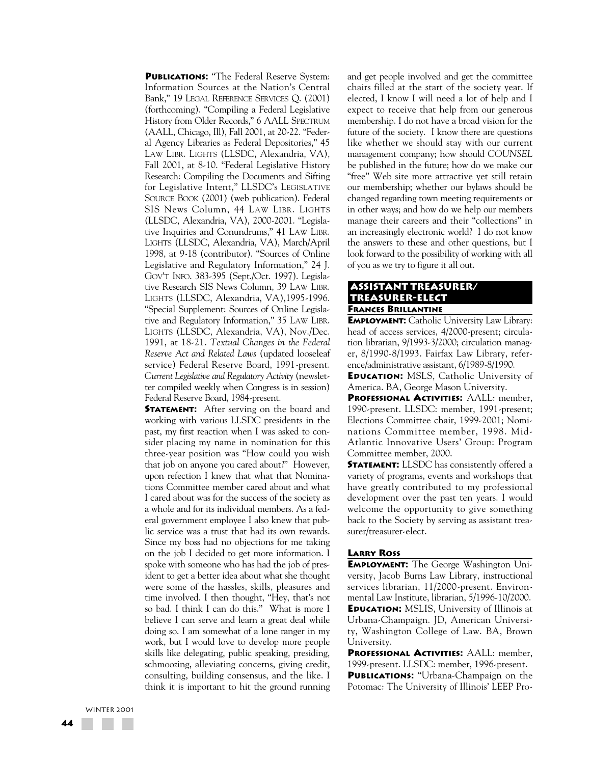**PUBLICATIONS:** "The Federal Reserve System: Information Sources at the Nation's Central Bank," 19 LEGAL REFERENCE SERVICES Q. (2001) (forthcoming). "Compiling a Federal Legislative History from Older Records," 6 AALL SPECTRUM (AALL, Chicago, Ill), Fall 2001, at 20-22. "Federal Agency Libraries as Federal Depositories," 45 LAW LIBR. LIGHTS (LLSDC, Alexandria, VA), Fall 2001, at 8-10. "Federal Legislative History Research: Compiling the Documents and Sifting for Legislative Intent," LLSDC's LEGISLATIVE SOURCE BOOK (2001) (web publication). Federal SIS News Column, 44 LAW LIBR. LIGHTS (LLSDC, Alexandria, VA), 2000-2001. "Legislative Inquiries and Conundrums," 41 LAW LIBR. LIGHTS (LLSDC, Alexandria, VA), March/April 1998, at 9-18 (contributor). "Sources of Online Legislative and Regulatory Information," 24 J. GOV'T INFO. 383-395 (Sept./Oct. 1997). Legislative Research SIS News Column, 39 LAW LIBR. LIGHTS (LLSDC, Alexandria, VA),1995-1996. "Special Supplement: Sources of Online Legislative and Regulatory Information," 35 LAW LIBR. LIGHTS (LLSDC, Alexandria, VA), Nov./Dec. 1991, at 18-21. *Textual Changes in the Federal Reserve Act and Related Laws* (updated looseleaf service) Federal Reserve Board, 1991-present. *Current Legislative and Regulatory Activity* (newsletter compiled weekly when Congress is in session) Federal Reserve Board, 1984-present.

**STATEMENT:** After serving on the board and working with various LLSDC presidents in the past, my first reaction when I was asked to consider placing my name in nomination for this three-year position was "How could you wish that job on anyone you cared about?" However, upon refection I knew that what that Nominations Committee member cared about and what I cared about was for the success of the society as a whole and for its individual members. As a federal government employee I also knew that public service was a trust that had its own rewards. Since my boss had no objections for me taking on the job I decided to get more information. I spoke with someone who has had the job of president to get a better idea about what she thought were some of the hassles, skills, pleasures and time involved. I then thought, "Hey, that's not so bad. I think I can do this." What is more I believe I can serve and learn a great deal while doing so. I am somewhat of a lone ranger in my work, but I would love to develop more people skills like delegating, public speaking, presiding, schmoozing, alleviating concerns, giving credit, consulting, building consensus, and the like. I think it is important to hit the ground running and get people involved and get the committee chairs filled at the start of the society year. If elected, I know I will need a lot of help and I expect to receive that help from our generous membership. I do not have a broad vision for the future of the society. I know there are questions like whether we should stay with our current management company; how should *COUNSEL* be published in the future; how do we make our "free" Web site more attractive yet still retain our membership; whether our bylaws should be changed regarding town meeting requirements or in other ways; and how do we help our members manage their careers and their "collections" in an increasingly electronic world? I do not know the answers to these and other questions, but I look forward to the possibility of working with all of you as we try to figure it all out.

# **ASSISTANT TREASURER/ TREASURER-ELECT FRANCES BRILLANTINE**

**EMPLOYMENT:** Catholic University Law Library: head of access services, 4/2000-present; circulation librarian, 9/1993-3/2000; circulation manager, 8/1990-8/1993. Fairfax Law Library, reference/administrative assistant, 6/1989-8/1990.

**EDUCATION:** MSLS, Catholic University of America. BA, George Mason University.

**PROFESSIONAL ACTIVITIES:** AALL: member, 1990-present. LLSDC: member, 1991-present; Elections Committee chair, 1999-2001; Nominations Committee member, 1998. Mid-Atlantic Innovative Users' Group: Program Committee member, 2000.

**STATEMENT:** LLSDC has consistently offered a variety of programs, events and workshops that have greatly contributed to my professional development over the past ten years. I would welcome the opportunity to give something back to the Society by serving as assistant treasurer/treasurer-elect.

#### **LARRY ROSS**

**EMPLOYMENT:** The George Washington University, Jacob Burns Law Library, instructional services librarian, 11/2000-present. Environmental Law Institute, librarian, 5/1996-10/2000. **EDUCATION:** MSLIS, University of Illinois at Urbana-Champaign. JD, American Universi-

ty, Washington College of Law. BA, Brown University.

**PROFESSIONAL ACTIVITIES:** AALL: member, 1999-present. LLSDC: member, 1996-present.

**PUBLICATIONS:** "Urbana-Champaign on the Potomac: The University of Illinois' LEEP Pro-

WINTER 2001 **44**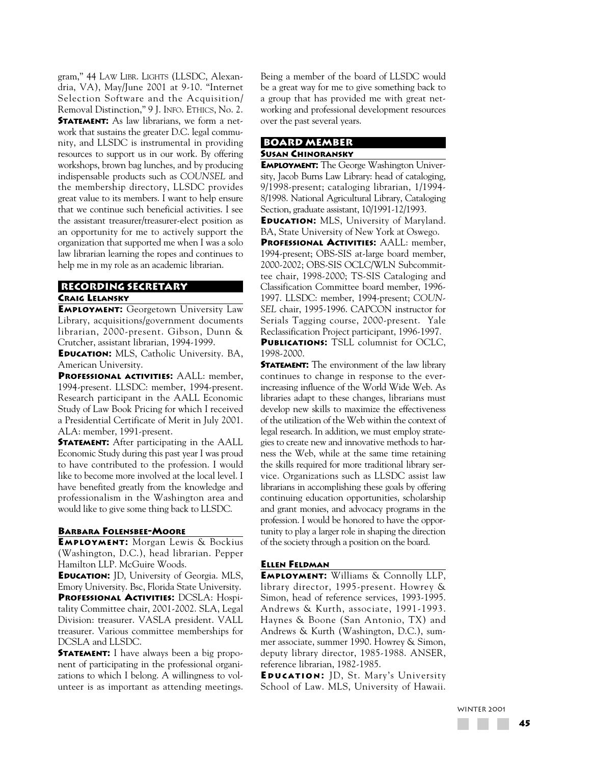gram," 44 LAW LIBR. LIGHTS (LLSDC, Alexandria, VA), May/June 2001 at 9-10. "Internet Selection Software and the Acquisition/ Removal Distinction," 9 J. INFO. ETHICS, No. 2. **STATEMENT:** As law librarians, we form a network that sustains the greater D.C. legal community, and LLSDC is instrumental in providing resources to support us in our work. By offering workshops, brown bag lunches, and by producing indispensable products such as *COUNSEL* and the membership directory, LLSDC provides great value to its members. I want to help ensure that we continue such beneficial activities. I see the assistant treasurer/treasurer-elect position as an opportunity for me to actively support the organization that supported me when I was a solo law librarian learning the ropes and continues to help me in my role as an academic librarian.

# **RECORDING SECRETARY CRAIG LELANSKY**

**EMPLOYMENT:** Georgetown University Law Library, acquisitions/government documents librarian, 2000-present. Gibson, Dunn & Crutcher, assistant librarian, 1994-1999.

**EDUCATION:** MLS, Catholic University. BA, American University.

**PROFESSIONAL ACTIVITIES:** AALL: member, 1994-present. LLSDC: member, 1994-present. Research participant in the AALL Economic Study of Law Book Pricing for which I received a Presidential Certificate of Merit in July 2001. ALA: member, 1991-present.

**STATEMENT:** After participating in the AALL Economic Study during this past year I was proud to have contributed to the profession. I would like to become more involved at the local level. I have benefited greatly from the knowledge and professionalism in the Washington area and would like to give some thing back to LLSDC.

#### **BARBARA FOLENSBEE-MOORE**

**EMPLOYMENT:** Morgan Lewis & Bockius (Washington, D.C.), head librarian. Pepper Hamilton LLP. McGuire Woods.

**EDUCATION:** JD, University of Georgia. MLS, Emory University. Bsc, Florida State University.

**PROFESSIONAL ACTIVITIES:** DCSLA: Hospitality Committee chair, 2001-2002. SLA, Legal Division: treasurer. VASLA president. VALL treasurer. Various committee memberships for DCSLA and LLSDC.

**STATEMENT:** I have always been a big proponent of participating in the professional organizations to which I belong. A willingness to volunteer is as important as attending meetings. Being a member of the board of LLSDC would be a great way for me to give something back to a group that has provided me with great networking and professional development resources over the past several years.

### **BOARD MEMBER SUSAN CHINORANSKY**

**EMPLOYMENT:** The George Washington University, Jacob Burns Law Library: head of cataloging, 9/1998-present; cataloging librarian, 1/1994- 8/1998. National Agricultural Library, Cataloging Section, graduate assistant, 10/1991-12/1993.

**EDUCATION:** MLS, University of Maryland. BA, State University of New York at Oswego.

**PROFESSIONAL ACTIVITIES:** AALL: member, 1994-present; OBS-SIS at-large board member, 2000-2002; OBS-SIS OCLC/WLN Subcommittee chair, 1998-2000; TS-SIS Cataloging and Classification Committee board member, 1996- 1997. LLSDC: member, 1994-present; *COUN-SEL* chair, 1995-1996. CAPCON instructor for Serials Tagging course, 2000-present. Yale Reclassification Project participant, 1996-1997. **PUBLICATIONS:** TSLL columnist for OCLC, 1998-2000.

**STATEMENT:** The environment of the law library continues to change in response to the everincreasing influence of the World Wide Web. As libraries adapt to these changes, librarians must develop new skills to maximize the effectiveness of the utilization of the Web within the context of legal research. In addition, we must employ strategies to create new and innovative methods to harness the Web, while at the same time retaining the skills required for more traditional library service. Organizations such as LLSDC assist law librarians in accomplishing these goals by offering continuing education opportunities, scholarship and grant monies, and advocacy programs in the profession. I would be honored to have the opportunity to play a larger role in shaping the direction of the society through a position on the board.

### **ELLEN FELDMAN**

**EMPLOYMENT:** Williams & Connolly LLP, library director, 1995-present. Howrey & Simon, head of reference services, 1993-1995. Andrews & Kurth, associate, 1991-1993. Haynes & Boone (San Antonio, TX) and Andrews & Kurth (Washington, D.C.), summer associate, summer 1990. Howrey & Simon, deputy library director, 1985-1988. ANSER, reference librarian, 1982-1985.

**E DUCATION :** JD, St. Mary's University School of Law. MLS, University of Hawaii.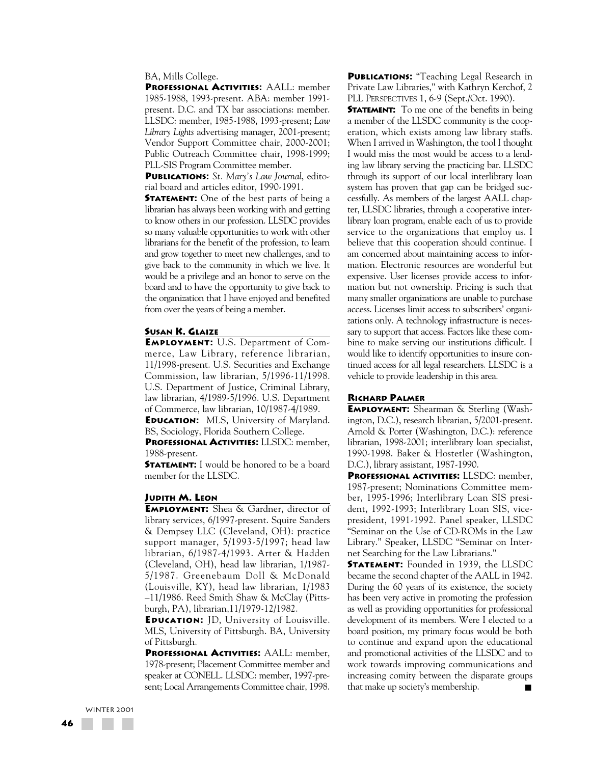#### BA, Mills College.

**PROFESSIONAL ACTIVITIES:** AALL: member 1985-1988, 1993-present. ABA: member 1991 present. D.C. and TX bar associations: member. LLSDC: member, 1985-1988, 1993-present; *Law Library Lights* advertising manager, 2001-present; Vendor Support Committee chair, 2000-2001; Public Outreach Committee chair, 1998-1999; PLL-SIS Program Committee member.

**PUBLICATIONS:** *St. Mary's Law Journal*, editorial board and articles editor, 1990-1991.

**STATEMENT:** One of the best parts of being a librarian has always been working with and getting to know others in our profession. LLSDC provides so many valuable opportunities to work with other librarians for the benefit of the profession, to learn and grow together to meet new challenges, and to give back to the community in which we live. It would be a privilege and an honor to serve on the board and to have the opportunity to give back to the organization that I have enjoyed and benefited from over the years of being a member.

#### **SUSAN K. GLAIZE**

**EMPLOYMENT:** U.S. Department of Commerce, Law Library, reference librarian, 11/1998-present. U.S. Securities and Exchange Commission, law librarian, 5/1996-11/1998. U.S. Department of Justice, Criminal Library, law librarian, 4/1989-5/1996. U.S. Department of Commerce, law librarian, 10/1987-4/1989. **EDUCATION:** MLS, University of Maryland.

BS, Sociology, Florida Southern College.

**PROFESSIONAL ACTIVITIES:** LLSDC: member, 1988-present.

**STATEMENT:** I would be honored to be a board member for the LLSDC.

### **JUDITH M. LEON**

**EMPLOYMENT:** Shea & Gardner, director of library services, 6/1997-present. Squire Sanders & Dempsey LLC (Cleveland, OH): practice support manager, 5/1993-5/1997; head law librarian, 6/1987-4/1993. Arter & Hadden (Cleveland, OH), head law librarian, 1/1987- 5/1987. Greenebaum Doll & McDonald (Louisville, KY), head law librarian, 1/1983 –11/1986. Reed Smith Shaw & McClay (Pittsburgh, PA), librarian,11/1979-12/1982.

**EDUCATION:** JD, University of Louisville. MLS, University of Pittsburgh. BA, University of Pittsburgh.

**PROFESSIONAL ACTIVITIES:** AALL: member, 1978-present; Placement Committee member and speaker at CONELL. LLSDC: member, 1997-present; Local Arrangements Committee chair, 1998.

**PUBLICATIONS:** "Teaching Legal Research in Private Law Libraries," with Kathryn Kerchof, 2 PLL PERSPECTIVES 1, 6-9 (Sept./Oct. 1990).

**STATEMENT:** To me one of the benefits in being a member of the LLSDC community is the cooperation, which exists among law library staffs. When I arrived in Washington, the tool I thought I would miss the most would be access to a lending law library serving the practicing bar. LLSDC through its support of our local interlibrary loan system has proven that gap can be bridged successfully. As members of the largest AALL chapter, LLSDC libraries, through a cooperative interlibrary loan program, enable each of us to provide service to the organizations that employ us. I believe that this cooperation should continue. I am concerned about maintaining access to information. Electronic resources are wonderful but expensive. User licenses provide access to information but not ownership. Pricing is such that many smaller organizations are unable to purchase access. Licenses limit access to subscribers' organizations only. A technology infrastructure is necessary to support that access. Factors like these combine to make serving our institutions difficult. I would like to identify opportunities to insure continued access for all legal researchers. LLSDC is a vehicle to provide leadership in this area.

### **RICHARD PALMER**

**EMPLOYMENT:** Shearman & Sterling (Washington, D.C.), research librarian, 5/2001-present. Arnold & Porter (Washington, D.C.): reference librarian, 1998-2001; interlibrary loan specialist, 1990-1998. Baker & Hostetler (Washington, D.C.), library assistant, 1987-1990.

**PROFESSIONAL ACTIVITIES:** LLSDC: member, 1987-present; Nominations Committee member, 1995-1996; Interlibrary Loan SIS president, 1992-1993; Interlibrary Loan SIS, vicepresident, 1991-1992. Panel speaker, LLSDC "Seminar on the Use of CD-ROMs in the Law Library." Speaker, LLSDC "Seminar on Internet Searching for the Law Librarians."

**STATEMENT:** Founded in 1939, the LLSDC became the second chapter of the AALL in 1942. During the 60 years of its existence, the society has been very active in promoting the profession as well as providing opportunities for professional development of its members. Were I elected to a board position, my primary focus would be both to continue and expand upon the educational and promotional activities of the LLSDC and to work towards improving communications and increasing comity between the disparate groups that make up society's membership.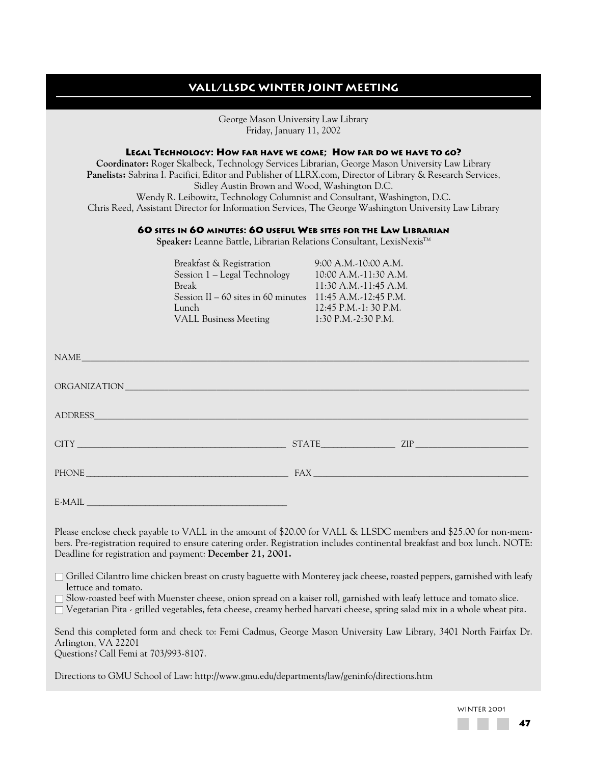# **VALL/LLSDC winter joint meeting**

George Mason University Law Library Friday, January 11, 2002 **LEGAL TECHNOLOGY: HOW FAR HAVE WE COME; HOW FAR DO WE HAVE TO GO?**

**Coordinator:** Roger Skalbeck, Technology Services Librarian, George Mason University Law Library **Panelists:** Sabrina I. Pacifici, Editor and Publisher of LLRX.com, Director of Library & Research Services, Sidley Austin Brown and Wood, Washington D.C. Wendy R. Leibowitz, Technology Columnist and Consultant, Washington, D.C. Chris Reed, Assistant Director for Information Services, The George Washington University Law Library

# **60 SITES IN 60 MINUTES: 60 USEFUL WEB SITES FOR THE LAW LIBRARIAN**

Speaker: Leanne Battle, Librarian Relations Consultant, LexisNexis™

| Breakfast & Registration             | 9:00 A.M.-10:00 A.M.  |
|--------------------------------------|-----------------------|
| Session 1 – Legal Technology         | 10:00 A.M.-11:30 A.M. |
| <b>Break</b>                         | 11:30 A.M.-11:45 A.M. |
| Session II $-60$ sites in 60 minutes | 11:45 A.M.-12:45 P.M. |
| Lunch                                | 12:45 P.M.-1: 30 P.M. |
| <b>VALL Business Meeting</b>         | 1:30 P.M.-2:30 P.M.   |

| NAME     |               |
|----------|---------------|
|          |               |
|          |               |
|          | $STATE$ $ZIP$ |
|          |               |
| $E-MAIL$ |               |

Please enclose check payable to VALL in the amount of \$20.00 for VALL & LLSDC members and \$25.00 for non-members. Pre-registration required to ensure catering order. Registration includes continental breakfast and box lunch. NOTE: Deadline for registration and payment: **December 21, 2001.**

 $\Box$  Grilled Cilantro lime chicken breast on crusty baguette with Monterey jack cheese, roasted peppers, garnished with leafy lettuce and tomato.

 $\Box$  Slow-roasted beef with Muenster cheese, onion spread on a kaiser roll, garnished with leafy lettuce and tomato slice.

 $\Box$  Vegetarian Pita - grilled vegetables, feta cheese, creamy herbed harvati cheese, spring salad mix in a whole wheat pita.

Send this completed form and check to: Femi Cadmus, George Mason University Law Library, 3401 North Fairfax Dr. Arlington, VA 22201

Questions? Call Femi at 703/993-8107.

Directions to GMU School of Law: http://www.gmu.edu/departments/law/geninfo/directions.htm